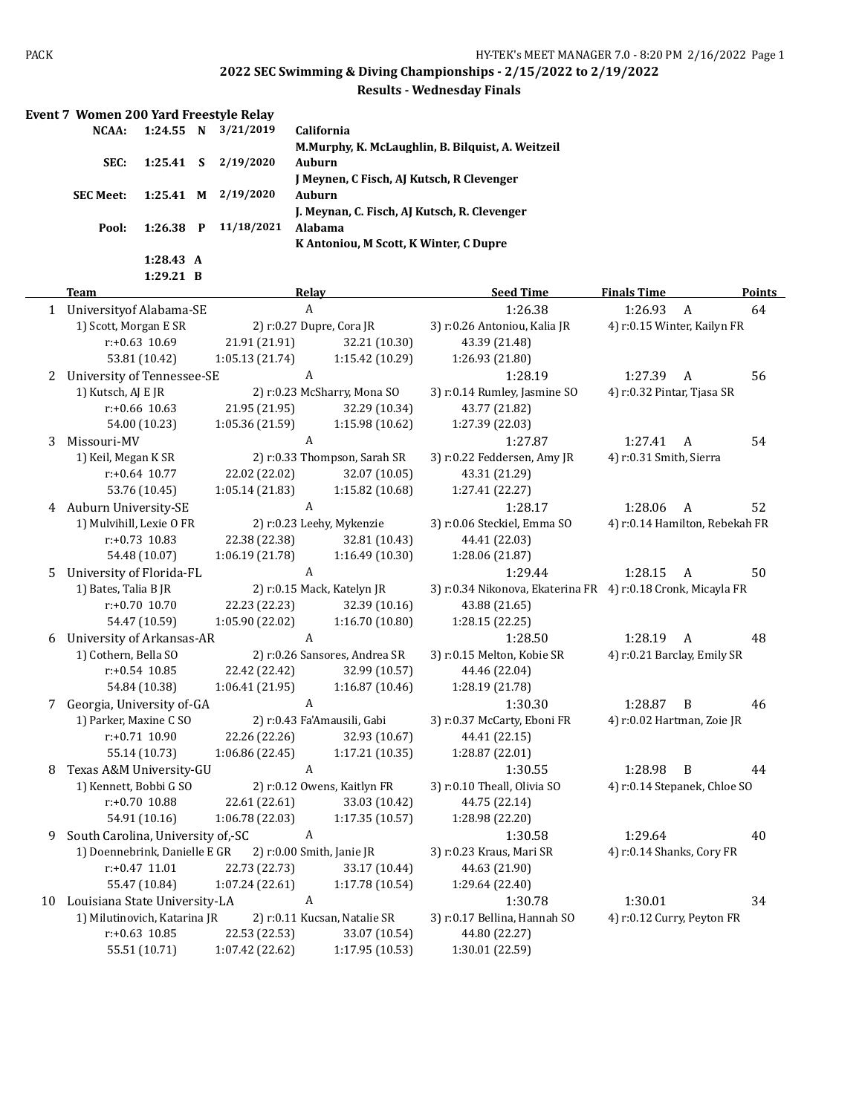| 1:24.55 N<br>3/21/2019<br>NCAA:<br>California<br>M.Murphy, K. McLaughlin, B. Bilquist, A. Weitzeil<br>2/19/2020<br>SEC:<br>1:25.41<br>S<br>Auburn<br>J Meynen, C Fisch, AJ Kutsch, R Clevenger<br>2/19/2020<br>$1:25.41$ M<br><b>Auburn</b><br><b>SEC Meet:</b><br>J. Meynan, C. Fisch, AJ Kutsch, R. Clevenger<br>$1:26.38$ P<br>11/18/2021<br>Alabama<br>Pool:<br>K Antoniou, M Scott, K Winter, C Dupre<br>1:28.43 A<br>1:29.21 B<br><b>Seed Time</b><br><b>Finals Time</b><br>Points<br><b>Team</b><br><b>Relay</b><br>$\boldsymbol{A}$<br>1:26.38<br>1 University of Alabama-SE<br>1:26.93<br>$\overline{A}$<br>64<br>1) Scott, Morgan E SR<br>2) r:0.27 Dupre, Cora JR<br>3) r:0.26 Antoniou, Kalia JR<br>4) r:0.15 Winter, Kailyn FR<br>$r: +0.63$ 10.69<br>21.91 (21.91)<br>43.39 (21.48)<br>32.21 (10.30)<br>53.81 (10.42)<br>1:05.13 (21.74)<br>1:15.42 (10.29)<br>1:26.93 (21.80)<br>56<br>A<br>1:28.19<br>1:27.39<br>$\overline{A}$<br>University of Tennessee-SE<br>2<br>1) Kutsch, AJ E JR<br>2) r:0.23 McSharry, Mona SO<br>4) r:0.32 Pintar, Tjasa SR<br>3) r:0.14 Rumley, Jasmine SO<br>$r: +0.66$ 10.63<br>21.95 (21.95)<br>32.29 (10.34)<br>43.77 (21.82)<br>54.00 (10.23)<br>1:05.36 (21.59)<br>1:15.98 (10.62)<br>1:27.39 (22.03)<br>A<br>Missouri-MV<br>1:27.87<br>1:27.41<br>54<br>A<br>3<br>1) Keil, Megan K SR<br>2) r:0.33 Thompson, Sarah SR<br>3) r:0.22 Feddersen, Amy JR<br>4) r:0.31 Smith, Sierra<br>22.02 (22.02)<br>32.07 (10.05)<br>$r: +0.64$ 10.77<br>43.31 (21.29)<br>53.76 (10.45)<br>1:15.82 (10.68)<br>1:05.14(21.83)<br>1:27.41 (22.27)<br>4 Auburn University-SE<br>A<br>1:28.17<br>1:28.06<br>A<br>52<br>1) Mulvihill, Lexie O FR<br>2) r:0.23 Leehy, Mykenzie<br>3) r:0.06 Steckiel, Emma SO<br>4) r:0.14 Hamilton, Rebekah FR<br>$r: +0.73$ 10.83<br>22.38 (22.38)<br>32.81 (10.43)<br>44.41 (22.03)<br>54.48 (10.07)<br>1:06.19 (21.78)<br>1:16.49 (10.30)<br>1:28.06 (21.87)<br>A<br>University of Florida-FL<br>1:29.44<br>1:28.15<br>50<br>5<br>A<br>1) Bates, Talia B JR<br>2) r:0.15 Mack, Katelyn JR<br>3) r:0.34 Nikonova, Ekaterina FR 4) r:0.18 Cronk, Micayla FR<br>$r: +0.70$ 10.70<br>22.23 (22.23)<br>32.39 (10.16)<br>43.88 (21.65)<br>54.47 (10.59)<br>1:05.90 (22.02)<br>1:16.70 (10.80)<br>1:28.15 (22.25)<br>University of Arkansas-AR<br>A<br>1:28.50<br>1:28.19<br>$\overline{A}$<br>48<br>6<br>1) Cothern, Bella SO<br>2) r:0.26 Sansores, Andrea SR<br>3) r:0.15 Melton, Kobie SR<br>4) r:0.21 Barclay, Emily SR<br>$r: +0.54$ 10.85<br>22.42 (22.42)<br>32.99 (10.57)<br>44.46 (22.04)<br>1:06.41 (21.95)<br>1:16.87 (10.46)<br>1:28.19 (21.78)<br>54.84 (10.38)<br>A<br>Georgia, University of-GA<br>1:30.30<br>1:28.87<br>B<br>46<br>7<br>2) r:0.43 Fa'Amausili, Gabi<br>3) r:0.37 McCarty, Eboni FR<br>1) Parker, Maxine C SO<br>4) r:0.02 Hartman, Zoie JR<br>32.93 (10.67)<br>r:+0.71 10.90<br>22.26 (22.26)<br>44.41 (22.15)<br>1:06.86 (22.45)<br>1:17.21 (10.35)<br>55.14 (10.73)<br>1:28.87 (22.01)<br>Texas A&M University-GU<br>A<br>1:30.55<br>1:28.98 B<br>44<br>8<br>1) Kennett, Bobbi G SO<br>2) r:0.12 Owens, Kaitlyn FR<br>3) r:0.10 Theall, Olivia SO<br>4) r:0.14 Stepanek, Chloe SO<br>22.61 (22.61)<br>33.03 (10.42)<br>r:+0.70 10.88<br>44.75 (22.14)<br>54.91 (10.16)<br>1:06.78(22.03)<br>1:17.35(10.57)<br>1:28.98 (22.20)<br>South Carolina, University of,-SC<br>$\boldsymbol{A}$<br>1:29.64<br>40<br>1:30.58<br>9<br>1) Doennebrink, Danielle E GR<br>2) r:0.00 Smith, Janie JR<br>3) r:0.23 Kraus, Mari SR<br>4) r:0.14 Shanks, Cory FR<br>$r: +0.47$ 11.01<br>22.73 (22.73)<br>33.17 (10.44)<br>44.63 (21.90)<br>55.47 (10.84)<br>1:07.24(22.61)<br>1:17.78 (10.54)<br>1:29.64 (22.40)<br>10 Louisiana State University-LA<br>A<br>1:30.01<br>34<br>1:30.78<br>2) r:0.11 Kucsan, Natalie SR<br>1) Milutinovich, Katarina JR<br>3) r:0.17 Bellina, Hannah SO<br>4) r:0.12 Curry, Peyton FR<br>$r: +0.63$ 10.85<br>22.53 (22.53)<br>33.07 (10.54)<br>44.80 (22.27)<br>55.51 (10.71)<br>1:07.42 (22.62)<br>1:17.95 (10.53)<br>1:30.01 (22.59) | Event 7 Women 200 Yard Freestyle Relay |  |  |  |  |  |
|------------------------------------------------------------------------------------------------------------------------------------------------------------------------------------------------------------------------------------------------------------------------------------------------------------------------------------------------------------------------------------------------------------------------------------------------------------------------------------------------------------------------------------------------------------------------------------------------------------------------------------------------------------------------------------------------------------------------------------------------------------------------------------------------------------------------------------------------------------------------------------------------------------------------------------------------------------------------------------------------------------------------------------------------------------------------------------------------------------------------------------------------------------------------------------------------------------------------------------------------------------------------------------------------------------------------------------------------------------------------------------------------------------------------------------------------------------------------------------------------------------------------------------------------------------------------------------------------------------------------------------------------------------------------------------------------------------------------------------------------------------------------------------------------------------------------------------------------------------------------------------------------------------------------------------------------------------------------------------------------------------------------------------------------------------------------------------------------------------------------------------------------------------------------------------------------------------------------------------------------------------------------------------------------------------------------------------------------------------------------------------------------------------------------------------------------------------------------------------------------------------------------------------------------------------------------------------------------------------------------------------------------------------------------------------------------------------------------------------------------------------------------------------------------------------------------------------------------------------------------------------------------------------------------------------------------------------------------------------------------------------------------------------------------------------------------------------------------------------------------------------------------------------------------------------------------------------------------------------------------------------------------------------------------------------------------------------------------------------------------------------------------------------------------------------------------------------------------------------------------------------------------------------------------------------------------------------------------------------------------------------------------------------------------------------------------------------------------------------------------------------------------------------------------------------------------------------------------------------------------------------------------------------------------------------------------------------------------------------------------------------------------------------------------|----------------------------------------|--|--|--|--|--|
|                                                                                                                                                                                                                                                                                                                                                                                                                                                                                                                                                                                                                                                                                                                                                                                                                                                                                                                                                                                                                                                                                                                                                                                                                                                                                                                                                                                                                                                                                                                                                                                                                                                                                                                                                                                                                                                                                                                                                                                                                                                                                                                                                                                                                                                                                                                                                                                                                                                                                                                                                                                                                                                                                                                                                                                                                                                                                                                                                                                                                                                                                                                                                                                                                                                                                                                                                                                                                                                                                                                                                                                                                                                                                                                                                                                                                                                                                                                                                                                                                                                |                                        |  |  |  |  |  |
|                                                                                                                                                                                                                                                                                                                                                                                                                                                                                                                                                                                                                                                                                                                                                                                                                                                                                                                                                                                                                                                                                                                                                                                                                                                                                                                                                                                                                                                                                                                                                                                                                                                                                                                                                                                                                                                                                                                                                                                                                                                                                                                                                                                                                                                                                                                                                                                                                                                                                                                                                                                                                                                                                                                                                                                                                                                                                                                                                                                                                                                                                                                                                                                                                                                                                                                                                                                                                                                                                                                                                                                                                                                                                                                                                                                                                                                                                                                                                                                                                                                |                                        |  |  |  |  |  |
|                                                                                                                                                                                                                                                                                                                                                                                                                                                                                                                                                                                                                                                                                                                                                                                                                                                                                                                                                                                                                                                                                                                                                                                                                                                                                                                                                                                                                                                                                                                                                                                                                                                                                                                                                                                                                                                                                                                                                                                                                                                                                                                                                                                                                                                                                                                                                                                                                                                                                                                                                                                                                                                                                                                                                                                                                                                                                                                                                                                                                                                                                                                                                                                                                                                                                                                                                                                                                                                                                                                                                                                                                                                                                                                                                                                                                                                                                                                                                                                                                                                |                                        |  |  |  |  |  |
|                                                                                                                                                                                                                                                                                                                                                                                                                                                                                                                                                                                                                                                                                                                                                                                                                                                                                                                                                                                                                                                                                                                                                                                                                                                                                                                                                                                                                                                                                                                                                                                                                                                                                                                                                                                                                                                                                                                                                                                                                                                                                                                                                                                                                                                                                                                                                                                                                                                                                                                                                                                                                                                                                                                                                                                                                                                                                                                                                                                                                                                                                                                                                                                                                                                                                                                                                                                                                                                                                                                                                                                                                                                                                                                                                                                                                                                                                                                                                                                                                                                |                                        |  |  |  |  |  |
|                                                                                                                                                                                                                                                                                                                                                                                                                                                                                                                                                                                                                                                                                                                                                                                                                                                                                                                                                                                                                                                                                                                                                                                                                                                                                                                                                                                                                                                                                                                                                                                                                                                                                                                                                                                                                                                                                                                                                                                                                                                                                                                                                                                                                                                                                                                                                                                                                                                                                                                                                                                                                                                                                                                                                                                                                                                                                                                                                                                                                                                                                                                                                                                                                                                                                                                                                                                                                                                                                                                                                                                                                                                                                                                                                                                                                                                                                                                                                                                                                                                |                                        |  |  |  |  |  |
|                                                                                                                                                                                                                                                                                                                                                                                                                                                                                                                                                                                                                                                                                                                                                                                                                                                                                                                                                                                                                                                                                                                                                                                                                                                                                                                                                                                                                                                                                                                                                                                                                                                                                                                                                                                                                                                                                                                                                                                                                                                                                                                                                                                                                                                                                                                                                                                                                                                                                                                                                                                                                                                                                                                                                                                                                                                                                                                                                                                                                                                                                                                                                                                                                                                                                                                                                                                                                                                                                                                                                                                                                                                                                                                                                                                                                                                                                                                                                                                                                                                |                                        |  |  |  |  |  |
|                                                                                                                                                                                                                                                                                                                                                                                                                                                                                                                                                                                                                                                                                                                                                                                                                                                                                                                                                                                                                                                                                                                                                                                                                                                                                                                                                                                                                                                                                                                                                                                                                                                                                                                                                                                                                                                                                                                                                                                                                                                                                                                                                                                                                                                                                                                                                                                                                                                                                                                                                                                                                                                                                                                                                                                                                                                                                                                                                                                                                                                                                                                                                                                                                                                                                                                                                                                                                                                                                                                                                                                                                                                                                                                                                                                                                                                                                                                                                                                                                                                |                                        |  |  |  |  |  |
|                                                                                                                                                                                                                                                                                                                                                                                                                                                                                                                                                                                                                                                                                                                                                                                                                                                                                                                                                                                                                                                                                                                                                                                                                                                                                                                                                                                                                                                                                                                                                                                                                                                                                                                                                                                                                                                                                                                                                                                                                                                                                                                                                                                                                                                                                                                                                                                                                                                                                                                                                                                                                                                                                                                                                                                                                                                                                                                                                                                                                                                                                                                                                                                                                                                                                                                                                                                                                                                                                                                                                                                                                                                                                                                                                                                                                                                                                                                                                                                                                                                |                                        |  |  |  |  |  |
|                                                                                                                                                                                                                                                                                                                                                                                                                                                                                                                                                                                                                                                                                                                                                                                                                                                                                                                                                                                                                                                                                                                                                                                                                                                                                                                                                                                                                                                                                                                                                                                                                                                                                                                                                                                                                                                                                                                                                                                                                                                                                                                                                                                                                                                                                                                                                                                                                                                                                                                                                                                                                                                                                                                                                                                                                                                                                                                                                                                                                                                                                                                                                                                                                                                                                                                                                                                                                                                                                                                                                                                                                                                                                                                                                                                                                                                                                                                                                                                                                                                |                                        |  |  |  |  |  |
|                                                                                                                                                                                                                                                                                                                                                                                                                                                                                                                                                                                                                                                                                                                                                                                                                                                                                                                                                                                                                                                                                                                                                                                                                                                                                                                                                                                                                                                                                                                                                                                                                                                                                                                                                                                                                                                                                                                                                                                                                                                                                                                                                                                                                                                                                                                                                                                                                                                                                                                                                                                                                                                                                                                                                                                                                                                                                                                                                                                                                                                                                                                                                                                                                                                                                                                                                                                                                                                                                                                                                                                                                                                                                                                                                                                                                                                                                                                                                                                                                                                |                                        |  |  |  |  |  |
|                                                                                                                                                                                                                                                                                                                                                                                                                                                                                                                                                                                                                                                                                                                                                                                                                                                                                                                                                                                                                                                                                                                                                                                                                                                                                                                                                                                                                                                                                                                                                                                                                                                                                                                                                                                                                                                                                                                                                                                                                                                                                                                                                                                                                                                                                                                                                                                                                                                                                                                                                                                                                                                                                                                                                                                                                                                                                                                                                                                                                                                                                                                                                                                                                                                                                                                                                                                                                                                                                                                                                                                                                                                                                                                                                                                                                                                                                                                                                                                                                                                |                                        |  |  |  |  |  |
|                                                                                                                                                                                                                                                                                                                                                                                                                                                                                                                                                                                                                                                                                                                                                                                                                                                                                                                                                                                                                                                                                                                                                                                                                                                                                                                                                                                                                                                                                                                                                                                                                                                                                                                                                                                                                                                                                                                                                                                                                                                                                                                                                                                                                                                                                                                                                                                                                                                                                                                                                                                                                                                                                                                                                                                                                                                                                                                                                                                                                                                                                                                                                                                                                                                                                                                                                                                                                                                                                                                                                                                                                                                                                                                                                                                                                                                                                                                                                                                                                                                |                                        |  |  |  |  |  |
|                                                                                                                                                                                                                                                                                                                                                                                                                                                                                                                                                                                                                                                                                                                                                                                                                                                                                                                                                                                                                                                                                                                                                                                                                                                                                                                                                                                                                                                                                                                                                                                                                                                                                                                                                                                                                                                                                                                                                                                                                                                                                                                                                                                                                                                                                                                                                                                                                                                                                                                                                                                                                                                                                                                                                                                                                                                                                                                                                                                                                                                                                                                                                                                                                                                                                                                                                                                                                                                                                                                                                                                                                                                                                                                                                                                                                                                                                                                                                                                                                                                |                                        |  |  |  |  |  |
|                                                                                                                                                                                                                                                                                                                                                                                                                                                                                                                                                                                                                                                                                                                                                                                                                                                                                                                                                                                                                                                                                                                                                                                                                                                                                                                                                                                                                                                                                                                                                                                                                                                                                                                                                                                                                                                                                                                                                                                                                                                                                                                                                                                                                                                                                                                                                                                                                                                                                                                                                                                                                                                                                                                                                                                                                                                                                                                                                                                                                                                                                                                                                                                                                                                                                                                                                                                                                                                                                                                                                                                                                                                                                                                                                                                                                                                                                                                                                                                                                                                |                                        |  |  |  |  |  |
|                                                                                                                                                                                                                                                                                                                                                                                                                                                                                                                                                                                                                                                                                                                                                                                                                                                                                                                                                                                                                                                                                                                                                                                                                                                                                                                                                                                                                                                                                                                                                                                                                                                                                                                                                                                                                                                                                                                                                                                                                                                                                                                                                                                                                                                                                                                                                                                                                                                                                                                                                                                                                                                                                                                                                                                                                                                                                                                                                                                                                                                                                                                                                                                                                                                                                                                                                                                                                                                                                                                                                                                                                                                                                                                                                                                                                                                                                                                                                                                                                                                |                                        |  |  |  |  |  |
|                                                                                                                                                                                                                                                                                                                                                                                                                                                                                                                                                                                                                                                                                                                                                                                                                                                                                                                                                                                                                                                                                                                                                                                                                                                                                                                                                                                                                                                                                                                                                                                                                                                                                                                                                                                                                                                                                                                                                                                                                                                                                                                                                                                                                                                                                                                                                                                                                                                                                                                                                                                                                                                                                                                                                                                                                                                                                                                                                                                                                                                                                                                                                                                                                                                                                                                                                                                                                                                                                                                                                                                                                                                                                                                                                                                                                                                                                                                                                                                                                                                |                                        |  |  |  |  |  |
|                                                                                                                                                                                                                                                                                                                                                                                                                                                                                                                                                                                                                                                                                                                                                                                                                                                                                                                                                                                                                                                                                                                                                                                                                                                                                                                                                                                                                                                                                                                                                                                                                                                                                                                                                                                                                                                                                                                                                                                                                                                                                                                                                                                                                                                                                                                                                                                                                                                                                                                                                                                                                                                                                                                                                                                                                                                                                                                                                                                                                                                                                                                                                                                                                                                                                                                                                                                                                                                                                                                                                                                                                                                                                                                                                                                                                                                                                                                                                                                                                                                |                                        |  |  |  |  |  |
|                                                                                                                                                                                                                                                                                                                                                                                                                                                                                                                                                                                                                                                                                                                                                                                                                                                                                                                                                                                                                                                                                                                                                                                                                                                                                                                                                                                                                                                                                                                                                                                                                                                                                                                                                                                                                                                                                                                                                                                                                                                                                                                                                                                                                                                                                                                                                                                                                                                                                                                                                                                                                                                                                                                                                                                                                                                                                                                                                                                                                                                                                                                                                                                                                                                                                                                                                                                                                                                                                                                                                                                                                                                                                                                                                                                                                                                                                                                                                                                                                                                |                                        |  |  |  |  |  |
|                                                                                                                                                                                                                                                                                                                                                                                                                                                                                                                                                                                                                                                                                                                                                                                                                                                                                                                                                                                                                                                                                                                                                                                                                                                                                                                                                                                                                                                                                                                                                                                                                                                                                                                                                                                                                                                                                                                                                                                                                                                                                                                                                                                                                                                                                                                                                                                                                                                                                                                                                                                                                                                                                                                                                                                                                                                                                                                                                                                                                                                                                                                                                                                                                                                                                                                                                                                                                                                                                                                                                                                                                                                                                                                                                                                                                                                                                                                                                                                                                                                |                                        |  |  |  |  |  |
|                                                                                                                                                                                                                                                                                                                                                                                                                                                                                                                                                                                                                                                                                                                                                                                                                                                                                                                                                                                                                                                                                                                                                                                                                                                                                                                                                                                                                                                                                                                                                                                                                                                                                                                                                                                                                                                                                                                                                                                                                                                                                                                                                                                                                                                                                                                                                                                                                                                                                                                                                                                                                                                                                                                                                                                                                                                                                                                                                                                                                                                                                                                                                                                                                                                                                                                                                                                                                                                                                                                                                                                                                                                                                                                                                                                                                                                                                                                                                                                                                                                |                                        |  |  |  |  |  |
|                                                                                                                                                                                                                                                                                                                                                                                                                                                                                                                                                                                                                                                                                                                                                                                                                                                                                                                                                                                                                                                                                                                                                                                                                                                                                                                                                                                                                                                                                                                                                                                                                                                                                                                                                                                                                                                                                                                                                                                                                                                                                                                                                                                                                                                                                                                                                                                                                                                                                                                                                                                                                                                                                                                                                                                                                                                                                                                                                                                                                                                                                                                                                                                                                                                                                                                                                                                                                                                                                                                                                                                                                                                                                                                                                                                                                                                                                                                                                                                                                                                |                                        |  |  |  |  |  |
|                                                                                                                                                                                                                                                                                                                                                                                                                                                                                                                                                                                                                                                                                                                                                                                                                                                                                                                                                                                                                                                                                                                                                                                                                                                                                                                                                                                                                                                                                                                                                                                                                                                                                                                                                                                                                                                                                                                                                                                                                                                                                                                                                                                                                                                                                                                                                                                                                                                                                                                                                                                                                                                                                                                                                                                                                                                                                                                                                                                                                                                                                                                                                                                                                                                                                                                                                                                                                                                                                                                                                                                                                                                                                                                                                                                                                                                                                                                                                                                                                                                |                                        |  |  |  |  |  |
|                                                                                                                                                                                                                                                                                                                                                                                                                                                                                                                                                                                                                                                                                                                                                                                                                                                                                                                                                                                                                                                                                                                                                                                                                                                                                                                                                                                                                                                                                                                                                                                                                                                                                                                                                                                                                                                                                                                                                                                                                                                                                                                                                                                                                                                                                                                                                                                                                                                                                                                                                                                                                                                                                                                                                                                                                                                                                                                                                                                                                                                                                                                                                                                                                                                                                                                                                                                                                                                                                                                                                                                                                                                                                                                                                                                                                                                                                                                                                                                                                                                |                                        |  |  |  |  |  |
|                                                                                                                                                                                                                                                                                                                                                                                                                                                                                                                                                                                                                                                                                                                                                                                                                                                                                                                                                                                                                                                                                                                                                                                                                                                                                                                                                                                                                                                                                                                                                                                                                                                                                                                                                                                                                                                                                                                                                                                                                                                                                                                                                                                                                                                                                                                                                                                                                                                                                                                                                                                                                                                                                                                                                                                                                                                                                                                                                                                                                                                                                                                                                                                                                                                                                                                                                                                                                                                                                                                                                                                                                                                                                                                                                                                                                                                                                                                                                                                                                                                |                                        |  |  |  |  |  |
|                                                                                                                                                                                                                                                                                                                                                                                                                                                                                                                                                                                                                                                                                                                                                                                                                                                                                                                                                                                                                                                                                                                                                                                                                                                                                                                                                                                                                                                                                                                                                                                                                                                                                                                                                                                                                                                                                                                                                                                                                                                                                                                                                                                                                                                                                                                                                                                                                                                                                                                                                                                                                                                                                                                                                                                                                                                                                                                                                                                                                                                                                                                                                                                                                                                                                                                                                                                                                                                                                                                                                                                                                                                                                                                                                                                                                                                                                                                                                                                                                                                |                                        |  |  |  |  |  |
|                                                                                                                                                                                                                                                                                                                                                                                                                                                                                                                                                                                                                                                                                                                                                                                                                                                                                                                                                                                                                                                                                                                                                                                                                                                                                                                                                                                                                                                                                                                                                                                                                                                                                                                                                                                                                                                                                                                                                                                                                                                                                                                                                                                                                                                                                                                                                                                                                                                                                                                                                                                                                                                                                                                                                                                                                                                                                                                                                                                                                                                                                                                                                                                                                                                                                                                                                                                                                                                                                                                                                                                                                                                                                                                                                                                                                                                                                                                                                                                                                                                |                                        |  |  |  |  |  |
|                                                                                                                                                                                                                                                                                                                                                                                                                                                                                                                                                                                                                                                                                                                                                                                                                                                                                                                                                                                                                                                                                                                                                                                                                                                                                                                                                                                                                                                                                                                                                                                                                                                                                                                                                                                                                                                                                                                                                                                                                                                                                                                                                                                                                                                                                                                                                                                                                                                                                                                                                                                                                                                                                                                                                                                                                                                                                                                                                                                                                                                                                                                                                                                                                                                                                                                                                                                                                                                                                                                                                                                                                                                                                                                                                                                                                                                                                                                                                                                                                                                |                                        |  |  |  |  |  |
|                                                                                                                                                                                                                                                                                                                                                                                                                                                                                                                                                                                                                                                                                                                                                                                                                                                                                                                                                                                                                                                                                                                                                                                                                                                                                                                                                                                                                                                                                                                                                                                                                                                                                                                                                                                                                                                                                                                                                                                                                                                                                                                                                                                                                                                                                                                                                                                                                                                                                                                                                                                                                                                                                                                                                                                                                                                                                                                                                                                                                                                                                                                                                                                                                                                                                                                                                                                                                                                                                                                                                                                                                                                                                                                                                                                                                                                                                                                                                                                                                                                |                                        |  |  |  |  |  |
|                                                                                                                                                                                                                                                                                                                                                                                                                                                                                                                                                                                                                                                                                                                                                                                                                                                                                                                                                                                                                                                                                                                                                                                                                                                                                                                                                                                                                                                                                                                                                                                                                                                                                                                                                                                                                                                                                                                                                                                                                                                                                                                                                                                                                                                                                                                                                                                                                                                                                                                                                                                                                                                                                                                                                                                                                                                                                                                                                                                                                                                                                                                                                                                                                                                                                                                                                                                                                                                                                                                                                                                                                                                                                                                                                                                                                                                                                                                                                                                                                                                |                                        |  |  |  |  |  |
|                                                                                                                                                                                                                                                                                                                                                                                                                                                                                                                                                                                                                                                                                                                                                                                                                                                                                                                                                                                                                                                                                                                                                                                                                                                                                                                                                                                                                                                                                                                                                                                                                                                                                                                                                                                                                                                                                                                                                                                                                                                                                                                                                                                                                                                                                                                                                                                                                                                                                                                                                                                                                                                                                                                                                                                                                                                                                                                                                                                                                                                                                                                                                                                                                                                                                                                                                                                                                                                                                                                                                                                                                                                                                                                                                                                                                                                                                                                                                                                                                                                |                                        |  |  |  |  |  |
|                                                                                                                                                                                                                                                                                                                                                                                                                                                                                                                                                                                                                                                                                                                                                                                                                                                                                                                                                                                                                                                                                                                                                                                                                                                                                                                                                                                                                                                                                                                                                                                                                                                                                                                                                                                                                                                                                                                                                                                                                                                                                                                                                                                                                                                                                                                                                                                                                                                                                                                                                                                                                                                                                                                                                                                                                                                                                                                                                                                                                                                                                                                                                                                                                                                                                                                                                                                                                                                                                                                                                                                                                                                                                                                                                                                                                                                                                                                                                                                                                                                |                                        |  |  |  |  |  |
|                                                                                                                                                                                                                                                                                                                                                                                                                                                                                                                                                                                                                                                                                                                                                                                                                                                                                                                                                                                                                                                                                                                                                                                                                                                                                                                                                                                                                                                                                                                                                                                                                                                                                                                                                                                                                                                                                                                                                                                                                                                                                                                                                                                                                                                                                                                                                                                                                                                                                                                                                                                                                                                                                                                                                                                                                                                                                                                                                                                                                                                                                                                                                                                                                                                                                                                                                                                                                                                                                                                                                                                                                                                                                                                                                                                                                                                                                                                                                                                                                                                |                                        |  |  |  |  |  |
|                                                                                                                                                                                                                                                                                                                                                                                                                                                                                                                                                                                                                                                                                                                                                                                                                                                                                                                                                                                                                                                                                                                                                                                                                                                                                                                                                                                                                                                                                                                                                                                                                                                                                                                                                                                                                                                                                                                                                                                                                                                                                                                                                                                                                                                                                                                                                                                                                                                                                                                                                                                                                                                                                                                                                                                                                                                                                                                                                                                                                                                                                                                                                                                                                                                                                                                                                                                                                                                                                                                                                                                                                                                                                                                                                                                                                                                                                                                                                                                                                                                |                                        |  |  |  |  |  |
|                                                                                                                                                                                                                                                                                                                                                                                                                                                                                                                                                                                                                                                                                                                                                                                                                                                                                                                                                                                                                                                                                                                                                                                                                                                                                                                                                                                                                                                                                                                                                                                                                                                                                                                                                                                                                                                                                                                                                                                                                                                                                                                                                                                                                                                                                                                                                                                                                                                                                                                                                                                                                                                                                                                                                                                                                                                                                                                                                                                                                                                                                                                                                                                                                                                                                                                                                                                                                                                                                                                                                                                                                                                                                                                                                                                                                                                                                                                                                                                                                                                |                                        |  |  |  |  |  |
|                                                                                                                                                                                                                                                                                                                                                                                                                                                                                                                                                                                                                                                                                                                                                                                                                                                                                                                                                                                                                                                                                                                                                                                                                                                                                                                                                                                                                                                                                                                                                                                                                                                                                                                                                                                                                                                                                                                                                                                                                                                                                                                                                                                                                                                                                                                                                                                                                                                                                                                                                                                                                                                                                                                                                                                                                                                                                                                                                                                                                                                                                                                                                                                                                                                                                                                                                                                                                                                                                                                                                                                                                                                                                                                                                                                                                                                                                                                                                                                                                                                |                                        |  |  |  |  |  |
|                                                                                                                                                                                                                                                                                                                                                                                                                                                                                                                                                                                                                                                                                                                                                                                                                                                                                                                                                                                                                                                                                                                                                                                                                                                                                                                                                                                                                                                                                                                                                                                                                                                                                                                                                                                                                                                                                                                                                                                                                                                                                                                                                                                                                                                                                                                                                                                                                                                                                                                                                                                                                                                                                                                                                                                                                                                                                                                                                                                                                                                                                                                                                                                                                                                                                                                                                                                                                                                                                                                                                                                                                                                                                                                                                                                                                                                                                                                                                                                                                                                |                                        |  |  |  |  |  |
|                                                                                                                                                                                                                                                                                                                                                                                                                                                                                                                                                                                                                                                                                                                                                                                                                                                                                                                                                                                                                                                                                                                                                                                                                                                                                                                                                                                                                                                                                                                                                                                                                                                                                                                                                                                                                                                                                                                                                                                                                                                                                                                                                                                                                                                                                                                                                                                                                                                                                                                                                                                                                                                                                                                                                                                                                                                                                                                                                                                                                                                                                                                                                                                                                                                                                                                                                                                                                                                                                                                                                                                                                                                                                                                                                                                                                                                                                                                                                                                                                                                |                                        |  |  |  |  |  |
|                                                                                                                                                                                                                                                                                                                                                                                                                                                                                                                                                                                                                                                                                                                                                                                                                                                                                                                                                                                                                                                                                                                                                                                                                                                                                                                                                                                                                                                                                                                                                                                                                                                                                                                                                                                                                                                                                                                                                                                                                                                                                                                                                                                                                                                                                                                                                                                                                                                                                                                                                                                                                                                                                                                                                                                                                                                                                                                                                                                                                                                                                                                                                                                                                                                                                                                                                                                                                                                                                                                                                                                                                                                                                                                                                                                                                                                                                                                                                                                                                                                |                                        |  |  |  |  |  |
|                                                                                                                                                                                                                                                                                                                                                                                                                                                                                                                                                                                                                                                                                                                                                                                                                                                                                                                                                                                                                                                                                                                                                                                                                                                                                                                                                                                                                                                                                                                                                                                                                                                                                                                                                                                                                                                                                                                                                                                                                                                                                                                                                                                                                                                                                                                                                                                                                                                                                                                                                                                                                                                                                                                                                                                                                                                                                                                                                                                                                                                                                                                                                                                                                                                                                                                                                                                                                                                                                                                                                                                                                                                                                                                                                                                                                                                                                                                                                                                                                                                |                                        |  |  |  |  |  |
|                                                                                                                                                                                                                                                                                                                                                                                                                                                                                                                                                                                                                                                                                                                                                                                                                                                                                                                                                                                                                                                                                                                                                                                                                                                                                                                                                                                                                                                                                                                                                                                                                                                                                                                                                                                                                                                                                                                                                                                                                                                                                                                                                                                                                                                                                                                                                                                                                                                                                                                                                                                                                                                                                                                                                                                                                                                                                                                                                                                                                                                                                                                                                                                                                                                                                                                                                                                                                                                                                                                                                                                                                                                                                                                                                                                                                                                                                                                                                                                                                                                |                                        |  |  |  |  |  |
|                                                                                                                                                                                                                                                                                                                                                                                                                                                                                                                                                                                                                                                                                                                                                                                                                                                                                                                                                                                                                                                                                                                                                                                                                                                                                                                                                                                                                                                                                                                                                                                                                                                                                                                                                                                                                                                                                                                                                                                                                                                                                                                                                                                                                                                                                                                                                                                                                                                                                                                                                                                                                                                                                                                                                                                                                                                                                                                                                                                                                                                                                                                                                                                                                                                                                                                                                                                                                                                                                                                                                                                                                                                                                                                                                                                                                                                                                                                                                                                                                                                |                                        |  |  |  |  |  |
|                                                                                                                                                                                                                                                                                                                                                                                                                                                                                                                                                                                                                                                                                                                                                                                                                                                                                                                                                                                                                                                                                                                                                                                                                                                                                                                                                                                                                                                                                                                                                                                                                                                                                                                                                                                                                                                                                                                                                                                                                                                                                                                                                                                                                                                                                                                                                                                                                                                                                                                                                                                                                                                                                                                                                                                                                                                                                                                                                                                                                                                                                                                                                                                                                                                                                                                                                                                                                                                                                                                                                                                                                                                                                                                                                                                                                                                                                                                                                                                                                                                |                                        |  |  |  |  |  |
|                                                                                                                                                                                                                                                                                                                                                                                                                                                                                                                                                                                                                                                                                                                                                                                                                                                                                                                                                                                                                                                                                                                                                                                                                                                                                                                                                                                                                                                                                                                                                                                                                                                                                                                                                                                                                                                                                                                                                                                                                                                                                                                                                                                                                                                                                                                                                                                                                                                                                                                                                                                                                                                                                                                                                                                                                                                                                                                                                                                                                                                                                                                                                                                                                                                                                                                                                                                                                                                                                                                                                                                                                                                                                                                                                                                                                                                                                                                                                                                                                                                |                                        |  |  |  |  |  |
|                                                                                                                                                                                                                                                                                                                                                                                                                                                                                                                                                                                                                                                                                                                                                                                                                                                                                                                                                                                                                                                                                                                                                                                                                                                                                                                                                                                                                                                                                                                                                                                                                                                                                                                                                                                                                                                                                                                                                                                                                                                                                                                                                                                                                                                                                                                                                                                                                                                                                                                                                                                                                                                                                                                                                                                                                                                                                                                                                                                                                                                                                                                                                                                                                                                                                                                                                                                                                                                                                                                                                                                                                                                                                                                                                                                                                                                                                                                                                                                                                                                |                                        |  |  |  |  |  |
|                                                                                                                                                                                                                                                                                                                                                                                                                                                                                                                                                                                                                                                                                                                                                                                                                                                                                                                                                                                                                                                                                                                                                                                                                                                                                                                                                                                                                                                                                                                                                                                                                                                                                                                                                                                                                                                                                                                                                                                                                                                                                                                                                                                                                                                                                                                                                                                                                                                                                                                                                                                                                                                                                                                                                                                                                                                                                                                                                                                                                                                                                                                                                                                                                                                                                                                                                                                                                                                                                                                                                                                                                                                                                                                                                                                                                                                                                                                                                                                                                                                |                                        |  |  |  |  |  |
|                                                                                                                                                                                                                                                                                                                                                                                                                                                                                                                                                                                                                                                                                                                                                                                                                                                                                                                                                                                                                                                                                                                                                                                                                                                                                                                                                                                                                                                                                                                                                                                                                                                                                                                                                                                                                                                                                                                                                                                                                                                                                                                                                                                                                                                                                                                                                                                                                                                                                                                                                                                                                                                                                                                                                                                                                                                                                                                                                                                                                                                                                                                                                                                                                                                                                                                                                                                                                                                                                                                                                                                                                                                                                                                                                                                                                                                                                                                                                                                                                                                |                                        |  |  |  |  |  |
|                                                                                                                                                                                                                                                                                                                                                                                                                                                                                                                                                                                                                                                                                                                                                                                                                                                                                                                                                                                                                                                                                                                                                                                                                                                                                                                                                                                                                                                                                                                                                                                                                                                                                                                                                                                                                                                                                                                                                                                                                                                                                                                                                                                                                                                                                                                                                                                                                                                                                                                                                                                                                                                                                                                                                                                                                                                                                                                                                                                                                                                                                                                                                                                                                                                                                                                                                                                                                                                                                                                                                                                                                                                                                                                                                                                                                                                                                                                                                                                                                                                |                                        |  |  |  |  |  |
|                                                                                                                                                                                                                                                                                                                                                                                                                                                                                                                                                                                                                                                                                                                                                                                                                                                                                                                                                                                                                                                                                                                                                                                                                                                                                                                                                                                                                                                                                                                                                                                                                                                                                                                                                                                                                                                                                                                                                                                                                                                                                                                                                                                                                                                                                                                                                                                                                                                                                                                                                                                                                                                                                                                                                                                                                                                                                                                                                                                                                                                                                                                                                                                                                                                                                                                                                                                                                                                                                                                                                                                                                                                                                                                                                                                                                                                                                                                                                                                                                                                |                                        |  |  |  |  |  |
|                                                                                                                                                                                                                                                                                                                                                                                                                                                                                                                                                                                                                                                                                                                                                                                                                                                                                                                                                                                                                                                                                                                                                                                                                                                                                                                                                                                                                                                                                                                                                                                                                                                                                                                                                                                                                                                                                                                                                                                                                                                                                                                                                                                                                                                                                                                                                                                                                                                                                                                                                                                                                                                                                                                                                                                                                                                                                                                                                                                                                                                                                                                                                                                                                                                                                                                                                                                                                                                                                                                                                                                                                                                                                                                                                                                                                                                                                                                                                                                                                                                |                                        |  |  |  |  |  |
|                                                                                                                                                                                                                                                                                                                                                                                                                                                                                                                                                                                                                                                                                                                                                                                                                                                                                                                                                                                                                                                                                                                                                                                                                                                                                                                                                                                                                                                                                                                                                                                                                                                                                                                                                                                                                                                                                                                                                                                                                                                                                                                                                                                                                                                                                                                                                                                                                                                                                                                                                                                                                                                                                                                                                                                                                                                                                                                                                                                                                                                                                                                                                                                                                                                                                                                                                                                                                                                                                                                                                                                                                                                                                                                                                                                                                                                                                                                                                                                                                                                |                                        |  |  |  |  |  |
|                                                                                                                                                                                                                                                                                                                                                                                                                                                                                                                                                                                                                                                                                                                                                                                                                                                                                                                                                                                                                                                                                                                                                                                                                                                                                                                                                                                                                                                                                                                                                                                                                                                                                                                                                                                                                                                                                                                                                                                                                                                                                                                                                                                                                                                                                                                                                                                                                                                                                                                                                                                                                                                                                                                                                                                                                                                                                                                                                                                                                                                                                                                                                                                                                                                                                                                                                                                                                                                                                                                                                                                                                                                                                                                                                                                                                                                                                                                                                                                                                                                |                                        |  |  |  |  |  |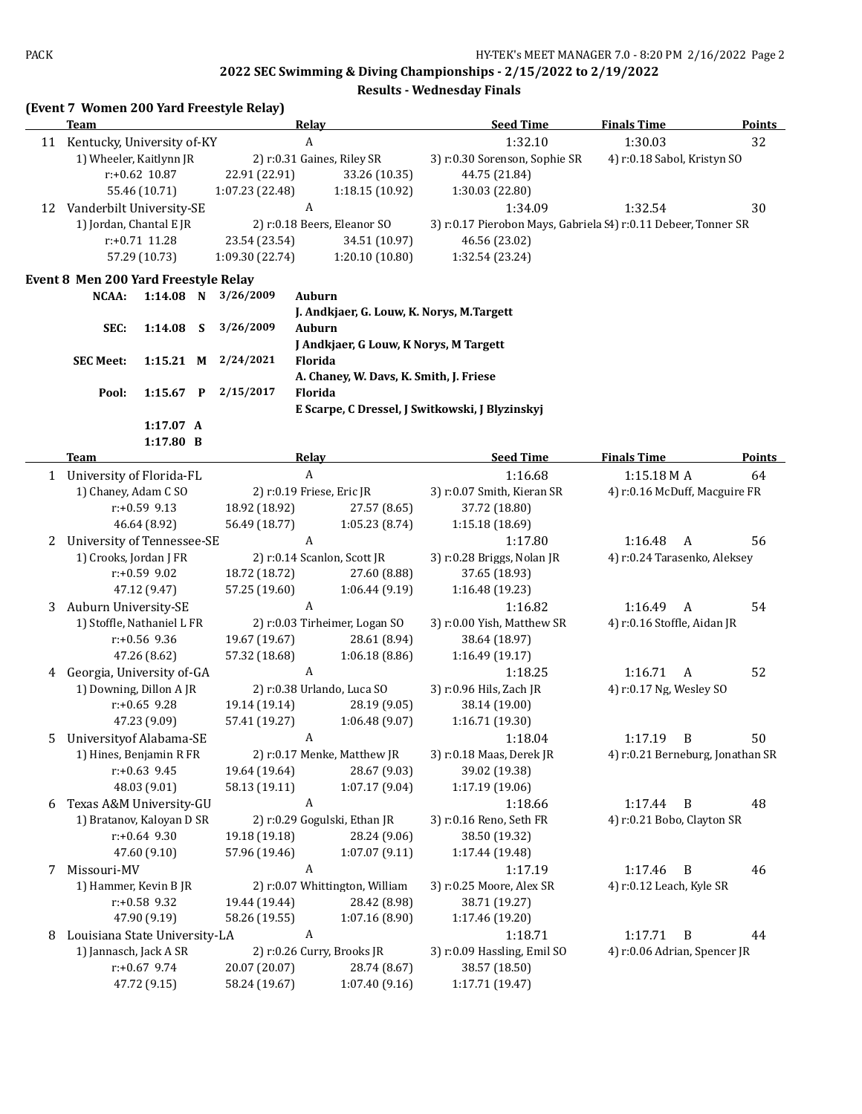|    | (Event 7 Women 200 Yard Freestyle Relay) |              |                                |                                           |                                                                |                                  |               |  |
|----|------------------------------------------|--------------|--------------------------------|-------------------------------------------|----------------------------------------------------------------|----------------------------------|---------------|--|
|    | Team                                     |              |                                | <b>Relay</b>                              | <b>Seed Time</b>                                               | <b>Finals Time</b>               | <b>Points</b> |  |
| 11 | Kentucky, University of-KY               |              |                                | A                                         | 1:32.10                                                        | 1:30.03                          | 32            |  |
|    | 1) Wheeler, Kaitlynn JR                  |              |                                | 2) r:0.31 Gaines, Riley SR                | 3) r:0.30 Sorenson, Sophie SR                                  | 4) r:0.18 Sabol, Kristyn SO      |               |  |
|    | $r: +0.62$ 10.87                         |              | 22.91 (22.91)                  | 33.26 (10.35)                             | 44.75 (21.84)                                                  |                                  |               |  |
|    | 55.46 (10.71)                            |              | 1:07.23 (22.48)                | 1:18.15 (10.92)                           | 1:30.03 (22.80)                                                |                                  |               |  |
| 12 | Vanderbilt University-SE                 |              |                                | A                                         | 1:34.09                                                        | 1:32.54                          | 30            |  |
|    | 1) Jordan, Chantal E JR                  |              |                                | 2) r:0.18 Beers, Eleanor SO               | 3) r:0.17 Pierobon Mays, Gabriela (4) r:0.11 Debeer, Tonner SR |                                  |               |  |
|    | r:+0.71 11.28                            |              | 23.54 (23.54)                  | 34.51 (10.97)                             | 46.56 (23.02)                                                  |                                  |               |  |
|    | 57.29 (10.73)                            |              | 1:09.30 (22.74)                | 1:20.10(10.80)                            | 1:32.54 (23.24)                                                |                                  |               |  |
|    | Event 8 Men 200 Yard Freestyle Relay     |              |                                |                                           |                                                                |                                  |               |  |
|    | NCAA:                                    | $1:14.08$ N  | 3/26/2009                      | Auburn                                    |                                                                |                                  |               |  |
|    |                                          |              |                                | J. Andkjaer, G. Louw, K. Norys, M.Targett |                                                                |                                  |               |  |
|    | SEC:                                     | 1:14.08<br>S | 3/26/2009                      | Auburn                                    |                                                                |                                  |               |  |
|    |                                          |              |                                | J Andkjaer, G Louw, K Norys, M Targett    |                                                                |                                  |               |  |
|    | <b>SEC Meet:</b>                         | $1:15.21$ M  | 2/24/2021                      | Florida                                   |                                                                |                                  |               |  |
|    |                                          |              |                                | A. Chaney, W. Davs, K. Smith, J. Friese   |                                                                |                                  |               |  |
|    | Pool:                                    | $1:15.67$ P  | 2/15/2017                      | <b>Florida</b>                            |                                                                |                                  |               |  |
|    |                                          |              |                                |                                           | E Scarpe, C Dressel, J Switkowski, J Blyzinskyj                |                                  |               |  |
|    |                                          | 1:17.07 A    |                                |                                           |                                                                |                                  |               |  |
|    |                                          | 1:17.80 B    |                                |                                           |                                                                |                                  |               |  |
|    | <b>Team</b>                              |              |                                | <b>Relay</b>                              | <b>Seed Time</b>                                               | <b>Finals Time</b>               | <b>Points</b> |  |
|    | 1 University of Florida-FL               |              |                                | $\boldsymbol{A}$                          | 1:16.68                                                        | $1:15.18M$ A                     | 64            |  |
|    | 1) Chaney, Adam C SO                     |              |                                | 2) r:0.19 Friese, Eric JR                 | 3) r:0.07 Smith, Kieran SR                                     | 4) r:0.16 McDuff, Macguire FR    |               |  |
|    | $r: +0.59$ 9.13                          |              | 18.92 (18.92)                  | 27.57 (8.65)                              | 37.72 (18.80)                                                  |                                  |               |  |
|    | 46.64 (8.92)                             |              | 56.49 (18.77)                  | 1:05.23(8.74)                             | 1:15.18 (18.69)                                                |                                  |               |  |
| 2  | University of Tennessee-SE               |              |                                | A                                         | 1:17.80                                                        | 1:16.48<br>$\overline{A}$        | 56            |  |
|    | 1) Crooks, Jordan J FR                   |              |                                | 2) r:0.14 Scanlon, Scott JR               | 3) r:0.28 Briggs, Nolan JR                                     | 4) r:0.24 Tarasenko, Aleksey     |               |  |
|    | $r: +0.59$ 9.02                          |              | 18.72 (18.72)                  | 27.60 (8.88)                              | 37.65 (18.93)                                                  |                                  |               |  |
|    | 47.12 (9.47)                             |              | 57.25 (19.60)                  | 1:06.44(9.19)                             | 1:16.48 (19.23)                                                |                                  |               |  |
| 3  | Auburn University-SE                     |              |                                | A                                         | 1:16.82                                                        | 1:16.49<br>A                     | 54            |  |
|    | 1) Stoffle, Nathaniel L FR               |              | 2) r:0.03 Tirheimer, Logan SO  |                                           | 3) r:0.00 Yish, Matthew SR                                     | 4) r:0.16 Stoffle, Aidan JR      |               |  |
|    | $r: +0.56$ 9.36                          |              | 19.67 (19.67)                  | 28.61 (8.94)                              | 38.64 (18.97)                                                  |                                  |               |  |
|    | 47.26 (8.62)                             |              | 57.32 (18.68)                  | 1:06.18(8.86)                             | 1:16.49 (19.17)                                                |                                  |               |  |
|    | 4 Georgia, University of-GA              |              |                                | A                                         | 1:18.25                                                        | 1:16.71<br>A                     | 52            |  |
|    | 1) Downing, Dillon A JR                  |              |                                | 2) r:0.38 Urlando, Luca SO                | 3) r:0.96 Hils, Zach JR                                        | 4) r:0.17 Ng, Wesley SO          |               |  |
|    | $r: +0.65$ 9.28                          |              | 19.14 (19.14)                  | 28.19 (9.05)                              | 38.14 (19.00)                                                  |                                  |               |  |
|    | 47.23 (9.09)                             |              | 57.41 (19.27)                  | 1:06.48(9.07)                             | 1:16.71 (19.30)                                                |                                  |               |  |
| 5  | University of Alabama-SE                 |              |                                | A                                         | 1:18.04                                                        | $\overline{B}$<br>1:17.19        | 50            |  |
|    | 1) Hines, Benjamin R FR                  |              |                                | 2) r:0.17 Menke, Matthew JR               | 3) r:0.18 Maas, Derek JR                                       | 4) r:0.21 Berneburg, Jonathan SR |               |  |
|    | $r: +0.63$ 9.45                          |              | 19.64 (19.64)                  | 28.67 (9.03)                              | 39.02 (19.38)                                                  |                                  |               |  |
|    | 48.03 (9.01)                             |              | 58.13 (19.11)                  | 1:07.17(9.04)                             | 1:17.19 (19.06)                                                |                                  |               |  |
| 6  | Texas A&M University-GU                  |              |                                | $\boldsymbol{A}$                          | 1:18.66                                                        | 1:17.44<br>$\overline{B}$        | 48            |  |
|    | 1) Bratanov, Kaloyan D SR                |              |                                | 2) r:0.29 Gogulski, Ethan JR              | 3) r:0.16 Reno, Seth FR                                        | 4) r:0.21 Bobo, Clayton SR       |               |  |
|    | $r+0.64$ 9.30                            |              | 19.18 (19.18)                  | 28.24 (9.06)                              | 38.50 (19.32)                                                  |                                  |               |  |
|    | 47.60 (9.10)                             |              | 57.96 (19.46)                  | 1:07.07(9.11)                             | 1:17.44 (19.48)                                                |                                  |               |  |
| 7  | Missouri-MV                              |              |                                | A                                         | 1:17.19                                                        | 1:17.46<br>$\overline{B}$        | 46            |  |
|    | 1) Hammer, Kevin B JR                    |              |                                | 2) r:0.07 Whittington, William            | 3) r:0.25 Moore, Alex SR                                       | 4) r:0.12 Leach, Kyle SR         |               |  |
|    | r:+0.58 9.32                             |              | 19.44 (19.44)                  | 28.42 (8.98)                              | 38.71 (19.27)                                                  |                                  |               |  |
|    | 47.90 (9.19)                             |              | 58.26 (19.55)                  | 1:07.16(8.90)                             | 1:17.46 (19.20)                                                |                                  |               |  |
| 8  | Louisiana State University-LA            |              |                                | A                                         | 1:18.71                                                        | 1:17.71<br>B                     | 44            |  |
|    | 1) Jannasch, Jack A SR                   |              |                                | 2) r:0.26 Curry, Brooks JR                | 3) r:0.09 Hassling, Emil SO                                    | 4) r:0.06 Adrian, Spencer JR     |               |  |
|    | $r: +0.67$ 9.74                          |              | 20.07 (20.07)<br>28.74 (8.67)  |                                           | 38.57 (18.50)                                                  |                                  |               |  |
|    | 47.72 (9.15)                             |              | 58.24 (19.67)<br>1:07.40(9.16) |                                           | 1:17.71 (19.47)                                                |                                  |               |  |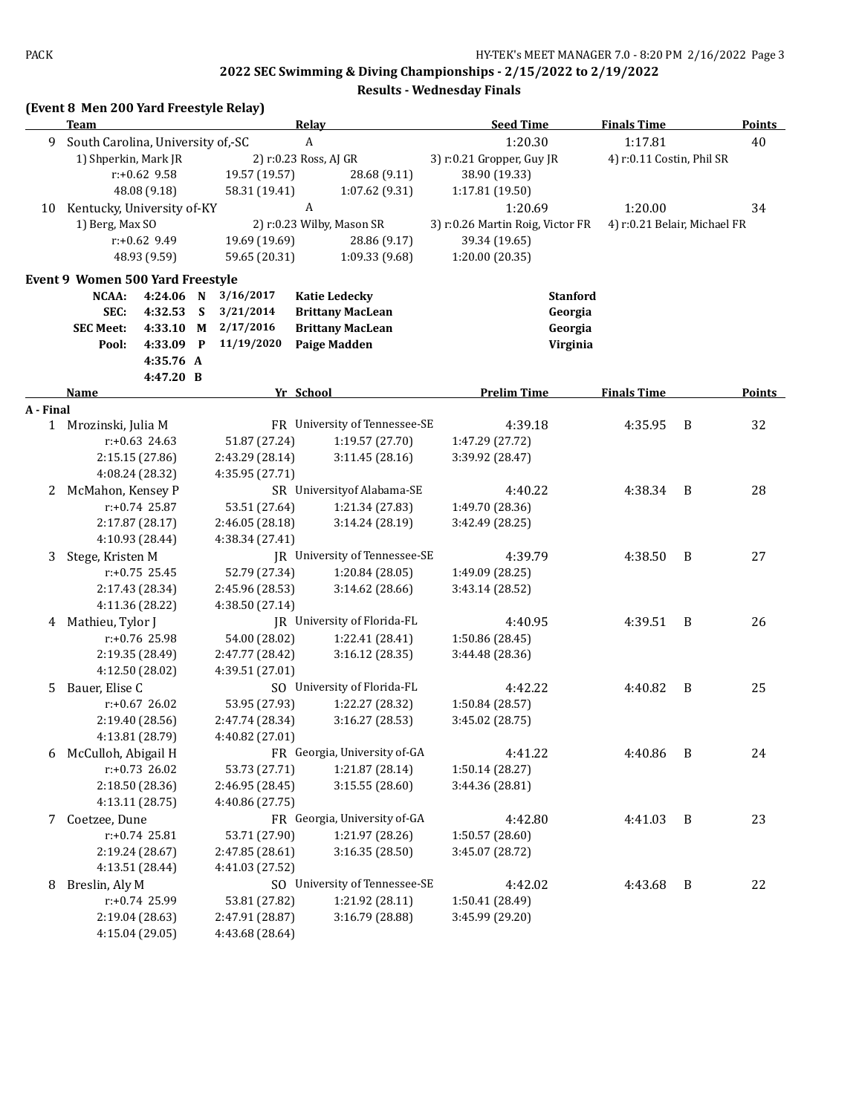|           | (Event 8 Men 200 Yard Freestyle Relay) |                                    |             |                                    |                               |                                  |                 |                              |   |               |
|-----------|----------------------------------------|------------------------------------|-------------|------------------------------------|-------------------------------|----------------------------------|-----------------|------------------------------|---|---------------|
|           | Team                                   |                                    |             |                                    | <b>Relay</b>                  | <b>Seed Time</b>                 |                 | <b>Finals Time</b>           |   | <b>Points</b> |
| 9         | South Carolina, University of,-SC      |                                    |             |                                    | A                             | 1:20.30                          |                 | 1:17.81                      |   | 40            |
|           | 1) Shperkin, Mark JR                   |                                    |             |                                    | 2) r:0.23 Ross, AJ GR         | 3) r:0.21 Gropper, Guy JR        |                 | 4) r:0.11 Costin, Phil SR    |   |               |
|           |                                        | $r: +0.62$ 9.58                    |             | 19.57 (19.57)                      | 28.68 (9.11)                  | 38.90 (19.33)                    |                 |                              |   |               |
|           |                                        | 48.08 (9.18)                       |             | 58.31 (19.41)                      | 1:07.62(9.31)                 | 1:17.81 (19.50)                  |                 |                              |   |               |
| 10        | Kentucky, University of-KY             |                                    |             | A                                  |                               | 1:20.69                          |                 | 1:20.00                      |   | 34            |
|           | 1) Berg, Max SO                        |                                    |             |                                    | 2) r:0.23 Wilby, Mason SR     | 3) r:0.26 Martin Roig, Victor FR |                 | 4) r:0.21 Belair, Michael FR |   |               |
|           |                                        | $r: +0.62$ 9.49                    |             | 19.69 (19.69)                      | 28.86 (9.17)                  | 39.34 (19.65)                    |                 |                              |   |               |
|           |                                        | 48.93 (9.59)                       |             | 59.65 (20.31)                      | 1:09.33 (9.68)                | 1:20.00 (20.35)                  |                 |                              |   |               |
|           | Event 9 Women 500 Yard Freestyle       |                                    |             |                                    |                               |                                  |                 |                              |   |               |
|           | NCAA:                                  | 4:24.06 N                          |             | 3/16/2017                          | <b>Katie Ledecky</b>          |                                  | <b>Stanford</b> |                              |   |               |
|           | SEC:                                   | 4:32.53                            | - S         | 3/21/2014                          | <b>Brittany MacLean</b>       |                                  | Georgia         |                              |   |               |
|           | <b>SEC Meet:</b>                       | 4:33.10                            | M           | 2/17/2016                          | <b>Brittany MacLean</b>       |                                  | Georgia         |                              |   |               |
|           | Pool:                                  | 4:33.09                            | $\mathbf P$ | 11/19/2020                         | <b>Paige Madden</b>           |                                  | Virginia        |                              |   |               |
|           |                                        | 4:35.76 A                          |             |                                    |                               |                                  |                 |                              |   |               |
|           |                                        | 4:47.20 B                          |             |                                    |                               |                                  |                 |                              |   |               |
|           | Name                                   |                                    |             |                                    | Yr School                     | <b>Prelim Time</b>               |                 | <b>Finals Time</b>           |   | <b>Points</b> |
| A - Final | 1 Mrozinski, Julia M                   |                                    |             |                                    | FR University of Tennessee-SE | 4:39.18                          |                 | 4:35.95                      | B | 32            |
|           |                                        | $r: +0.63$ 24.63                   |             | 51.87 (27.24)                      | 1:19.57 (27.70)               | 1:47.29 (27.72)                  |                 |                              |   |               |
|           |                                        |                                    |             |                                    | 3:11.45(28.16)                | 3:39.92 (28.47)                  |                 |                              |   |               |
|           |                                        | 2:15.15 (27.86)                    |             | 2:43.29 (28.14)                    |                               |                                  |                 |                              |   |               |
|           |                                        | 4:08.24 (28.32)                    |             | 4:35.95 (27.71)                    | SR University of Alabama-SE   |                                  |                 |                              |   |               |
|           | 2 McMahon, Kensey P                    |                                    |             |                                    |                               | 4:40.22                          |                 | 4:38.34                      | B | 28            |
|           |                                        | $r: +0.74$ 25.87                   |             | 53.51 (27.64)                      | 1:21.34 (27.83)               | 1:49.70 (28.36)                  |                 |                              |   |               |
|           |                                        | 2:17.87 (28.17)                    |             | 2:46.05 (28.18)                    | 3:14.24 (28.19)               | 3:42.49 (28.25)                  |                 |                              |   |               |
|           |                                        | 4:10.93 (28.44)                    |             | 4:38.34 (27.41)                    | JR University of Tennessee-SE |                                  |                 |                              | B | 27            |
| 3         | Stege, Kristen M                       | $r: +0.75$ 25.45                   |             |                                    |                               | 4:39.79                          |                 | 4:38.50                      |   |               |
|           |                                        |                                    |             | 52.79 (27.34)                      | 1:20.84 (28.05)               | 1:49.09 (28.25)                  |                 |                              |   |               |
|           |                                        | 2:17.43 (28.34)                    |             | 2:45.96 (28.53)                    | 3:14.62(28.66)                | 3:43.14 (28.52)                  |                 |                              |   |               |
|           |                                        | 4:11.36 (28.22)                    |             | 4:38.50 (27.14)                    | JR University of Florida-FL   |                                  |                 |                              | B |               |
| 4         | Mathieu, Tylor J                       | $r: +0.76$ 25.98                   |             |                                    |                               | 4:40.95                          |                 | 4:39.51                      |   | 26            |
|           |                                        |                                    |             | 54.00 (28.02)                      | 1:22.41 (28.41)               | 1:50.86 (28.45)                  |                 |                              |   |               |
|           |                                        | 2:19.35 (28.49)                    |             | 2:47.77 (28.42)                    | 3:16.12(28.35)                | 3:44.48 (28.36)                  |                 |                              |   |               |
|           |                                        | 4:12.50 (28.02)                    |             | 4:39.51 (27.01)                    |                               |                                  |                 |                              |   |               |
| 5.        | Bauer, Elise C                         | $r: +0.67$ 26.02                   |             |                                    | SO University of Florida-FL   | 4:42.22                          |                 | 4:40.82                      | B | 25            |
|           |                                        |                                    |             | 53.95 (27.93)                      | 1:22.27 (28.32)               | 1:50.84 (28.57)                  |                 |                              |   |               |
|           |                                        | 2:19.40 (28.56)<br>4:13.81 (28.79) |             | 2:47.74 (28.34)<br>4:40.82 (27.01) | 3:16.27 (28.53)               | 3:45.02 (28.75)                  |                 |                              |   |               |
|           |                                        |                                    |             |                                    | FR Georgia, University of-GA  | 4:41.22                          |                 |                              | B | 24            |
|           | 6 McCulloh, Abigail H                  | $r: +0.73$ 26.02                   |             | 53.73 (27.71)                      | 1:21.87 (28.14)               |                                  |                 | 4:40.86                      |   |               |
|           |                                        | 2:18.50 (28.36)                    |             | 2:46.95 (28.45)                    | 3:15.55 (28.60)               | 1:50.14 (28.27)                  |                 |                              |   |               |
|           |                                        | 4:13.11 (28.75)                    |             | 4:40.86 (27.75)                    |                               | 3:44.36 (28.81)                  |                 |                              |   |               |
|           |                                        |                                    |             |                                    | FR Georgia, University of-GA  |                                  |                 |                              |   |               |
| 7         | Coetzee, Dune                          |                                    |             |                                    |                               | 4:42.80                          |                 | 4:41.03                      | B | 23            |
|           |                                        | $r: +0.74$ 25.81                   |             | 53.71 (27.90)                      | 1:21.97 (28.26)               | 1:50.57 (28.60)                  |                 |                              |   |               |
|           |                                        | 2:19.24 (28.67)                    |             | 2:47.85 (28.61)                    | 3:16.35 (28.50)               | 3:45.07 (28.72)                  |                 |                              |   |               |
|           |                                        | 4:13.51 (28.44)                    |             | 4:41.03 (27.52)                    |                               |                                  |                 |                              |   |               |
| 8         | Breslin, Aly M                         |                                    |             |                                    | SO University of Tennessee-SE | 4:42.02                          |                 | 4:43.68                      | B | 22            |
|           |                                        | r:+0.74 25.99                      |             | 53.81 (27.82)                      | 1:21.92 (28.11)               | 1:50.41 (28.49)                  |                 |                              |   |               |
|           |                                        | 2:19.04 (28.63)                    |             | 2:47.91 (28.87)<br>4:43.68 (28.64) | 3:16.79 (28.88)               | 3:45.99 (29.20)                  |                 |                              |   |               |
|           |                                        | 4:15.04 (29.05)                    |             |                                    |                               |                                  |                 |                              |   |               |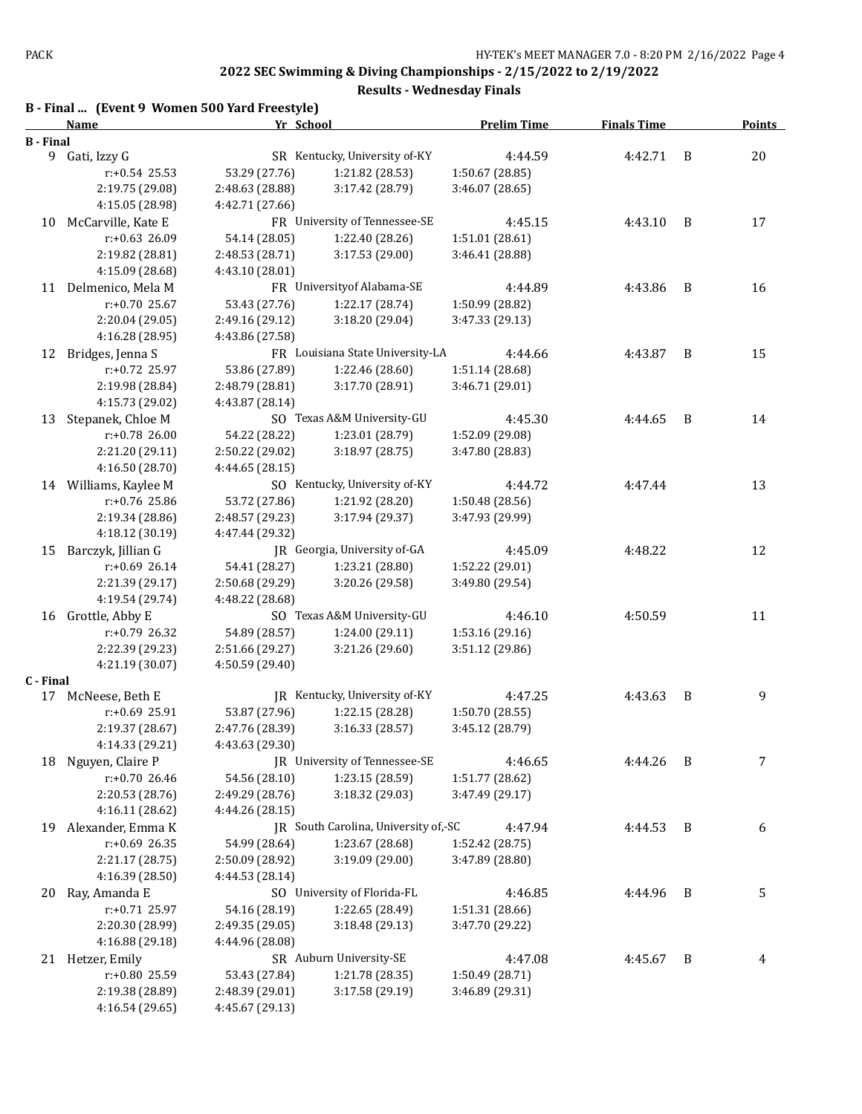|                       | B - Final  (Event 9 Women 500 Yard Freestyle) |                 |                                      |                    |                    |                |               |
|-----------------------|-----------------------------------------------|-----------------|--------------------------------------|--------------------|--------------------|----------------|---------------|
|                       | <b>Name</b>                                   | Yr School       |                                      | <b>Prelim Time</b> | <b>Finals Time</b> |                | <b>Points</b> |
| <b>B</b> - Final<br>9 | Gati, Izzy G                                  |                 | SR Kentucky, University of-KY        | 4:44.59            | 4:42.71            | B              | 20            |
|                       | $r: +0.54$ 25.53                              | 53.29 (27.76)   | 1:21.82 (28.53)                      | 1:50.67 (28.85)    |                    |                |               |
|                       | 2:19.75 (29.08)                               | 2:48.63 (28.88) | 3:17.42 (28.79)                      | 3:46.07 (28.65)    |                    |                |               |
|                       | 4:15.05 (28.98)                               | 4:42.71 (27.66) |                                      |                    |                    |                |               |
| 10                    | McCarville, Kate E                            |                 | FR University of Tennessee-SE        | 4:45.15            | 4:43.10            | B              | 17            |
|                       | $r: +0.63$ 26.09                              | 54.14 (28.05)   | 1:22.40 (28.26)                      | 1:51.01 (28.61)    |                    |                |               |
|                       | 2:19.82 (28.81)                               | 2:48.53 (28.71) | 3:17.53 (29.00)                      | 3:46.41 (28.88)    |                    |                |               |
|                       | 4:15.09 (28.68)                               | 4:43.10 (28.01) |                                      |                    |                    |                |               |
|                       | 11 Delmenico, Mela M                          |                 | FR University of Alabama-SE          | 4:44.89            | 4:43.86            | B              | 16            |
|                       | r:+0.70 25.67                                 | 53.43 (27.76)   | 1:22.17 (28.74)                      | 1:50.99 (28.82)    |                    |                |               |
|                       | 2:20.04 (29.05)                               | 2:49.16 (29.12) | 3:18.20 (29.04)                      | 3:47.33 (29.13)    |                    |                |               |
|                       |                                               |                 |                                      |                    |                    |                |               |
|                       | 4:16.28 (28.95)                               | 4:43.86 (27.58) | FR Louisiana State University-LA     |                    |                    |                |               |
| 12                    | Bridges, Jenna S                              |                 |                                      | 4:44.66            | 4:43.87            | B              | 15            |
|                       | r:+0.72 25.97                                 | 53.86 (27.89)   | 1:22.46 (28.60)                      | 1:51.14 (28.68)    |                    |                |               |
|                       | 2:19.98 (28.84)                               | 2:48.79 (28.81) | 3:17.70 (28.91)                      | 3:46.71 (29.01)    |                    |                |               |
|                       | 4:15.73 (29.02)                               | 4:43.87 (28.14) |                                      |                    |                    |                |               |
| 13                    | Stepanek, Chloe M                             |                 | SO Texas A&M University-GU           | 4:45.30            | 4:44.65            | B              | 14            |
|                       | $r: +0.78$ 26.00                              | 54.22 (28.22)   | 1:23.01 (28.79)                      | 1:52.09 (29.08)    |                    |                |               |
|                       | 2:21.20 (29.11)                               | 2:50.22 (29.02) | 3:18.97 (28.75)                      | 3:47.80 (28.83)    |                    |                |               |
|                       | 4:16.50 (28.70)                               | 4:44.65 (28.15) |                                      |                    |                    |                |               |
|                       | 14 Williams, Kaylee M                         |                 | SO Kentucky, University of-KY        | 4:44.72            | 4:47.44            |                | 13            |
|                       | $r: +0.76$ 25.86                              | 53.72 (27.86)   | 1:21.92 (28.20)                      | 1:50.48 (28.56)    |                    |                |               |
|                       | 2:19.34 (28.86)                               | 2:48.57 (29.23) | 3:17.94 (29.37)                      | 3:47.93 (29.99)    |                    |                |               |
|                       | 4:18.12 (30.19)                               | 4:47.44 (29.32) |                                      |                    |                    |                |               |
| 15                    | Barczyk, Jillian G                            |                 | JR Georgia, University of-GA         | 4:45.09            | 4:48.22            |                | 12            |
|                       | $r: +0.69$ 26.14                              | 54.41 (28.27)   | 1:23.21 (28.80)                      | 1:52.22 (29.01)    |                    |                |               |
|                       | 2:21.39 (29.17)                               | 2:50.68 (29.29) | 3:20.26 (29.58)                      | 3:49.80 (29.54)    |                    |                |               |
|                       | 4:19.54 (29.74)                               | 4:48.22 (28.68) |                                      |                    |                    |                |               |
| 16                    | Grottle, Abby E                               |                 | SO Texas A&M University-GU           | 4:46.10            | 4:50.59            |                | 11            |
|                       | r:+0.79 26.32                                 | 54.89 (28.57)   | 1:24.00 (29.11)                      | 1:53.16 (29.16)    |                    |                |               |
|                       | 2:22.39 (29.23)                               | 2:51.66 (29.27) | 3:21.26 (29.60)                      | 3:51.12 (29.86)    |                    |                |               |
|                       | 4:21.19 (30.07)                               | 4:50.59 (29.40) |                                      |                    |                    |                |               |
| C - Final             |                                               |                 |                                      |                    |                    |                |               |
| 17                    | McNeese, Beth E                               |                 | JR Kentucky, University of-KY        | 4:47.25            | 4:43.63            | B              | 9             |
|                       | r:+0.69 25.91                                 | 53.87 (27.96)   | 1:22.15 (28.28)                      | 1:50.70 (28.55)    |                    |                |               |
|                       | 2:19.37 (28.67)                               | 2:47.76 (28.39) | 3:16.33 (28.57)                      | 3:45.12 (28.79)    |                    |                |               |
|                       | 4:14.33 (29.21)                               | 4:43.63 (29.30) |                                      |                    |                    |                |               |
| 18                    | Nguyen, Claire P                              |                 | JR University of Tennessee-SE        | 4:46.65            | 4:44.26            | B              | 7             |
|                       | r:+0.70 26.46                                 | 54.56 (28.10)   | 1:23.15 (28.59)                      | 1:51.77 (28.62)    |                    |                |               |
|                       | 2:20.53 (28.76)                               | 2:49.29 (28.76) | 3:18.32 (29.03)                      | 3:47.49 (29.17)    |                    |                |               |
|                       | 4:16.11 (28.62)                               | 4:44.26 (28.15) |                                      |                    |                    |                |               |
| 19                    | Alexander, Emma K                             |                 | JR South Carolina, University of,-SC | 4:47.94            | 4:44.53            | - B            | 6             |
|                       | $r: +0.69$ 26.35                              | 54.99 (28.64)   | 1:23.67 (28.68)                      | 1:52.42 (28.75)    |                    |                |               |
|                       | 2:21.17 (28.75)                               | 2:50.09 (28.92) | 3:19.09 (29.00)                      | 3:47.89 (28.80)    |                    |                |               |
|                       | 4:16.39 (28.50)                               | 4:44.53 (28.14) |                                      |                    |                    |                |               |
| 20                    | Ray, Amanda E                                 |                 | SO University of Florida-FL          | 4:46.85            | 4:44.96            | $\overline{B}$ | 5             |
|                       | $r: +0.71$ 25.97                              | 54.16 (28.19)   | 1:22.65 (28.49)                      | 1:51.31 (28.66)    |                    |                |               |
|                       | 2:20.30 (28.99)                               | 2:49.35 (29.05) | 3:18.48 (29.13)                      | 3:47.70 (29.22)    |                    |                |               |
|                       | 4:16.88 (29.18)                               | 4:44.96 (28.08) |                                      |                    |                    |                |               |
|                       | 21 Hetzer, Emily                              |                 | SR Auburn University-SE              | 4:47.08            | 4:45.67            | B              | 4             |
|                       | r:+0.80 25.59                                 | 53.43 (27.84)   | 1:21.78 (28.35)                      | 1:50.49 (28.71)    |                    |                |               |
|                       | 2:19.38 (28.89)                               | 2:48.39 (29.01) | 3:17.58 (29.19)                      | 3:46.89 (29.31)    |                    |                |               |
|                       | 4:16.54 (29.65)                               | 4:45.67 (29.13) |                                      |                    |                    |                |               |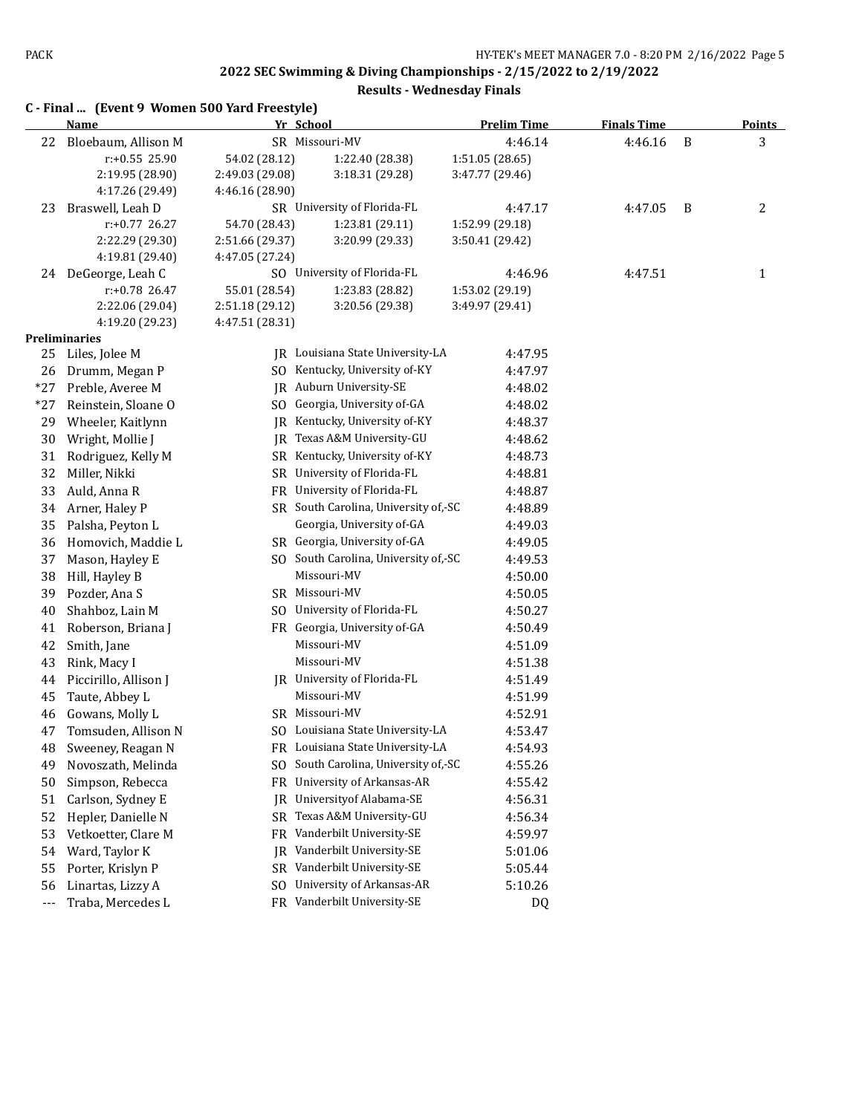**C - Final ... (Event 9 Women 500 Yard Freestyle) Name Yr School Prelim Time Finals Time Points** 22 Bloebaum, Allison M SR Missouri-MV 4:46.14 4:46.16 B 3 r:+0.55 25.90 54.02 (28.12) 1:22.40 (28.38) 1:51.05 (28.65) 2:19.95 (28.90) 2:49.03 (29.08) 3:18.31 (29.28) 3:47.77 (29.46) 4:17.26 (29.49) 4:46.16 (28.90) 23 Braswell, Leah D SR University of Florida-FL 4:47.17 4:47.05 B 2 r:+0.77 26.27 54.70 (28.43) 1:23.81 (29.11) 1:52.99 (29.18) 2:22.29 (29.30) 2:51.66 (29.37) 3:20.99 (29.33) 3:50.41 (29.42) 4:19.81 (29.40) 4:47.05 (27.24) 24 DeGeorge, Leah C SO University of Florida-FL 4:46.96 4:47.51 1 1 r:+0.78 26.47 55.01 (28.54) 1:23.83 (28.82) 1:53.02 (29.19) 2:22.06 (29.04) 2:51.18 (29.12) 3:20.56 (29.38) 3:49.97 (29.41) 4:19.20 (29.23) 4:47.51 (28.31) **Preliminaries** 25 Liles, Jolee M JR Louisiana State University-LA 4:47.95 26 Drumm, Megan P SO Kentucky, University of-KY 4:47.97 \*27 Preble, Averee M JR Auburn University-SE 4:48.02 \*27 Reinstein, Sloane O SO Georgia, University of-GA 4:48.02 29 Wheeler, Kaitlynn JR Kentucky, University of-KY 4:48.37 30 Wright, Mollie J JR Texas A&M University-GU 4:48.62 31 Rodriguez, Kelly M SR Kentucky, University of-KY 4:48.73 32 Miller, Nikki SR University of Florida-FL 4:48.81 33 Auld, Anna R FR University of Florida-FL 4:48.87 34 Arner, Haley P SR South Carolina, University of,-SC 4:48.89 35 Palsha, Peyton L Georgia, University of-GA 4:49.03 36 Homovich, Maddie L SR Georgia, University of-GA 4:49.05 37 Mason, Hayley E SO South Carolina, University of, SC 4:49.53 38 Hill, Hayley B Missouri-MV 4:50.00 39 Pozder, Ana S SR Missouri-MV 4:50.05 40 Shahboz, Lain M SO University of Florida-FL 4:50.27 41 Roberson, Briana J FR Georgia, University of-GA 4:50.49 42 Smith, Jane Missouri-MV 4:51.09 43 Rink, Macy I Missouri-MV 4:51.38 44 Piccirillo, Allison J JR University of Florida-FL 4:51.49 4:51.99 4:51.99 Abbey L Missouri-MV 46 Gowans, Molly L SR Missouri-MV 4:52.91 47 Tomsuden, Allison N SO Louisiana State University-LA 4:53.47 48 Sweeney, Reagan N FR Louisiana State University-LA 4:54.93 49 Novoszath, Melinda SO South Carolina, University of, SC 4:55.26 50 Simpson, Rebecca **FR** University of Arkansas-AR 4:55.42 51 Carlson, Sydney E JR Universityof Alabama-SE 4:56.31 52 Hepler, Danielle N SR Texas A&M University-GU 4:56.34 53 Vetkoetter, Clare M FR Vanderbilt University-SE 4:59.97 54 Ward, Taylor K JR Vanderbilt University-SE 5:01.06 55 Porter, Krislyn P SR Vanderbilt University-SE 5:05.44 56 Linartas, Lizzy A SO University of Arkansas-AR 5:10.26 --- Traba, Mercedes L FR Vanderbilt University-SE DQ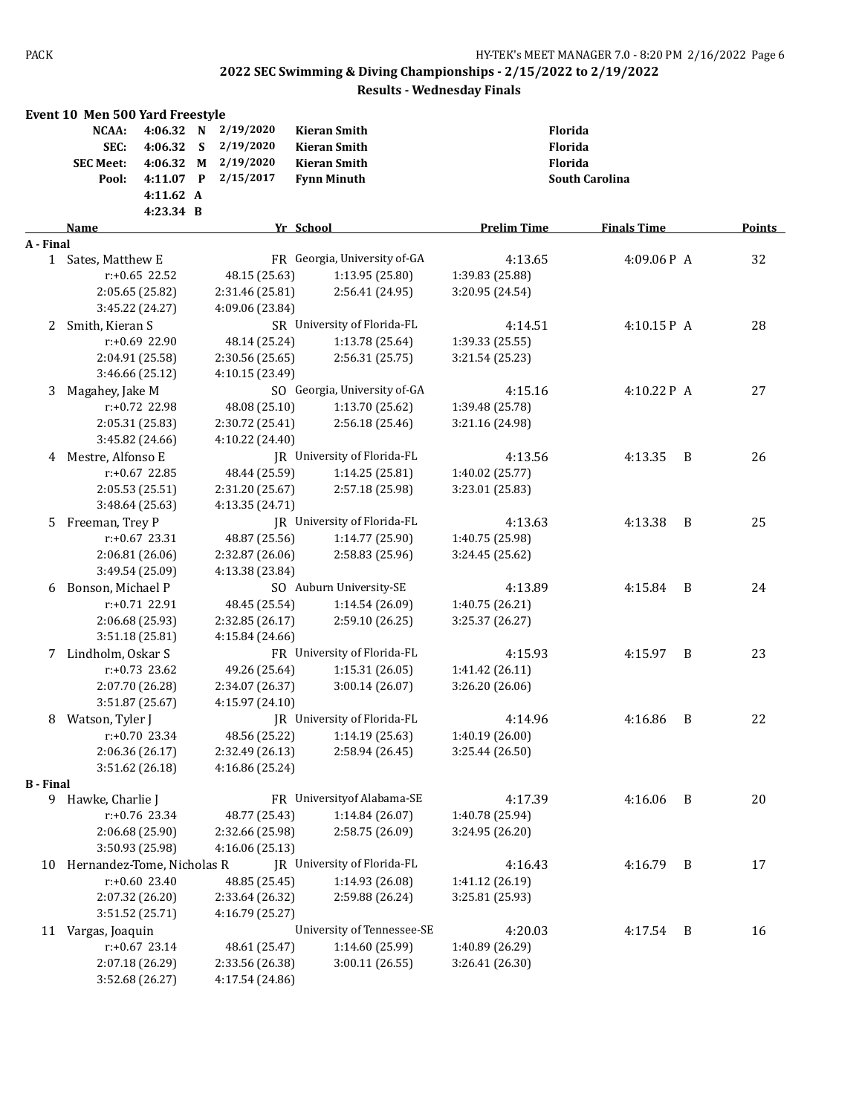|                  | Event 10 Men 500 Yard Freestyle |                  |   |                 |                              |                    |                       |                |               |
|------------------|---------------------------------|------------------|---|-----------------|------------------------------|--------------------|-----------------------|----------------|---------------|
|                  | NCAA:                           | 4:06.32 N        |   | 2/19/2020       | <b>Kieran Smith</b>          |                    | Florida               |                |               |
|                  | SEC:                            | 4:06.32          | S | 2/19/2020       | <b>Kieran Smith</b>          |                    | Florida               |                |               |
|                  | <b>SEC Meet:</b>                | 4:06.32 M        |   | 2/19/2020       | <b>Kieran Smith</b>          |                    | Florida               |                |               |
|                  | Pool:                           | 4:11.07 P        |   | 2/15/2017       | <b>Fynn Minuth</b>           |                    | <b>South Carolina</b> |                |               |
|                  |                                 | 4:11.62 A        |   |                 |                              |                    |                       |                |               |
|                  |                                 | 4:23.34 B        |   |                 |                              |                    |                       |                |               |
|                  | Name                            |                  |   |                 | Yr School                    | <b>Prelim Time</b> | <b>Finals Time</b>    |                | <b>Points</b> |
| A - Final        |                                 |                  |   |                 |                              |                    |                       |                |               |
| 1                | Sates, Matthew E                |                  |   |                 | FR Georgia, University of-GA | 4:13.65            | 4:09.06P A            |                | 32            |
|                  |                                 | $r: +0.65$ 22.52 |   | 48.15 (25.63)   | 1:13.95 (25.80)              | 1:39.83 (25.88)    |                       |                |               |
|                  | 2:05.65 (25.82)                 |                  |   | 2:31.46 (25.81) | 2:56.41 (24.95)              | 3:20.95 (24.54)    |                       |                |               |
|                  | 3:45.22 (24.27)                 |                  |   | 4:09.06 (23.84) |                              |                    |                       |                |               |
| 2                | Smith, Kieran S                 |                  |   |                 | SR University of Florida-FL  | 4:14.51            | 4:10.15P A            |                | 28            |
|                  |                                 | r:+0.69 22.90    |   | 48.14 (25.24)   | 1:13.78 (25.64)              | 1:39.33 (25.55)    |                       |                |               |
|                  | 2:04.91 (25.58)                 |                  |   | 2:30.56 (25.65) | 2:56.31(25.75)               | 3:21.54 (25.23)    |                       |                |               |
|                  | 3:46.66 (25.12)                 |                  |   | 4:10.15 (23.49) |                              |                    |                       |                |               |
| 3                | Magahey, Jake M                 |                  |   |                 | SO Georgia, University of-GA | 4:15.16            | 4:10.22 P A           |                | 27            |
|                  |                                 | $r: +0.72$ 22.98 |   | 48.08 (25.10)   | 1:13.70 (25.62)              | 1:39.48 (25.78)    |                       |                |               |
|                  | 2:05.31 (25.83)                 |                  |   | 2:30.72 (25.41) | 2:56.18 (25.46)              | 3:21.16 (24.98)    |                       |                |               |
|                  | 3:45.82 (24.66)                 |                  |   | 4:10.22 (24.40) |                              |                    |                       |                |               |
|                  | 4 Mestre, Alfonso E             |                  |   |                 | JR University of Florida-FL  | 4:13.56            | 4:13.35               | B              | 26            |
|                  |                                 |                  |   |                 |                              |                    |                       |                |               |
|                  |                                 | r:+0.67 22.85    |   | 48.44 (25.59)   | 1:14.25 (25.81)              | 1:40.02 (25.77)    |                       |                |               |
|                  | 2:05.53 (25.51)                 |                  |   | 2:31.20 (25.67) | 2:57.18 (25.98)              | 3:23.01 (25.83)    |                       |                |               |
|                  | 3:48.64 (25.63)                 |                  |   | 4:13.35 (24.71) |                              |                    |                       |                |               |
| 5                | Freeman, Trey P                 |                  |   |                 | JR University of Florida-FL  | 4:13.63            | 4:13.38               | B              | 25            |
|                  |                                 | $r: +0.67$ 23.31 |   | 48.87 (25.56)   | 1:14.77 (25.90)              | 1:40.75 (25.98)    |                       |                |               |
|                  | 2:06.81 (26.06)                 |                  |   | 2:32.87 (26.06) | 2:58.83 (25.96)              | 3:24.45 (25.62)    |                       |                |               |
|                  | 3:49.54 (25.09)                 |                  |   | 4:13.38 (23.84) |                              |                    |                       |                |               |
| 6                | Bonson, Michael P               |                  |   |                 | SO Auburn University-SE      | 4:13.89            | 4:15.84               | - B            | 24            |
|                  |                                 | r:+0.71 22.91    |   | 48.45 (25.54)   | 1:14.54 (26.09)              | 1:40.75 (26.21)    |                       |                |               |
|                  | 2:06.68 (25.93)                 |                  |   | 2:32.85 (26.17) | 2:59.10 (26.25)              | 3:25.37 (26.27)    |                       |                |               |
|                  | 3:51.18 (25.81)                 |                  |   | 4:15.84 (24.66) |                              |                    |                       |                |               |
|                  | 7 Lindholm, Oskar S             |                  |   |                 | FR University of Florida-FL  | 4:15.93            | 4:15.97               | $\overline{B}$ | 23            |
|                  |                                 | $r: +0.73$ 23.62 |   | 49.26 (25.64)   | 1:15.31 (26.05)              | 1:41.42 (26.11)    |                       |                |               |
|                  | 2:07.70 (26.28)                 |                  |   | 2:34.07 (26.37) | 3:00.14 (26.07)              | 3:26.20 (26.06)    |                       |                |               |
|                  | 3:51.87 (25.67)                 |                  |   | 4:15.97 (24.10) |                              |                    |                       |                |               |
| 8                | Watson, Tyler J                 |                  |   |                 | JR University of Florida-FL  | 4:14.96            | 4:16.86               | B              | 22            |
|                  |                                 | $r: +0.70$ 23.34 |   | 48.56 (25.22)   | 1:14.19 (25.63)              | 1:40.19 (26.00)    |                       |                |               |
|                  | 2:06.36 (26.17)                 |                  |   | 2:32.49 (26.13) | 2:58.94 (26.45)              | 3:25.44 (26.50)    |                       |                |               |
|                  | 3:51.62 (26.18)                 |                  |   | 4:16.86 (25.24) |                              |                    |                       |                |               |
| <b>B</b> - Final |                                 |                  |   |                 |                              |                    |                       |                |               |
|                  | 9 Hawke, Charlie J              |                  |   |                 | FR University of Alabama-SE  | 4:17.39            | 4:16.06               | $\overline{B}$ | 20            |
|                  |                                 | r:+0.76 23.34    |   | 48.77 (25.43)   | 1:14.84 (26.07)              | 1:40.78 (25.94)    |                       |                |               |
|                  | 2:06.68 (25.90)                 |                  |   | 2:32.66 (25.98) | 2:58.75 (26.09)              | 3:24.95 (26.20)    |                       |                |               |
|                  | 3:50.93 (25.98)                 |                  |   | 4:16.06 (25.13) |                              |                    |                       |                |               |
| 10               | Hernandez-Tome, Nicholas R      |                  |   |                 | JR University of Florida-FL  | 4:16.43            | 4:16.79 B             |                | 17            |
|                  |                                 | $r: +0.60$ 23.40 |   | 48.85 (25.45)   | 1:14.93 (26.08)              | 1:41.12 (26.19)    |                       |                |               |
|                  | 2:07.32 (26.20)                 |                  |   | 2:33.64 (26.32) | 2:59.88 (26.24)              | 3:25.81 (25.93)    |                       |                |               |
|                  | 3:51.52 (25.71)                 |                  |   | 4:16.79 (25.27) |                              |                    |                       |                |               |
| 11               | Vargas, Joaquin                 |                  |   |                 | University of Tennessee-SE   | 4:20.03            | 4:17.54               | B              | 16            |
|                  |                                 | $r: +0.67$ 23.14 |   | 48.61 (25.47)   | 1:14.60 (25.99)              | 1:40.89 (26.29)    |                       |                |               |
|                  | 2:07.18 (26.29)                 |                  |   | 2:33.56 (26.38) | 3:00.11 (26.55)              | 3:26.41 (26.30)    |                       |                |               |
|                  | 3:52.68 (26.27)                 |                  |   | 4:17.54 (24.86) |                              |                    |                       |                |               |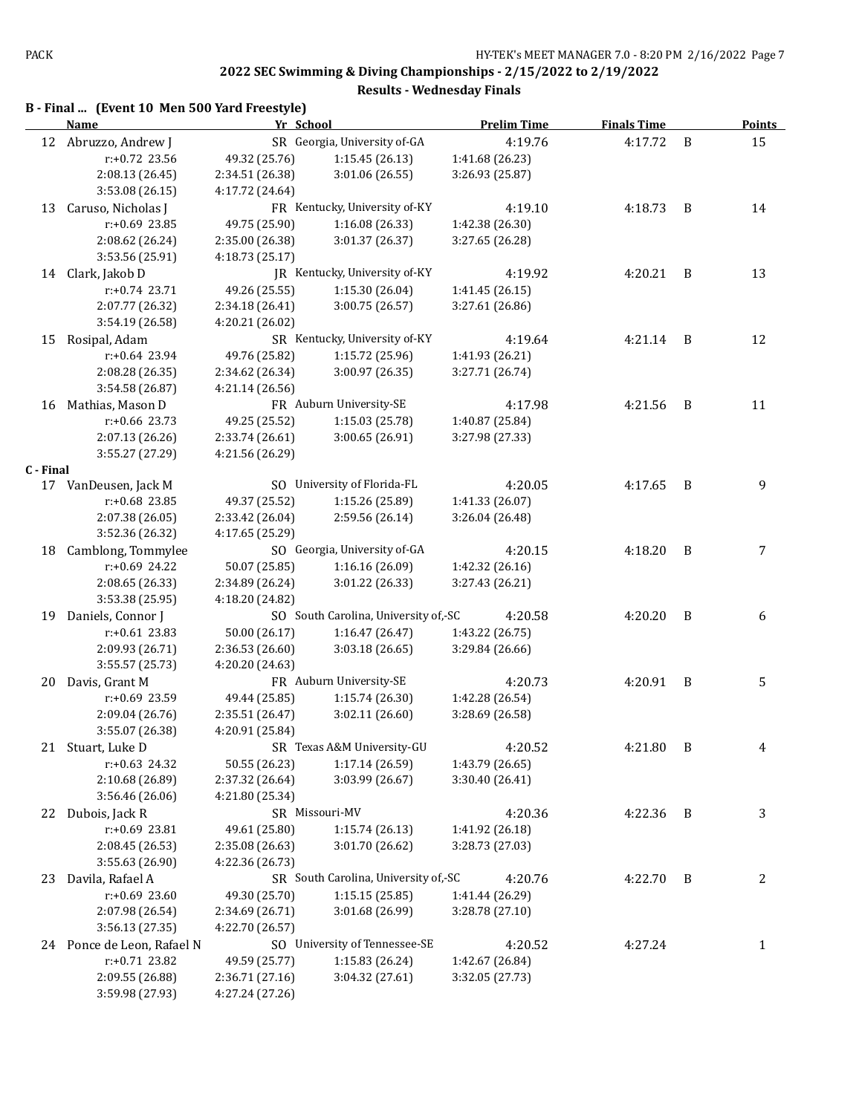| B - Final  (Event 10 Men 500 Yard Freestyle) |  |
|----------------------------------------------|--|
|----------------------------------------------|--|

|           | <b>Name</b>                | Yr School       |                                      | <b>Prelim Time</b> | <b>Finals Time</b> |                | <b>Points</b> |
|-----------|----------------------------|-----------------|--------------------------------------|--------------------|--------------------|----------------|---------------|
|           | 12 Abruzzo, Andrew J       |                 | SR Georgia, University of-GA         | 4:19.76            | 4:17.72            | B              | 15            |
|           | r:+0.72 23.56              | 49.32 (25.76)   | 1:15.45 (26.13)                      | 1:41.68 (26.23)    |                    |                |               |
|           | 2:08.13 (26.45)            | 2:34.51 (26.38) | 3:01.06 (26.55)                      | 3:26.93 (25.87)    |                    |                |               |
|           | 3:53.08 (26.15)            | 4:17.72 (24.64) |                                      |                    |                    |                |               |
| 13        | Caruso, Nicholas J         |                 | FR Kentucky, University of-KY        | 4:19.10            | 4:18.73            | B              | 14            |
|           | r:+0.69 23.85              | 49.75 (25.90)   | 1:16.08 (26.33)                      | 1:42.38 (26.30)    |                    |                |               |
|           | 2:08.62 (26.24)            | 2:35.00 (26.38) | 3:01.37 (26.37)                      | 3:27.65 (26.28)    |                    |                |               |
|           | 3:53.56 (25.91)            | 4:18.73 (25.17) |                                      |                    |                    |                |               |
| 14        | Clark, Jakob D             |                 | JR Kentucky, University of-KY        | 4:19.92            | 4:20.21            | B              | 13            |
|           | $r: +0.74$ 23.71           | 49.26 (25.55)   | 1:15.30 (26.04)                      | 1:41.45 (26.15)    |                    |                |               |
|           | 2:07.77 (26.32)            | 2:34.18 (26.41) | 3:00.75 (26.57)                      | 3:27.61 (26.86)    |                    |                |               |
|           | 3:54.19 (26.58)            | 4:20.21 (26.02) |                                      |                    |                    |                |               |
| 15        | Rosipal, Adam              |                 | SR Kentucky, University of-KY        | 4:19.64            | 4:21.14            | B              | 12            |
|           | $r: +0.64$ 23.94           | 49.76 (25.82)   | 1:15.72 (25.96)                      | 1:41.93 (26.21)    |                    |                |               |
|           | 2:08.28 (26.35)            | 2:34.62 (26.34) | 3:00.97 (26.35)                      | 3:27.71 (26.74)    |                    |                |               |
|           | 3:54.58 (26.87)            | 4:21.14 (26.56) |                                      |                    |                    |                |               |
| 16        | Mathias, Mason D           |                 | FR Auburn University-SE              | 4:17.98            | 4:21.56            | B              | 11            |
|           | $r: +0.66$ 23.73           | 49.25 (25.52)   | 1:15.03 (25.78)                      | 1:40.87 (25.84)    |                    |                |               |
|           | 2:07.13 (26.26)            | 2:33.74 (26.61) | 3:00.65 (26.91)                      | 3:27.98 (27.33)    |                    |                |               |
|           | 3:55.27 (27.29)            | 4:21.56 (26.29) |                                      |                    |                    |                |               |
| C - Final |                            |                 |                                      |                    |                    |                |               |
|           | 17 VanDeusen, Jack M       |                 | SO University of Florida-FL          | 4:20.05            | 4:17.65            | B              | 9             |
|           | r:+0.68 23.85              | 49.37 (25.52)   | 1:15.26 (25.89)                      | 1:41.33 (26.07)    |                    |                |               |
|           | 2:07.38 (26.05)            | 2:33.42 (26.04) | 2:59.56 (26.14)                      | 3:26.04 (26.48)    |                    |                |               |
|           | 3:52.36 (26.32)            | 4:17.65 (25.29) |                                      |                    |                    |                |               |
| 18        | Camblong, Tommylee         |                 | SO Georgia, University of-GA         | 4:20.15            | 4:18.20            | B              | 7             |
|           | r:+0.69 24.22              | 50.07 (25.85)   | 1:16.16 (26.09)                      | 1:42.32 (26.16)    |                    |                |               |
|           | 2:08.65 (26.33)            | 2:34.89 (26.24) | 3:01.22 (26.33)                      | 3:27.43 (26.21)    |                    |                |               |
|           | 3:53.38 (25.95)            | 4:18.20 (24.82) |                                      |                    |                    |                |               |
| 19        | Daniels, Connor J          |                 | SO South Carolina, University of,-SC | 4:20.58            | 4:20.20            | B              | 6             |
|           | $r: +0.61$ 23.83           | 50.00 (26.17)   | 1:16.47(26.47)                       | 1:43.22 (26.75)    |                    |                |               |
|           | 2:09.93 (26.71)            | 2:36.53 (26.60) | 3:03.18 (26.65)                      | 3:29.84 (26.66)    |                    |                |               |
|           | 3:55.57 (25.73)            | 4:20.20 (24.63) |                                      |                    |                    |                |               |
| 20        | Davis, Grant M             |                 | FR Auburn University-SE              | 4:20.73            | 4:20.91            | B              | 5             |
|           | r:+0.69 23.59              | 49.44 (25.85)   | 1:15.74(26.30)                       | 1:42.28 (26.54)    |                    |                |               |
|           | 2:09.04 (26.76)            | 2:35.51 (26.47) | 3:02.11 (26.60)                      | 3:28.69 (26.58)    |                    |                |               |
|           | 3:55.07 (26.38)            | 4:20.91 (25.84) |                                      |                    |                    |                |               |
|           | 21 Stuart, Luke D          |                 | SR Texas A&M University-GU           | 4:20.52            | 4:21.80            | $\overline{B}$ |               |
|           | r:+0.63 24.32              | 50.55 (26.23)   | 1:17.14 (26.59)                      | 1:43.79 (26.65)    |                    |                |               |
|           | 2:10.68 (26.89)            | 2:37.32 (26.64) | 3:03.99 (26.67)                      | 3:30.40 (26.41)    |                    |                |               |
|           | 3:56.46 (26.06)            | 4:21.80 (25.34) |                                      |                    |                    |                |               |
| 22        | Dubois, Jack R             |                 | SR Missouri-MV                       | 4:20.36            | 4:22.36 B          |                | 3             |
|           | r:+0.69 23.81              | 49.61 (25.80)   | 1:15.74 (26.13)                      | 1:41.92 (26.18)    |                    |                |               |
|           | 2:08.45 (26.53)            | 2:35.08 (26.63) | 3:01.70 (26.62)                      | 3:28.73 (27.03)    |                    |                |               |
|           | 3:55.63 (26.90)            | 4:22.36 (26.73) |                                      |                    |                    |                |               |
| 23        | Davila, Rafael A           |                 | SR South Carolina, University of,-SC | 4:20.76            | 4:22.70 B          |                | 2             |
|           | $r: +0.69$ 23.60           | 49.30 (25.70)   | 1:15.15(25.85)                       | 1:41.44 (26.29)    |                    |                |               |
|           | 2:07.98 (26.54)            | 2:34.69 (26.71) | 3:01.68 (26.99)                      | 3:28.78 (27.10)    |                    |                |               |
|           | 3:56.13 (27.35)            | 4:22.70 (26.57) |                                      |                    |                    |                |               |
|           | 24 Ponce de Leon, Rafael N |                 | SO University of Tennessee-SE        | 4:20.52            | 4:27.24            |                | $\mathbf{1}$  |
|           | r:+0.71 23.82              | 49.59 (25.77)   | 1:15.83 (26.24)                      | 1:42.67 (26.84)    |                    |                |               |
|           | 2:09.55 (26.88)            | 2:36.71 (27.16) | 3:04.32 (27.61)                      | 3:32.05 (27.73)    |                    |                |               |
|           | 3:59.98 (27.93)            | 4:27.24 (27.26) |                                      |                    |                    |                |               |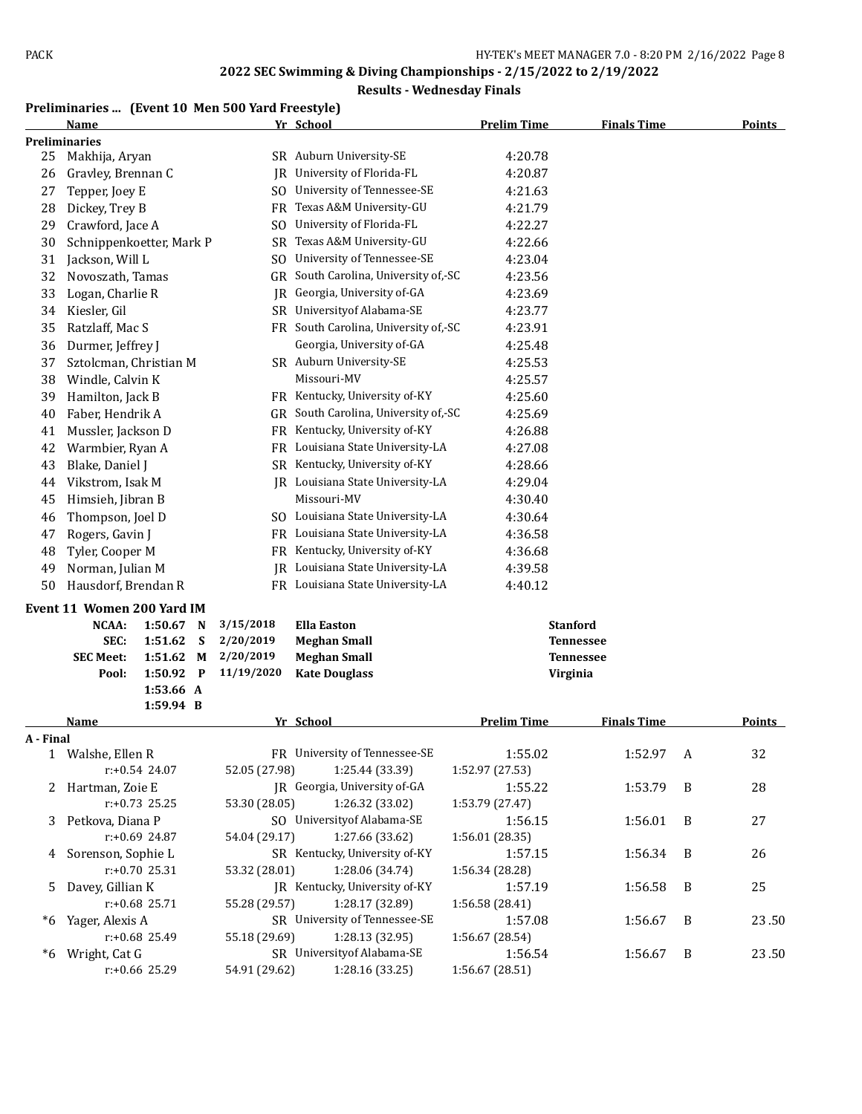#### **Results - Wednesday Finals**

# **Preliminaries ... (Event 10 Men 500 Yard Freestyle)**

|              | Name                        |           |   |               | Yr School                            | <b>Prelim Time</b> | <b>Finals Time</b> |   | <b>Points</b> |
|--------------|-----------------------------|-----------|---|---------------|--------------------------------------|--------------------|--------------------|---|---------------|
|              | Preliminaries               |           |   |               |                                      |                    |                    |   |               |
| 25           | Makhija, Aryan              |           |   |               | SR Auburn University-SE              | 4:20.78            |                    |   |               |
| 26           | Gravley, Brennan C          |           |   | IR            | University of Florida-FL             | 4:20.87            |                    |   |               |
| 27           | Tepper, Joey E              |           |   | SO.           | University of Tennessee-SE           | 4:21.63            |                    |   |               |
| 28           | Dickey, Trey B              |           |   | FR            | Texas A&M University-GU              | 4:21.79            |                    |   |               |
| 29           | Crawford, Jace A            |           |   | SO.           | University of Florida-FL             | 4:22.27            |                    |   |               |
| 30           | Schnippenkoetter, Mark P    |           |   | <b>SR</b>     | Texas A&M University-GU              | 4:22.66            |                    |   |               |
| 31           | Jackson, Will L             |           |   | SO.           | University of Tennessee-SE           | 4:23.04            |                    |   |               |
| 32           | Novoszath, Tamas            |           |   | GR            | South Carolina, University of,-SC    | 4:23.56            |                    |   |               |
| 33           | Logan, Charlie R            |           |   | JR            | Georgia, University of-GA            | 4:23.69            |                    |   |               |
| 34           | Kiesler, Gil                |           |   |               | SR University of Alabama-SE          | 4:23.77            |                    |   |               |
| 35           | Ratzlaff, Mac S             |           |   |               | FR South Carolina, University of,-SC | 4:23.91            |                    |   |               |
| 36           | Durmer, Jeffrey J           |           |   |               | Georgia, University of-GA            | 4:25.48            |                    |   |               |
| 37           | Sztolcman, Christian M      |           |   |               | SR Auburn University-SE              | 4:25.53            |                    |   |               |
| 38           | Windle, Calvin K            |           |   |               | Missouri-MV                          | 4:25.57            |                    |   |               |
| 39           | Hamilton, Jack B            |           |   |               | FR Kentucky, University of-KY        | 4:25.60            |                    |   |               |
| 40           | Faber, Hendrik A            |           |   |               | GR South Carolina, University of,-SC | 4:25.69            |                    |   |               |
|              |                             |           |   |               | Kentucky, University of-KY           |                    |                    |   |               |
| 41           | Mussler, Jackson D          |           |   | FR            |                                      | 4:26.88            |                    |   |               |
| 42           | Warmbier, Ryan A            |           |   |               | FR Louisiana State University-LA     | 4:27.08            |                    |   |               |
| 43           | Blake, Daniel J             |           |   |               | SR Kentucky, University of-KY        | 4:28.66            |                    |   |               |
| 44           | Vikstrom, Isak M            |           |   |               | JR Louisiana State University-LA     | 4:29.04            |                    |   |               |
| 45           | Himsieh, Jibran B           |           |   |               | Missouri-MV                          | 4:30.40            |                    |   |               |
| 46           | Thompson, Joel D            |           |   |               | SO Louisiana State University-LA     | 4:30.64            |                    |   |               |
| 47           | Rogers, Gavin J             |           |   |               | FR Louisiana State University-LA     | 4:36.58            |                    |   |               |
| 48           | Tyler, Cooper M             |           |   |               | FR Kentucky, University of-KY        | 4:36.68            |                    |   |               |
| 49           | Norman, Julian M            |           |   |               | JR Louisiana State University-LA     | 4:39.58            |                    |   |               |
| 50           | Hausdorf, Brendan R         |           |   |               | FR Louisiana State University-LA     | 4:40.12            |                    |   |               |
|              | Event 11 Women 200 Yard IM  |           |   |               |                                      |                    |                    |   |               |
|              | NCAA:<br>1:50.67            |           | N | 3/15/2018     | <b>Ella Easton</b>                   |                    | <b>Stanford</b>    |   |               |
|              | SEC:<br>1:51.62             |           | S | 2/20/2019     | <b>Meghan Small</b>                  |                    | Tennessee          |   |               |
|              | <b>SEC Meet:</b><br>1:51.62 |           | M | 2/20/2019     | <b>Meghan Small</b>                  |                    | Tennessee          |   |               |
|              | Pool:                       | 1:50.92 P |   | 11/19/2020    | <b>Kate Douglass</b>                 | Virginia           |                    |   |               |
|              |                             | 1:53.66 A |   |               |                                      |                    |                    |   |               |
|              |                             | 1:59.94 B |   |               |                                      |                    |                    |   |               |
|              | <u>Name</u>                 |           |   |               | Yr School                            | <b>Prelim Time</b> | <b>Finals Time</b> |   | <b>Points</b> |
| A - Final    |                             |           |   |               |                                      |                    |                    |   |               |
| $\mathbf{1}$ | Walshe, Ellen R             |           |   |               | FR University of Tennessee-SE        | 1:55.02            | 1:52.97 A          |   | 32            |
|              | $r: +0.54$ 24.07            |           |   | 52.05 (27.98) | 1:25.44 (33.39)                      | 1:52.97 (27.53)    |                    |   |               |
|              | 2 Hartman, Zoie E           |           |   |               | JR Georgia, University of-GA         | 1:55.22            | 1:53.79            | B | 28            |
|              | $r: +0.73$ 25.25            |           |   | 53.30 (28.05) | 1:26.32 (33.02)                      | 1:53.79 (27.47)    |                    |   |               |
|              | 3 Petkova, Diana P          |           |   |               | SO University of Alabama-SE          | 1:56.15            | 1:56.01            | B | 27            |
|              | r:+0.69 24.87               |           |   | 54.04 (29.17) | 1:27.66 (33.62)                      | 1:56.01 (28.35)    |                    |   |               |
|              | 4 Sorenson, Sophie L        |           |   |               | SR Kentucky, University of-KY        | 1:57.15            | 1:56.34            | B | 26            |
|              | r:+0.70 25.31               |           |   | 53.32 (28.01) | 1:28.06 (34.74)                      | 1:56.34 (28.28)    |                    |   |               |
| 5.           | Davey, Gillian K            |           |   |               | JR Kentucky, University of-KY        | 1:57.19            | 1:56.58            | B | 25            |
|              | r:+0.68 25.71               |           |   | 55.28 (29.57) | 1:28.17 (32.89)                      | 1:56.58 (28.41)    |                    |   |               |
| *6           | Yager, Alexis A             |           |   |               | SR University of Tennessee-SE        | 1:57.08            | 1:56.67            | B | 23.50         |
|              | r:+0.68 25.49               |           |   | 55.18 (29.69) | 1:28.13 (32.95)                      | 1:56.67 (28.54)    |                    |   |               |
| *6           | Wright, Cat G               |           |   |               | SR University of Alabama-SE          | 1:56.54            | 1:56.67            | B | 23.50         |
|              | r:+0.66 25.29               |           |   | 54.91 (29.62) | 1:28.16 (33.25)                      | 1:56.67 (28.51)    |                    |   |               |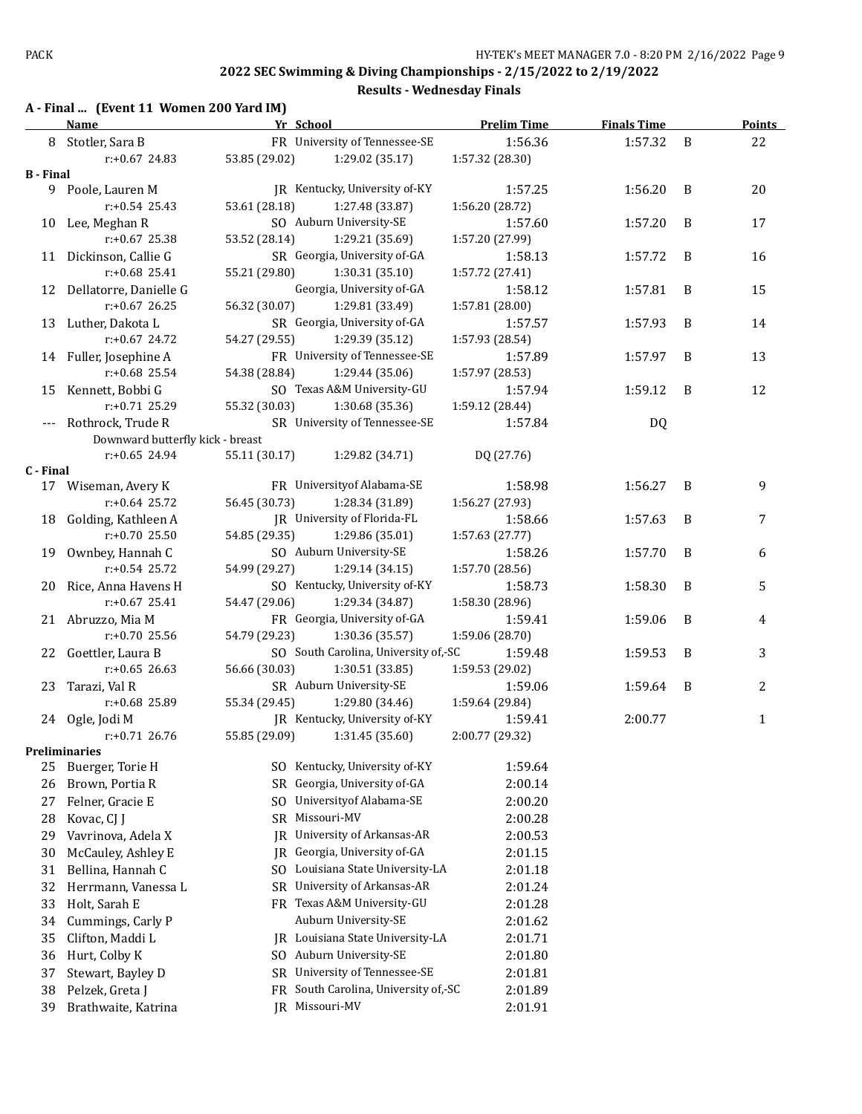**Results - Wednesday Finals**

#### **A - Final ... (Event 11 Women 200 Yard IM)**

|                  | <b>Name</b>                      | Yr School     |                                      | <b>Prelim Time</b> | <b>Finals Time</b> |   | <b>Points</b> |
|------------------|----------------------------------|---------------|--------------------------------------|--------------------|--------------------|---|---------------|
|                  | 8 Stotler, Sara B                |               | FR University of Tennessee-SE        | 1:56.36            | 1:57.32            | B | 22            |
|                  | r:+0.67 24.83                    | 53.85 (29.02) | 1:29.02 (35.17)                      | 1:57.32 (28.30)    |                    |   |               |
| <b>B</b> - Final |                                  |               |                                      |                    |                    |   |               |
|                  | 9 Poole, Lauren M                |               | JR Kentucky, University of-KY        | 1:57.25            | 1:56.20            | B | 20            |
|                  | $r: +0.54$ 25.43                 | 53.61 (28.18) | 1:27.48 (33.87)                      | 1:56.20 (28.72)    |                    |   |               |
|                  | 10 Lee, Meghan R                 |               | SO Auburn University-SE              | 1:57.60            | 1:57.20            | B | 17            |
|                  | $r: +0.67$ 25.38                 | 53.52 (28.14) | 1:29.21 (35.69)                      | 1:57.20 (27.99)    |                    |   |               |
|                  | 11 Dickinson, Callie G           |               | SR Georgia, University of-GA         | 1:58.13            | 1:57.72            | B | 16            |
|                  | r:+0.68 25.41                    | 55.21 (29.80) | 1:30.31(35.10)                       | 1:57.72 (27.41)    |                    |   |               |
|                  | 12 Dellatorre, Danielle G        |               | Georgia, University of-GA            | 1:58.12            | 1:57.81            | B | 15            |
|                  | r:+0.67 26.25                    | 56.32 (30.07) | 1:29.81 (33.49)                      | 1:57.81 (28.00)    |                    |   |               |
|                  | 13 Luther, Dakota L              |               | SR Georgia, University of-GA         | 1:57.57            | 1:57.93            | B | 14            |
|                  | $r: +0.67$ 24.72                 | 54.27 (29.55) | 1:29.39 (35.12)                      | 1:57.93 (28.54)    |                    |   |               |
|                  | 14 Fuller, Josephine A           |               | FR University of Tennessee-SE        | 1:57.89            | 1:57.97            | B | 13            |
|                  | r:+0.68 25.54                    | 54.38 (28.84) | 1:29.44 (35.06)                      | 1:57.97 (28.53)    |                    |   |               |
|                  | 15 Kennett, Bobbi G              |               | SO Texas A&M University-GU           | 1:57.94            | 1:59.12            | B | 12            |
|                  | $r: +0.71$ 25.29                 | 55.32 (30.03) | 1:30.68 (35.36)                      | 1:59.12 (28.44)    |                    |   |               |
|                  | --- Rothrock, Trude R            |               | SR University of Tennessee-SE        | 1:57.84            | DQ                 |   |               |
|                  | Downward butterfly kick - breast |               |                                      |                    |                    |   |               |
|                  | $r: +0.65$ 24.94                 | 55.11 (30.17) | 1:29.82 (34.71)                      | DQ (27.76)         |                    |   |               |
| C - Final        |                                  |               |                                      |                    |                    |   |               |
|                  | 17 Wiseman, Avery K              |               | FR University of Alabama-SE          | 1:58.98            | 1:56.27            | B | 9             |
|                  | $r: +0.64$ 25.72                 | 56.45 (30.73) | 1:28.34 (31.89)                      | 1:56.27 (27.93)    |                    |   |               |
|                  | 18 Golding, Kathleen A           |               | JR University of Florida-FL          | 1:58.66            | 1:57.63            | B | 7             |
|                  | r:+0.70 25.50                    | 54.85 (29.35) | 1:29.86 (35.01)                      | 1:57.63 (27.77)    |                    |   |               |
|                  | 19 Ownbey, Hannah C              |               | SO Auburn University-SE              | 1:58.26            | 1:57.70            | B | 6             |
|                  | $r: +0.54$ 25.72                 | 54.99 (29.27) | 1:29.14(34.15)                       | 1:57.70 (28.56)    |                    |   |               |
|                  | 20 Rice, Anna Havens H           |               | SO Kentucky, University of-KY        | 1:58.73            | 1:58.30            | B | 5             |
|                  | $r: +0.67$ 25.41                 | 54.47 (29.06) | 1:29.34 (34.87)                      | 1:58.30 (28.96)    |                    |   |               |
|                  | 21 Abruzzo, Mia M                |               | FR Georgia, University of-GA         | 1:59.41            | 1:59.06            | B | 4             |
|                  | r:+0.70 25.56                    | 54.79 (29.23) | 1:30.36 (35.57)                      | 1:59.06 (28.70)    |                    |   |               |
|                  | 22 Goettler, Laura B             |               | SO South Carolina, University of,-SC | 1:59.48            | 1:59.53            | B | 3             |
|                  | $r: +0.65$ 26.63                 | 56.66 (30.03) | 1:30.51 (33.85)                      | 1:59.53 (29.02)    |                    |   |               |
|                  | 23 Tarazi, Val R                 |               | SR Auburn University-SE              | 1:59.06            | 1:59.64            | B | 2             |
|                  | r:+0.68 25.89                    | 55.34 (29.45) | 1:29.80 (34.46)                      | 1:59.64 (29.84)    |                    |   |               |
|                  | 24 Ogle, Jodi M                  |               | JR Kentucky, University of-KY        | 1:59.41            | 2:00.77            |   | 1             |
|                  | $r: +0.71$ 26.76                 | 55.85 (29.09) | 1:31.45 (35.60)                      | 2:00.77 (29.32)    |                    |   |               |
|                  | <b>Preliminaries</b>             |               | SO Kentucky, University of-KY        |                    |                    |   |               |
| 25               | Buerger, Torie H                 |               | Georgia, University of-GA            | 1:59.64            |                    |   |               |
| 26               | Brown, Portia R                  | SR.           |                                      | 2:00.14            |                    |   |               |
| 27               | Felner, Gracie E                 | SO.           | University of Alabama-SE             | 2:00.20            |                    |   |               |
| 28               | Kovac, CJ J                      |               | SR Missouri-MV                       | 2:00.28            |                    |   |               |
| 29               | Vavrinova, Adela X               | IR            | University of Arkansas-AR            | 2:00.53            |                    |   |               |
| 30               | McCauley, Ashley E               | IR            | Georgia, University of-GA            | 2:01.15            |                    |   |               |
| 31               | Bellina, Hannah C                | SO.           | Louisiana State University-LA        | 2:01.18            |                    |   |               |
| 32               | Herrmann, Vanessa L              | SR            | University of Arkansas-AR            | 2:01.24            |                    |   |               |
| 33               | Holt, Sarah E                    |               | FR Texas A&M University-GU           | 2:01.28            |                    |   |               |
| 34               | Cummings, Carly P                |               | Auburn University-SE                 | 2:01.62            |                    |   |               |
| 35               | Clifton, Maddi L                 | IR            | Louisiana State University-LA        | 2:01.71            |                    |   |               |
| 36               | Hurt, Colby K                    |               | SO Auburn University-SE              | 2:01.80            |                    |   |               |
| 37               | Stewart, Bayley D                | SR            | University of Tennessee-SE           | 2:01.81            |                    |   |               |
| 38               | Pelzek, Greta J                  | FR            | South Carolina, University of,-SC    | 2:01.89            |                    |   |               |
| 39               | Brathwaite, Katrina              |               | JR Missouri-MV                       | 2:01.91            |                    |   |               |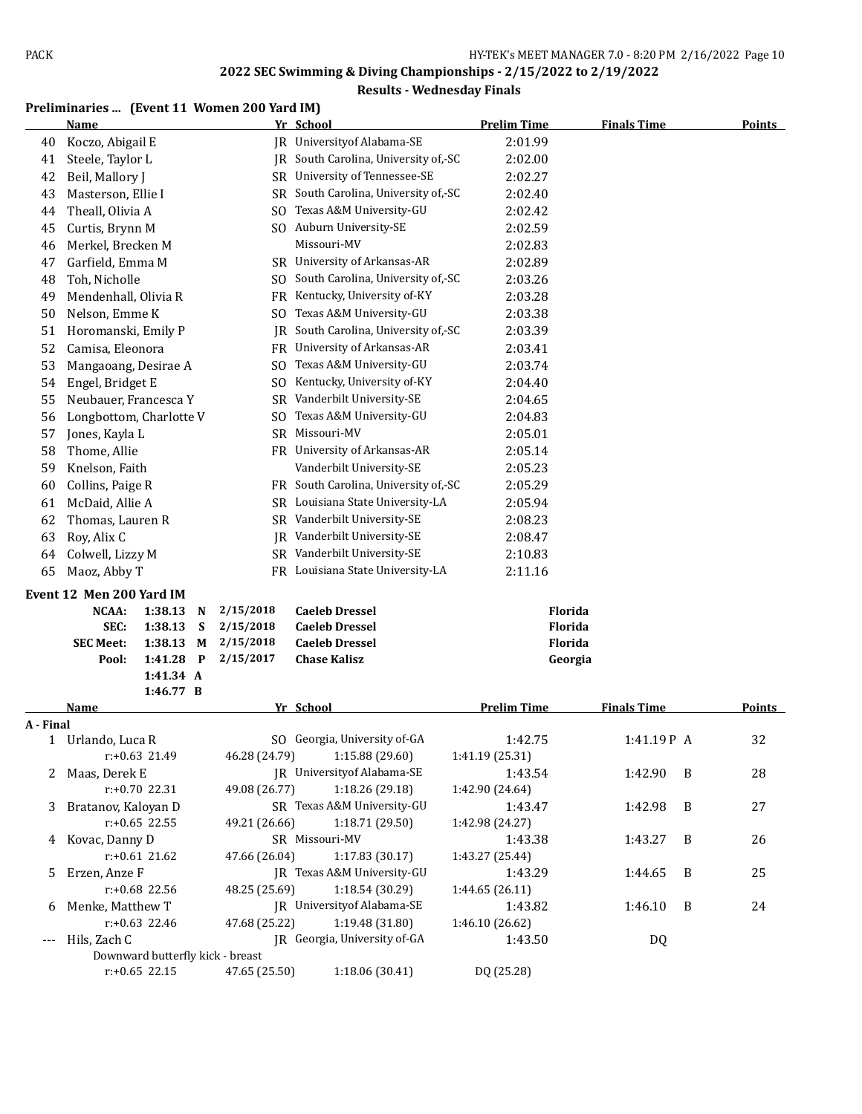#### **Results - Wednesday Finals**

### **Preliminaries ... (Event 11 Women 200 Yard IM)**

|           | Name                              |           |   |                | Yr School                            | <b>Prelim Time</b> | <b>Finals Time</b> |   | <b>Points</b> |
|-----------|-----------------------------------|-----------|---|----------------|--------------------------------------|--------------------|--------------------|---|---------------|
| 40        | Koczo, Abigail E                  |           |   |                | <b>IR</b> University of Alabama-SE   | 2:01.99            |                    |   |               |
| 41        | Steele, Taylor L                  |           |   |                | JR South Carolina, University of,-SC | 2:02.00            |                    |   |               |
| 42        | Beil, Mallory J                   |           |   |                | SR University of Tennessee-SE        | 2:02.27            |                    |   |               |
| 43        | Masterson, Ellie I                |           |   | SR             | South Carolina, University of,-SC    | 2:02.40            |                    |   |               |
| 44        | Theall, Olivia A                  |           |   | SO.            | Texas A&M University-GU              | 2:02.42            |                    |   |               |
| 45        | Curtis, Brynn M                   |           |   |                | SO Auburn University-SE              | 2:02.59            |                    |   |               |
| 46        | Merkel, Brecken M                 |           |   |                | Missouri-MV                          | 2:02.83            |                    |   |               |
| 47        | Garfield, Emma M                  |           |   |                | SR University of Arkansas-AR         | 2:02.89            |                    |   |               |
| 48        | Toh, Nicholle                     |           |   | SO.            | South Carolina, University of,-SC    | 2:03.26            |                    |   |               |
| 49        | Mendenhall, Olivia R              |           |   | FR             | Kentucky, University of-KY           | 2:03.28            |                    |   |               |
| 50        | Nelson, Emme K                    |           |   | SO.            | Texas A&M University-GU              | 2:03.38            |                    |   |               |
| 51        | Horomanski, Emily P               |           |   | IR             | South Carolina, University of,-SC    | 2:03.39            |                    |   |               |
| 52        | Camisa, Eleonora                  |           |   | FR             | University of Arkansas-AR            | 2:03.41            |                    |   |               |
| 53        | Mangaoang, Desirae A              |           |   | SO.            | Texas A&M University-GU              | 2:03.74            |                    |   |               |
| 54        | Engel, Bridget E                  |           |   | S <sub>0</sub> | Kentucky, University of-KY           | 2:04.40            |                    |   |               |
| 55        | Neubauer, Francesca Y             |           |   | SR             | Vanderbilt University-SE             | 2:04.65            |                    |   |               |
| 56        | Longbottom, Charlotte V           |           |   | SO.            | Texas A&M University-GU              | 2:04.83            |                    |   |               |
| 57        | Jones, Kayla L                    |           |   | SR             | Missouri-MV                          | 2:05.01            |                    |   |               |
| 58        | Thome, Allie                      |           |   |                | FR University of Arkansas-AR         | 2:05.14            |                    |   |               |
| 59        | Knelson, Faith                    |           |   |                | Vanderbilt University-SE             | 2:05.23            |                    |   |               |
| 60        | Collins, Paige R                  |           |   |                | FR South Carolina, University of,-SC | 2:05.29            |                    |   |               |
| 61        | McDaid, Allie A                   |           |   | SR             | Louisiana State University-LA        | 2:05.94            |                    |   |               |
| 62        | Thomas, Lauren R                  |           |   |                | SR Vanderbilt University-SE          | 2:08.23            |                    |   |               |
| 63        | Roy, Alix C                       |           |   | IR             | Vanderbilt University-SE             | 2:08.47            |                    |   |               |
| 64        | Colwell, Lizzy M                  |           |   |                | SR Vanderbilt University-SE          | 2:10.83            |                    |   |               |
| 65        | Maoz, Abby T                      |           |   |                | FR Louisiana State University-LA     | 2:11.16            |                    |   |               |
|           |                                   |           |   |                |                                      |                    |                    |   |               |
|           | Event 12 Men 200 Yard IM<br>NCAA: | 1:38.13   | N | 2/15/2018      | <b>Caeleb Dressel</b>                | Florida            |                    |   |               |
|           | SEC:                              | 1:38.13   | S | 2/15/2018      | <b>Caeleb Dressel</b>                | Florida            |                    |   |               |
|           | <b>SEC Meet:</b>                  | 1:38.13   | M | 2/15/2018      | <b>Caeleb Dressel</b>                | <b>Florida</b>     |                    |   |               |
|           | Pool:                             | 1:41.28   | P | 2/15/2017      | <b>Chase Kalisz</b>                  | Georgia            |                    |   |               |
|           |                                   | 1:41.34 A |   |                |                                      |                    |                    |   |               |
|           |                                   | 1:46.77 B |   |                |                                      |                    |                    |   |               |
|           | <b>Name</b>                       |           |   |                | Yr School                            | <b>Prelim Time</b> | <b>Finals Time</b> |   | Points        |
| A - Final |                                   |           |   |                |                                      |                    |                    |   |               |
|           | 1 Urlando, Luca R                 |           |   |                | SO Georgia, University of-GA         | 1:42.75            | 1:41.19P A         |   | 32            |
|           | r:+0.63 21.49                     |           |   | 46.28 (24.79)  | 1:15.88 (29.60)                      | 1:41.19 (25.31)    |                    |   |               |
|           | 2 Maas, Derek E                   |           |   |                | JR University of Alabama-SE          | 1:43.54            | 1:42.90            | B | 28            |
|           | r:+0.70 22.31                     |           |   | 49.08 (26.77)  | 1:18.26 (29.18)                      | 1:42.90 (24.64)    |                    |   |               |
| 3         | Bratanov, Kaloyan D               |           |   |                | SR Texas A&M University-GU           | 1:43.47            | 1:42.98            | B | 27            |
|           | $r: +0.65$ 22.55                  |           |   | 49.21 (26.66)  | 1:18.71 (29.50)                      | 1:42.98 (24.27)    |                    |   |               |
|           | 4 Kovac, Danny D                  |           |   |                | SR Missouri-MV                       | 1:43.38            | 1:43.27            | B | 26            |
|           | $r: +0.61$ 21.62                  |           |   | 47.66 (26.04)  | 1:17.83 (30.17)                      | 1:43.27 (25.44)    |                    |   |               |
| 5         | Erzen, Anze F                     |           |   |                | JR Texas A&M University-GU           | 1:43.29            | 1:44.65            | B | 25            |
|           | r:+0.68 22.56                     |           |   | 48.25 (25.69)  | 1:18.54 (30.29)                      | 1:44.65 (26.11)    |                    |   |               |
| 6         | Menke, Matthew T                  |           |   |                | JR University of Alabama-SE          | 1:43.82            | 1:46.10            | B | 24            |
|           | r:+0.63 22.46                     |           |   | 47.68 (25.22)  | 1:19.48 (31.80)                      | 1:46.10 (26.62)    |                    |   |               |
| ---       | Hils, Zach C                      |           |   |                | JR Georgia, University of-GA         | 1:43.50            | DQ                 |   |               |
|           | Downward butterfly kick - breast  |           |   |                |                                      |                    |                    |   |               |
|           | $r: +0.65$ 22.15                  |           |   | 47.65 (25.50)  | 1:18.06 (30.41)                      | DQ (25.28)         |                    |   |               |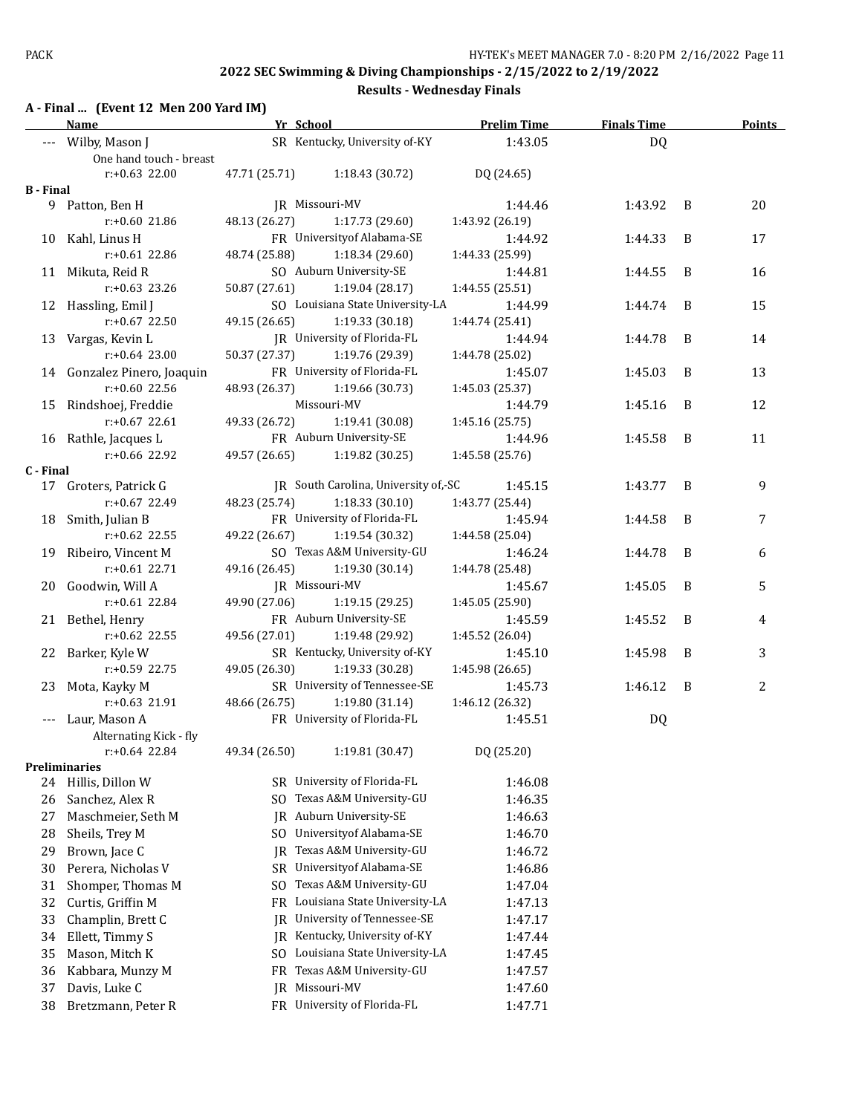**Results - Wednesday Finals**

## **A - Final ... (Event 12 Men 200 Yard IM)**

|                  | Name                                          | Yr School     |                                      | <b>Prelim Time</b>         | <b>Finals Time</b> |   | <b>Points</b> |
|------------------|-----------------------------------------------|---------------|--------------------------------------|----------------------------|--------------------|---|---------------|
|                  | --- Wilby, Mason J<br>One hand touch - breast |               | SR Kentucky, University of-KY        | 1:43.05                    | DQ                 |   |               |
|                  | $r: +0.63$ 22.00                              | 47.71 (25.71) | 1:18.43 (30.72)                      | DQ (24.65)                 |                    |   |               |
| <b>B</b> - Final |                                               |               |                                      |                            |                    |   |               |
|                  | 9 Patton, Ben H<br>$r: +0.60$ 21.86           | 48.13 (26.27) | JR Missouri-MV<br>1:17.73 (29.60)    | 1:44.46<br>1:43.92 (26.19) | 1:43.92            | B | 20            |
|                  | 10 Kahl, Linus H                              |               | FR University of Alabama-SE          | 1:44.92                    | 1:44.33            | B | 17            |
|                  | $r: +0.61$ 22.86                              | 48.74 (25.88) | 1:18.34(29.60)                       | 1:44.33 (25.99)            |                    |   |               |
|                  | 11 Mikuta, Reid R                             |               | SO Auburn University-SE              | 1:44.81                    | 1:44.55            | B | 16            |
|                  | $r: +0.63$ 23.26                              | 50.87 (27.61) | 1:19.04 (28.17)                      | 1:44.55 (25.51)            |                    |   |               |
|                  | 12 Hassling, Emil J                           |               | SO Louisiana State University-LA     | 1:44.99                    | 1:44.74            | B | 15            |
|                  | $r: +0.67$ 22.50                              | 49.15 (26.65) | 1:19.33 (30.18)                      | 1:44.74 (25.41)            |                    |   |               |
|                  | 13 Vargas, Kevin L                            |               | JR University of Florida-FL          | 1:44.94                    | 1:44.78            | B | 14            |
|                  | $r: +0.64$ 23.00                              | 50.37 (27.37) | 1:19.76 (29.39)                      | 1:44.78 (25.02)            |                    |   |               |
|                  | 14 Gonzalez Pinero, Joaquin                   |               | FR University of Florida-FL          | 1:45.07                    | 1:45.03            | B | 13            |
|                  | $r: +0.60$ 22.56                              | 48.93 (26.37) | 1:19.66 (30.73)                      | 1:45.03 (25.37)            |                    |   |               |
|                  |                                               |               | Missouri-MV                          |                            |                    | B |               |
|                  | 15 Rindshoej, Freddie                         |               | 1:19.41 (30.08)                      | 1:44.79                    | 1:45.16            |   | 12            |
|                  | $r: +0.67$ 22.61                              | 49.33 (26.72) |                                      | 1:45.16 (25.75)            |                    |   |               |
|                  | 16 Rathle, Jacques L                          |               | FR Auburn University-SE              | 1:44.96                    | 1:45.58            | B | 11            |
|                  | $r: +0.66$ 22.92                              | 49.57 (26.65) | 1:19.82 (30.25)                      | 1:45.58 (25.76)            |                    |   |               |
| C - Final        |                                               |               | JR South Carolina, University of,-SC | 1:45.15                    | 1:43.77            | B |               |
|                  | 17 Groters, Patrick G<br>$r: +0.67$ 22.49     |               |                                      |                            |                    |   | 9             |
|                  |                                               | 48.23 (25.74) | 1:18.33(30.10)                       | 1:43.77 (25.44)            |                    |   |               |
|                  | 18 Smith, Julian B                            |               | FR University of Florida-FL          | 1:45.94                    | 1:44.58            | B | 7             |
|                  | r:+0.62 22.55                                 | 49.22 (26.67) | 1:19.54 (30.32)                      | 1:44.58 (25.04)            |                    |   |               |
|                  | 19 Ribeiro, Vincent M                         |               | SO Texas A&M University-GU           | 1:46.24                    | 1:44.78            | B | 6             |
|                  | $r: +0.61$ 22.71                              | 49.16 (26.45) | 1:19.30 (30.14)                      | 1:44.78 (25.48)            |                    |   |               |
|                  | 20 Goodwin, Will A                            |               | JR Missouri-MV                       | 1:45.67                    | 1:45.05            | B | 5             |
|                  | $r: +0.61$ 22.84                              | 49.90 (27.06) | 1:19.15 (29.25)                      | 1:45.05 (25.90)            |                    |   |               |
|                  | 21 Bethel, Henry                              |               | FR Auburn University-SE              | 1:45.59                    | 1:45.52            | B | 4             |
|                  | $r: +0.62$ 22.55                              | 49.56 (27.01) | 1:19.48 (29.92)                      | 1:45.52 (26.04)            |                    |   |               |
|                  | 22 Barker, Kyle W                             |               | SR Kentucky, University of-KY        | 1:45.10                    | 1:45.98            | B | 3             |
|                  | $r: +0.59$ 22.75                              | 49.05 (26.30) | 1:19.33 (30.28)                      | 1:45.98 (26.65)            |                    |   |               |
|                  | 23 Mota, Kayky M                              |               | SR University of Tennessee-SE        | 1:45.73                    | 1:46.12            | B | 2             |
|                  | $r: +0.63$ 21.91                              | 48.66 (26.75) | 1:19.80 (31.14)                      | 1:46.12 (26.32)            |                    |   |               |
|                  | --- Laur, Mason A                             |               | FR University of Florida-FL          | 1:45.51                    | DQ                 |   |               |
|                  | Alternating Kick - fly                        |               |                                      |                            |                    |   |               |
|                  | r:+0.64 22.84                                 | 49.34 (26.50) | 1:19.81 (30.47)                      | DQ (25.20)                 |                    |   |               |
|                  | Preliminaries                                 |               |                                      |                            |                    |   |               |
| 24               | Hillis, Dillon W                              |               | SR University of Florida-FL          | 1:46.08                    |                    |   |               |
| 26               | Sanchez, Alex R                               | SO.           | Texas A&M University-GU              | 1:46.35                    |                    |   |               |
| 27               | Maschmeier, Seth M                            |               | JR Auburn University-SE              | 1:46.63                    |                    |   |               |
| 28               | Sheils, Trey M                                | SO.           | Universityof Alabama-SE              | 1:46.70                    |                    |   |               |
| 29               | Brown, Jace C                                 | IR            | Texas A&M University-GU              | 1:46.72                    |                    |   |               |
| 30               | Perera, Nicholas V                            | SR            | University of Alabama-SE             | 1:46.86                    |                    |   |               |
| 31               | Shomper, Thomas M                             | SO.           | Texas A&M University-GU              | 1:47.04                    |                    |   |               |
| 32               | Curtis, Griffin M                             | FR            | Louisiana State University-LA        | 1:47.13                    |                    |   |               |
| 33               | Champlin, Brett C                             | IR            | University of Tennessee-SE           | 1:47.17                    |                    |   |               |
| 34               | Ellett, Timmy S                               | IR            | Kentucky, University of-KY           | 1:47.44                    |                    |   |               |
| 35               | Mason, Mitch K                                |               | SO Louisiana State University-LA     | 1:47.45                    |                    |   |               |
| 36               | Kabbara, Munzy M                              | FR            | Texas A&M University-GU              | 1:47.57                    |                    |   |               |
| 37               | Davis, Luke C                                 | IR            | Missouri-MV                          | 1:47.60                    |                    |   |               |
|                  |                                               |               | FR University of Florida-FL          |                            |                    |   |               |
| 38               | Bretzmann, Peter R                            |               |                                      | 1:47.71                    |                    |   |               |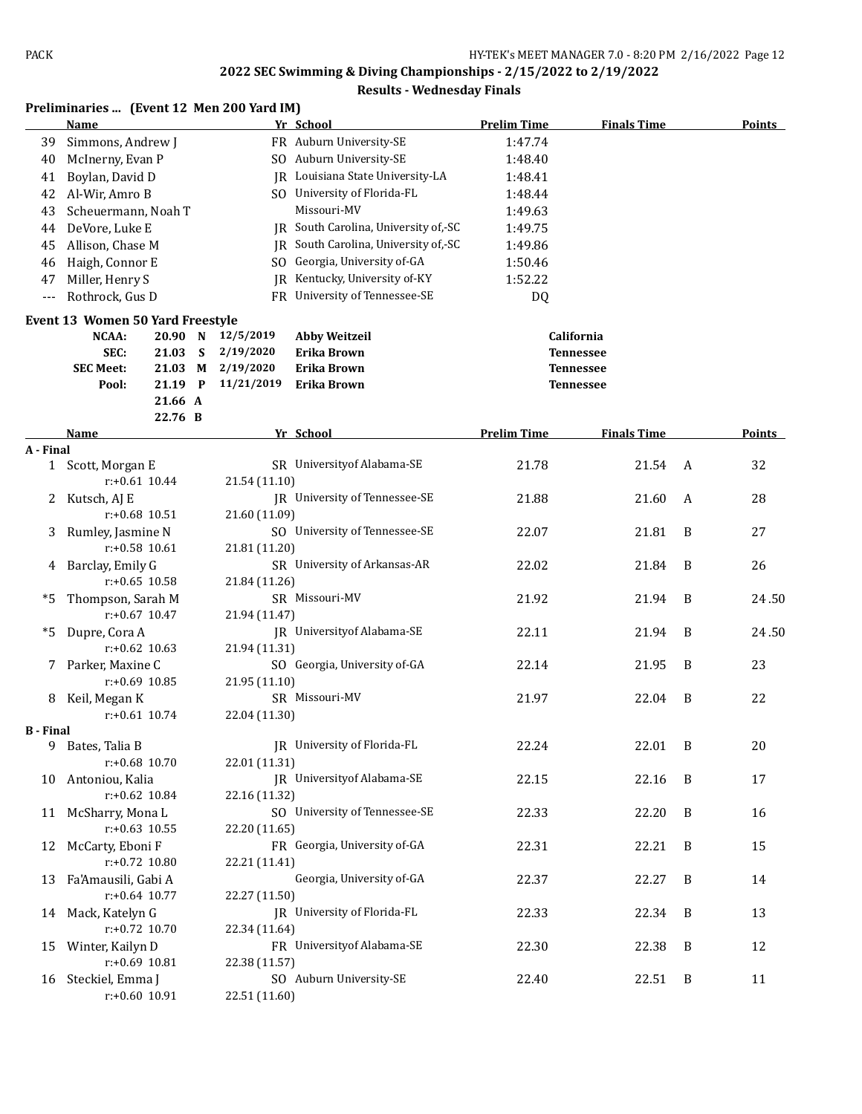| Yr School<br><b>Prelim Time</b><br><b>Finals Time</b><br><b>Points</b><br>Name<br>FR Auburn University-SE<br>Simmons, Andrew J<br>1:47.74<br>39<br>SO Auburn University-SE<br>McInerny, Evan P<br>1:48.40<br>40<br>JR Louisiana State University-LA<br>Boylan, David D<br>1:48.41<br>41<br>SO University of Florida-FL<br>Al-Wir, Amro B<br>1:48.44<br>42<br>Missouri-MV<br>Scheuermann, Noah T<br>1:49.63<br>43<br>JR South Carolina, University of,-SC<br>DeVore, Luke E<br>1:49.75<br>44<br>JR South Carolina, University of,-SC<br>Allison, Chase M<br>1:49.86<br>45<br>Georgia, University of-GA<br>Haigh, Connor E<br>1:50.46<br>SO.<br>46<br>Kentucky, University of-KY<br>Miller, Henry S<br>1:52.22<br>47<br>IR<br>Rothrock, Gus D<br>FR University of Tennessee-SE<br>DQ<br>$---$<br>Event 13 Women 50 Yard Freestyle<br>12/5/2019<br>California<br>NCAA:<br>20.90 N<br><b>Abby Weitzeil</b><br>2/19/2020<br>SEC:<br>21.03<br>S<br>Erika Brown<br><b>Tennessee</b><br>21.03<br>2/19/2020<br>Erika Brown<br><b>SEC Meet:</b><br>М<br><b>Tennessee</b><br>21.19 P<br>11/21/2019<br>Pool:<br><b>Erika Brown</b><br><b>Tennessee</b><br>21.66 A<br>22.76 B<br><b>Prelim Time</b><br>Points<br>Yr School<br><b>Finals Time</b><br>Name<br>A - Final<br>SR University of Alabama-SE<br>21.78<br>21.54<br>32<br>Scott, Morgan E<br>A<br>1<br>$r+0.61$ 10.44<br>21.54 (11.10)<br>JR University of Tennessee-SE<br>28<br>Kutsch, AJ E<br>21.88<br>21.60<br>A<br>2.<br>21.60 (11.09)<br>$r: +0.68$ 10.51<br>SO University of Tennessee-SE<br>22.07<br>21.81<br>27<br>Rumley, Jasmine N<br>B<br>3<br>$r: +0.58$ 10.61<br>21.81 (11.20)<br>Barclay, Emily G<br>SR University of Arkansas-AR<br>21.84<br>22.02<br>B<br>26<br>4<br>$r: +0.65$ 10.58<br>21.84 (11.26)<br>Thompson, Sarah M<br>SR Missouri-MV<br>*5<br>21.92<br>21.94<br>B<br>$r: +0.67$ 10.47<br>21.94 (11.47)<br>JR University of Alabama-SE<br>Dupre, Cora A<br>22.11<br>*5<br>21.94<br>B<br>$r: +0.62$ 10.63<br>21.94 (11.31)<br>SO Georgia, University of-GA<br>Parker, Maxine C<br>22.14<br>21.95<br>B<br>23<br>r:+0.69 10.85<br>21.95 (11.10)<br>SR Missouri-MV<br>21.97<br>22<br>Keil, Megan K<br>22.04<br>B<br>8<br>$r: +0.61$ 10.74<br>22.04 (11.30)<br><b>B</b> - Final<br>JR University of Florida-FL<br>22.24<br>22.01<br>9 Bates, Talia B<br>B<br>20<br>$r: +0.68$ 10.70<br>22.01 (11.31)<br><b>JR</b> University of Alabama-SE<br>22.15<br>22.16<br>Antoniou, Kalia<br>B<br>17<br>10<br>$r: +0.62$ 10.84<br>22.16 (11.32)<br>SO University of Tennessee-SE<br>22.33<br>22.20<br>McSharry, Mona L<br>B<br>16<br>11<br>$r: +0.63$ 10.55<br>22.20 (11.65)<br>FR Georgia, University of-GA<br>McCarty, Eboni F<br>22.31<br>22.21<br>15<br>B<br>12<br>r:+0.72 10.80<br>22.21 (11.41)<br>Fa'Amausili, Gabi A<br>Georgia, University of-GA<br>22.37<br>22.27<br>B<br>14<br>13<br>$r: +0.64$ 10.77<br>22.27 (11.50)<br>JR University of Florida-FL<br>Mack, Katelyn G<br>22.33<br>22.34<br>B<br>13<br>14<br>$r: +0.72$ 10.70<br>22.34 (11.64)<br>FR University of Alabama-SE<br>Winter, Kailyn D<br>22.30<br>22.38<br>B<br>12<br>15<br>r:+0.69 10.81<br>22.38 (11.57)<br>Steckiel, Emma J<br>SO Auburn University-SE<br>22.40<br>22.51<br>B<br>11<br>16<br>r:+0.60 10.91<br>22.51 (11.60) | Preliminaries  (Event 12 Men 200 Yard IM) |  |  |  |  |
|------------------------------------------------------------------------------------------------------------------------------------------------------------------------------------------------------------------------------------------------------------------------------------------------------------------------------------------------------------------------------------------------------------------------------------------------------------------------------------------------------------------------------------------------------------------------------------------------------------------------------------------------------------------------------------------------------------------------------------------------------------------------------------------------------------------------------------------------------------------------------------------------------------------------------------------------------------------------------------------------------------------------------------------------------------------------------------------------------------------------------------------------------------------------------------------------------------------------------------------------------------------------------------------------------------------------------------------------------------------------------------------------------------------------------------------------------------------------------------------------------------------------------------------------------------------------------------------------------------------------------------------------------------------------------------------------------------------------------------------------------------------------------------------------------------------------------------------------------------------------------------------------------------------------------------------------------------------------------------------------------------------------------------------------------------------------------------------------------------------------------------------------------------------------------------------------------------------------------------------------------------------------------------------------------------------------------------------------------------------------------------------------------------------------------------------------------------------------------------------------------------------------------------------------------------------------------------------------------------------------------------------------------------------------------------------------------------------------------------------------------------------------------------------------------------------------------------------------------------------------------------------------------------------------------------------------------------------------------------------------------------------------------------------------------------------------------------------------------------------------------------------------------------------------------------------------------------------------------------------------------------|-------------------------------------------|--|--|--|--|
|                                                                                                                                                                                                                                                                                                                                                                                                                                                                                                                                                                                                                                                                                                                                                                                                                                                                                                                                                                                                                                                                                                                                                                                                                                                                                                                                                                                                                                                                                                                                                                                                                                                                                                                                                                                                                                                                                                                                                                                                                                                                                                                                                                                                                                                                                                                                                                                                                                                                                                                                                                                                                                                                                                                                                                                                                                                                                                                                                                                                                                                                                                                                                                                                                                                            |                                           |  |  |  |  |
|                                                                                                                                                                                                                                                                                                                                                                                                                                                                                                                                                                                                                                                                                                                                                                                                                                                                                                                                                                                                                                                                                                                                                                                                                                                                                                                                                                                                                                                                                                                                                                                                                                                                                                                                                                                                                                                                                                                                                                                                                                                                                                                                                                                                                                                                                                                                                                                                                                                                                                                                                                                                                                                                                                                                                                                                                                                                                                                                                                                                                                                                                                                                                                                                                                                            |                                           |  |  |  |  |
| 24.50<br>24.50                                                                                                                                                                                                                                                                                                                                                                                                                                                                                                                                                                                                                                                                                                                                                                                                                                                                                                                                                                                                                                                                                                                                                                                                                                                                                                                                                                                                                                                                                                                                                                                                                                                                                                                                                                                                                                                                                                                                                                                                                                                                                                                                                                                                                                                                                                                                                                                                                                                                                                                                                                                                                                                                                                                                                                                                                                                                                                                                                                                                                                                                                                                                                                                                                                             |                                           |  |  |  |  |
|                                                                                                                                                                                                                                                                                                                                                                                                                                                                                                                                                                                                                                                                                                                                                                                                                                                                                                                                                                                                                                                                                                                                                                                                                                                                                                                                                                                                                                                                                                                                                                                                                                                                                                                                                                                                                                                                                                                                                                                                                                                                                                                                                                                                                                                                                                                                                                                                                                                                                                                                                                                                                                                                                                                                                                                                                                                                                                                                                                                                                                                                                                                                                                                                                                                            |                                           |  |  |  |  |
|                                                                                                                                                                                                                                                                                                                                                                                                                                                                                                                                                                                                                                                                                                                                                                                                                                                                                                                                                                                                                                                                                                                                                                                                                                                                                                                                                                                                                                                                                                                                                                                                                                                                                                                                                                                                                                                                                                                                                                                                                                                                                                                                                                                                                                                                                                                                                                                                                                                                                                                                                                                                                                                                                                                                                                                                                                                                                                                                                                                                                                                                                                                                                                                                                                                            |                                           |  |  |  |  |
|                                                                                                                                                                                                                                                                                                                                                                                                                                                                                                                                                                                                                                                                                                                                                                                                                                                                                                                                                                                                                                                                                                                                                                                                                                                                                                                                                                                                                                                                                                                                                                                                                                                                                                                                                                                                                                                                                                                                                                                                                                                                                                                                                                                                                                                                                                                                                                                                                                                                                                                                                                                                                                                                                                                                                                                                                                                                                                                                                                                                                                                                                                                                                                                                                                                            |                                           |  |  |  |  |
|                                                                                                                                                                                                                                                                                                                                                                                                                                                                                                                                                                                                                                                                                                                                                                                                                                                                                                                                                                                                                                                                                                                                                                                                                                                                                                                                                                                                                                                                                                                                                                                                                                                                                                                                                                                                                                                                                                                                                                                                                                                                                                                                                                                                                                                                                                                                                                                                                                                                                                                                                                                                                                                                                                                                                                                                                                                                                                                                                                                                                                                                                                                                                                                                                                                            |                                           |  |  |  |  |
|                                                                                                                                                                                                                                                                                                                                                                                                                                                                                                                                                                                                                                                                                                                                                                                                                                                                                                                                                                                                                                                                                                                                                                                                                                                                                                                                                                                                                                                                                                                                                                                                                                                                                                                                                                                                                                                                                                                                                                                                                                                                                                                                                                                                                                                                                                                                                                                                                                                                                                                                                                                                                                                                                                                                                                                                                                                                                                                                                                                                                                                                                                                                                                                                                                                            |                                           |  |  |  |  |
|                                                                                                                                                                                                                                                                                                                                                                                                                                                                                                                                                                                                                                                                                                                                                                                                                                                                                                                                                                                                                                                                                                                                                                                                                                                                                                                                                                                                                                                                                                                                                                                                                                                                                                                                                                                                                                                                                                                                                                                                                                                                                                                                                                                                                                                                                                                                                                                                                                                                                                                                                                                                                                                                                                                                                                                                                                                                                                                                                                                                                                                                                                                                                                                                                                                            |                                           |  |  |  |  |
|                                                                                                                                                                                                                                                                                                                                                                                                                                                                                                                                                                                                                                                                                                                                                                                                                                                                                                                                                                                                                                                                                                                                                                                                                                                                                                                                                                                                                                                                                                                                                                                                                                                                                                                                                                                                                                                                                                                                                                                                                                                                                                                                                                                                                                                                                                                                                                                                                                                                                                                                                                                                                                                                                                                                                                                                                                                                                                                                                                                                                                                                                                                                                                                                                                                            |                                           |  |  |  |  |
|                                                                                                                                                                                                                                                                                                                                                                                                                                                                                                                                                                                                                                                                                                                                                                                                                                                                                                                                                                                                                                                                                                                                                                                                                                                                                                                                                                                                                                                                                                                                                                                                                                                                                                                                                                                                                                                                                                                                                                                                                                                                                                                                                                                                                                                                                                                                                                                                                                                                                                                                                                                                                                                                                                                                                                                                                                                                                                                                                                                                                                                                                                                                                                                                                                                            |                                           |  |  |  |  |
|                                                                                                                                                                                                                                                                                                                                                                                                                                                                                                                                                                                                                                                                                                                                                                                                                                                                                                                                                                                                                                                                                                                                                                                                                                                                                                                                                                                                                                                                                                                                                                                                                                                                                                                                                                                                                                                                                                                                                                                                                                                                                                                                                                                                                                                                                                                                                                                                                                                                                                                                                                                                                                                                                                                                                                                                                                                                                                                                                                                                                                                                                                                                                                                                                                                            |                                           |  |  |  |  |
|                                                                                                                                                                                                                                                                                                                                                                                                                                                                                                                                                                                                                                                                                                                                                                                                                                                                                                                                                                                                                                                                                                                                                                                                                                                                                                                                                                                                                                                                                                                                                                                                                                                                                                                                                                                                                                                                                                                                                                                                                                                                                                                                                                                                                                                                                                                                                                                                                                                                                                                                                                                                                                                                                                                                                                                                                                                                                                                                                                                                                                                                                                                                                                                                                                                            |                                           |  |  |  |  |
|                                                                                                                                                                                                                                                                                                                                                                                                                                                                                                                                                                                                                                                                                                                                                                                                                                                                                                                                                                                                                                                                                                                                                                                                                                                                                                                                                                                                                                                                                                                                                                                                                                                                                                                                                                                                                                                                                                                                                                                                                                                                                                                                                                                                                                                                                                                                                                                                                                                                                                                                                                                                                                                                                                                                                                                                                                                                                                                                                                                                                                                                                                                                                                                                                                                            |                                           |  |  |  |  |
|                                                                                                                                                                                                                                                                                                                                                                                                                                                                                                                                                                                                                                                                                                                                                                                                                                                                                                                                                                                                                                                                                                                                                                                                                                                                                                                                                                                                                                                                                                                                                                                                                                                                                                                                                                                                                                                                                                                                                                                                                                                                                                                                                                                                                                                                                                                                                                                                                                                                                                                                                                                                                                                                                                                                                                                                                                                                                                                                                                                                                                                                                                                                                                                                                                                            |                                           |  |  |  |  |
|                                                                                                                                                                                                                                                                                                                                                                                                                                                                                                                                                                                                                                                                                                                                                                                                                                                                                                                                                                                                                                                                                                                                                                                                                                                                                                                                                                                                                                                                                                                                                                                                                                                                                                                                                                                                                                                                                                                                                                                                                                                                                                                                                                                                                                                                                                                                                                                                                                                                                                                                                                                                                                                                                                                                                                                                                                                                                                                                                                                                                                                                                                                                                                                                                                                            |                                           |  |  |  |  |
|                                                                                                                                                                                                                                                                                                                                                                                                                                                                                                                                                                                                                                                                                                                                                                                                                                                                                                                                                                                                                                                                                                                                                                                                                                                                                                                                                                                                                                                                                                                                                                                                                                                                                                                                                                                                                                                                                                                                                                                                                                                                                                                                                                                                                                                                                                                                                                                                                                                                                                                                                                                                                                                                                                                                                                                                                                                                                                                                                                                                                                                                                                                                                                                                                                                            |                                           |  |  |  |  |
|                                                                                                                                                                                                                                                                                                                                                                                                                                                                                                                                                                                                                                                                                                                                                                                                                                                                                                                                                                                                                                                                                                                                                                                                                                                                                                                                                                                                                                                                                                                                                                                                                                                                                                                                                                                                                                                                                                                                                                                                                                                                                                                                                                                                                                                                                                                                                                                                                                                                                                                                                                                                                                                                                                                                                                                                                                                                                                                                                                                                                                                                                                                                                                                                                                                            |                                           |  |  |  |  |
|                                                                                                                                                                                                                                                                                                                                                                                                                                                                                                                                                                                                                                                                                                                                                                                                                                                                                                                                                                                                                                                                                                                                                                                                                                                                                                                                                                                                                                                                                                                                                                                                                                                                                                                                                                                                                                                                                                                                                                                                                                                                                                                                                                                                                                                                                                                                                                                                                                                                                                                                                                                                                                                                                                                                                                                                                                                                                                                                                                                                                                                                                                                                                                                                                                                            |                                           |  |  |  |  |
|                                                                                                                                                                                                                                                                                                                                                                                                                                                                                                                                                                                                                                                                                                                                                                                                                                                                                                                                                                                                                                                                                                                                                                                                                                                                                                                                                                                                                                                                                                                                                                                                                                                                                                                                                                                                                                                                                                                                                                                                                                                                                                                                                                                                                                                                                                                                                                                                                                                                                                                                                                                                                                                                                                                                                                                                                                                                                                                                                                                                                                                                                                                                                                                                                                                            |                                           |  |  |  |  |
|                                                                                                                                                                                                                                                                                                                                                                                                                                                                                                                                                                                                                                                                                                                                                                                                                                                                                                                                                                                                                                                                                                                                                                                                                                                                                                                                                                                                                                                                                                                                                                                                                                                                                                                                                                                                                                                                                                                                                                                                                                                                                                                                                                                                                                                                                                                                                                                                                                                                                                                                                                                                                                                                                                                                                                                                                                                                                                                                                                                                                                                                                                                                                                                                                                                            |                                           |  |  |  |  |
|                                                                                                                                                                                                                                                                                                                                                                                                                                                                                                                                                                                                                                                                                                                                                                                                                                                                                                                                                                                                                                                                                                                                                                                                                                                                                                                                                                                                                                                                                                                                                                                                                                                                                                                                                                                                                                                                                                                                                                                                                                                                                                                                                                                                                                                                                                                                                                                                                                                                                                                                                                                                                                                                                                                                                                                                                                                                                                                                                                                                                                                                                                                                                                                                                                                            |                                           |  |  |  |  |
|                                                                                                                                                                                                                                                                                                                                                                                                                                                                                                                                                                                                                                                                                                                                                                                                                                                                                                                                                                                                                                                                                                                                                                                                                                                                                                                                                                                                                                                                                                                                                                                                                                                                                                                                                                                                                                                                                                                                                                                                                                                                                                                                                                                                                                                                                                                                                                                                                                                                                                                                                                                                                                                                                                                                                                                                                                                                                                                                                                                                                                                                                                                                                                                                                                                            |                                           |  |  |  |  |
|                                                                                                                                                                                                                                                                                                                                                                                                                                                                                                                                                                                                                                                                                                                                                                                                                                                                                                                                                                                                                                                                                                                                                                                                                                                                                                                                                                                                                                                                                                                                                                                                                                                                                                                                                                                                                                                                                                                                                                                                                                                                                                                                                                                                                                                                                                                                                                                                                                                                                                                                                                                                                                                                                                                                                                                                                                                                                                                                                                                                                                                                                                                                                                                                                                                            |                                           |  |  |  |  |
|                                                                                                                                                                                                                                                                                                                                                                                                                                                                                                                                                                                                                                                                                                                                                                                                                                                                                                                                                                                                                                                                                                                                                                                                                                                                                                                                                                                                                                                                                                                                                                                                                                                                                                                                                                                                                                                                                                                                                                                                                                                                                                                                                                                                                                                                                                                                                                                                                                                                                                                                                                                                                                                                                                                                                                                                                                                                                                                                                                                                                                                                                                                                                                                                                                                            |                                           |  |  |  |  |
|                                                                                                                                                                                                                                                                                                                                                                                                                                                                                                                                                                                                                                                                                                                                                                                                                                                                                                                                                                                                                                                                                                                                                                                                                                                                                                                                                                                                                                                                                                                                                                                                                                                                                                                                                                                                                                                                                                                                                                                                                                                                                                                                                                                                                                                                                                                                                                                                                                                                                                                                                                                                                                                                                                                                                                                                                                                                                                                                                                                                                                                                                                                                                                                                                                                            |                                           |  |  |  |  |
|                                                                                                                                                                                                                                                                                                                                                                                                                                                                                                                                                                                                                                                                                                                                                                                                                                                                                                                                                                                                                                                                                                                                                                                                                                                                                                                                                                                                                                                                                                                                                                                                                                                                                                                                                                                                                                                                                                                                                                                                                                                                                                                                                                                                                                                                                                                                                                                                                                                                                                                                                                                                                                                                                                                                                                                                                                                                                                                                                                                                                                                                                                                                                                                                                                                            |                                           |  |  |  |  |
|                                                                                                                                                                                                                                                                                                                                                                                                                                                                                                                                                                                                                                                                                                                                                                                                                                                                                                                                                                                                                                                                                                                                                                                                                                                                                                                                                                                                                                                                                                                                                                                                                                                                                                                                                                                                                                                                                                                                                                                                                                                                                                                                                                                                                                                                                                                                                                                                                                                                                                                                                                                                                                                                                                                                                                                                                                                                                                                                                                                                                                                                                                                                                                                                                                                            |                                           |  |  |  |  |
|                                                                                                                                                                                                                                                                                                                                                                                                                                                                                                                                                                                                                                                                                                                                                                                                                                                                                                                                                                                                                                                                                                                                                                                                                                                                                                                                                                                                                                                                                                                                                                                                                                                                                                                                                                                                                                                                                                                                                                                                                                                                                                                                                                                                                                                                                                                                                                                                                                                                                                                                                                                                                                                                                                                                                                                                                                                                                                                                                                                                                                                                                                                                                                                                                                                            |                                           |  |  |  |  |
|                                                                                                                                                                                                                                                                                                                                                                                                                                                                                                                                                                                                                                                                                                                                                                                                                                                                                                                                                                                                                                                                                                                                                                                                                                                                                                                                                                                                                                                                                                                                                                                                                                                                                                                                                                                                                                                                                                                                                                                                                                                                                                                                                                                                                                                                                                                                                                                                                                                                                                                                                                                                                                                                                                                                                                                                                                                                                                                                                                                                                                                                                                                                                                                                                                                            |                                           |  |  |  |  |
|                                                                                                                                                                                                                                                                                                                                                                                                                                                                                                                                                                                                                                                                                                                                                                                                                                                                                                                                                                                                                                                                                                                                                                                                                                                                                                                                                                                                                                                                                                                                                                                                                                                                                                                                                                                                                                                                                                                                                                                                                                                                                                                                                                                                                                                                                                                                                                                                                                                                                                                                                                                                                                                                                                                                                                                                                                                                                                                                                                                                                                                                                                                                                                                                                                                            |                                           |  |  |  |  |
|                                                                                                                                                                                                                                                                                                                                                                                                                                                                                                                                                                                                                                                                                                                                                                                                                                                                                                                                                                                                                                                                                                                                                                                                                                                                                                                                                                                                                                                                                                                                                                                                                                                                                                                                                                                                                                                                                                                                                                                                                                                                                                                                                                                                                                                                                                                                                                                                                                                                                                                                                                                                                                                                                                                                                                                                                                                                                                                                                                                                                                                                                                                                                                                                                                                            |                                           |  |  |  |  |
|                                                                                                                                                                                                                                                                                                                                                                                                                                                                                                                                                                                                                                                                                                                                                                                                                                                                                                                                                                                                                                                                                                                                                                                                                                                                                                                                                                                                                                                                                                                                                                                                                                                                                                                                                                                                                                                                                                                                                                                                                                                                                                                                                                                                                                                                                                                                                                                                                                                                                                                                                                                                                                                                                                                                                                                                                                                                                                                                                                                                                                                                                                                                                                                                                                                            |                                           |  |  |  |  |
|                                                                                                                                                                                                                                                                                                                                                                                                                                                                                                                                                                                                                                                                                                                                                                                                                                                                                                                                                                                                                                                                                                                                                                                                                                                                                                                                                                                                                                                                                                                                                                                                                                                                                                                                                                                                                                                                                                                                                                                                                                                                                                                                                                                                                                                                                                                                                                                                                                                                                                                                                                                                                                                                                                                                                                                                                                                                                                                                                                                                                                                                                                                                                                                                                                                            |                                           |  |  |  |  |
|                                                                                                                                                                                                                                                                                                                                                                                                                                                                                                                                                                                                                                                                                                                                                                                                                                                                                                                                                                                                                                                                                                                                                                                                                                                                                                                                                                                                                                                                                                                                                                                                                                                                                                                                                                                                                                                                                                                                                                                                                                                                                                                                                                                                                                                                                                                                                                                                                                                                                                                                                                                                                                                                                                                                                                                                                                                                                                                                                                                                                                                                                                                                                                                                                                                            |                                           |  |  |  |  |
|                                                                                                                                                                                                                                                                                                                                                                                                                                                                                                                                                                                                                                                                                                                                                                                                                                                                                                                                                                                                                                                                                                                                                                                                                                                                                                                                                                                                                                                                                                                                                                                                                                                                                                                                                                                                                                                                                                                                                                                                                                                                                                                                                                                                                                                                                                                                                                                                                                                                                                                                                                                                                                                                                                                                                                                                                                                                                                                                                                                                                                                                                                                                                                                                                                                            |                                           |  |  |  |  |
|                                                                                                                                                                                                                                                                                                                                                                                                                                                                                                                                                                                                                                                                                                                                                                                                                                                                                                                                                                                                                                                                                                                                                                                                                                                                                                                                                                                                                                                                                                                                                                                                                                                                                                                                                                                                                                                                                                                                                                                                                                                                                                                                                                                                                                                                                                                                                                                                                                                                                                                                                                                                                                                                                                                                                                                                                                                                                                                                                                                                                                                                                                                                                                                                                                                            |                                           |  |  |  |  |
|                                                                                                                                                                                                                                                                                                                                                                                                                                                                                                                                                                                                                                                                                                                                                                                                                                                                                                                                                                                                                                                                                                                                                                                                                                                                                                                                                                                                                                                                                                                                                                                                                                                                                                                                                                                                                                                                                                                                                                                                                                                                                                                                                                                                                                                                                                                                                                                                                                                                                                                                                                                                                                                                                                                                                                                                                                                                                                                                                                                                                                                                                                                                                                                                                                                            |                                           |  |  |  |  |
|                                                                                                                                                                                                                                                                                                                                                                                                                                                                                                                                                                                                                                                                                                                                                                                                                                                                                                                                                                                                                                                                                                                                                                                                                                                                                                                                                                                                                                                                                                                                                                                                                                                                                                                                                                                                                                                                                                                                                                                                                                                                                                                                                                                                                                                                                                                                                                                                                                                                                                                                                                                                                                                                                                                                                                                                                                                                                                                                                                                                                                                                                                                                                                                                                                                            |                                           |  |  |  |  |
|                                                                                                                                                                                                                                                                                                                                                                                                                                                                                                                                                                                                                                                                                                                                                                                                                                                                                                                                                                                                                                                                                                                                                                                                                                                                                                                                                                                                                                                                                                                                                                                                                                                                                                                                                                                                                                                                                                                                                                                                                                                                                                                                                                                                                                                                                                                                                                                                                                                                                                                                                                                                                                                                                                                                                                                                                                                                                                                                                                                                                                                                                                                                                                                                                                                            |                                           |  |  |  |  |
|                                                                                                                                                                                                                                                                                                                                                                                                                                                                                                                                                                                                                                                                                                                                                                                                                                                                                                                                                                                                                                                                                                                                                                                                                                                                                                                                                                                                                                                                                                                                                                                                                                                                                                                                                                                                                                                                                                                                                                                                                                                                                                                                                                                                                                                                                                                                                                                                                                                                                                                                                                                                                                                                                                                                                                                                                                                                                                                                                                                                                                                                                                                                                                                                                                                            |                                           |  |  |  |  |
|                                                                                                                                                                                                                                                                                                                                                                                                                                                                                                                                                                                                                                                                                                                                                                                                                                                                                                                                                                                                                                                                                                                                                                                                                                                                                                                                                                                                                                                                                                                                                                                                                                                                                                                                                                                                                                                                                                                                                                                                                                                                                                                                                                                                                                                                                                                                                                                                                                                                                                                                                                                                                                                                                                                                                                                                                                                                                                                                                                                                                                                                                                                                                                                                                                                            |                                           |  |  |  |  |
|                                                                                                                                                                                                                                                                                                                                                                                                                                                                                                                                                                                                                                                                                                                                                                                                                                                                                                                                                                                                                                                                                                                                                                                                                                                                                                                                                                                                                                                                                                                                                                                                                                                                                                                                                                                                                                                                                                                                                                                                                                                                                                                                                                                                                                                                                                                                                                                                                                                                                                                                                                                                                                                                                                                                                                                                                                                                                                                                                                                                                                                                                                                                                                                                                                                            |                                           |  |  |  |  |
|                                                                                                                                                                                                                                                                                                                                                                                                                                                                                                                                                                                                                                                                                                                                                                                                                                                                                                                                                                                                                                                                                                                                                                                                                                                                                                                                                                                                                                                                                                                                                                                                                                                                                                                                                                                                                                                                                                                                                                                                                                                                                                                                                                                                                                                                                                                                                                                                                                                                                                                                                                                                                                                                                                                                                                                                                                                                                                                                                                                                                                                                                                                                                                                                                                                            |                                           |  |  |  |  |
|                                                                                                                                                                                                                                                                                                                                                                                                                                                                                                                                                                                                                                                                                                                                                                                                                                                                                                                                                                                                                                                                                                                                                                                                                                                                                                                                                                                                                                                                                                                                                                                                                                                                                                                                                                                                                                                                                                                                                                                                                                                                                                                                                                                                                                                                                                                                                                                                                                                                                                                                                                                                                                                                                                                                                                                                                                                                                                                                                                                                                                                                                                                                                                                                                                                            |                                           |  |  |  |  |
|                                                                                                                                                                                                                                                                                                                                                                                                                                                                                                                                                                                                                                                                                                                                                                                                                                                                                                                                                                                                                                                                                                                                                                                                                                                                                                                                                                                                                                                                                                                                                                                                                                                                                                                                                                                                                                                                                                                                                                                                                                                                                                                                                                                                                                                                                                                                                                                                                                                                                                                                                                                                                                                                                                                                                                                                                                                                                                                                                                                                                                                                                                                                                                                                                                                            |                                           |  |  |  |  |
|                                                                                                                                                                                                                                                                                                                                                                                                                                                                                                                                                                                                                                                                                                                                                                                                                                                                                                                                                                                                                                                                                                                                                                                                                                                                                                                                                                                                                                                                                                                                                                                                                                                                                                                                                                                                                                                                                                                                                                                                                                                                                                                                                                                                                                                                                                                                                                                                                                                                                                                                                                                                                                                                                                                                                                                                                                                                                                                                                                                                                                                                                                                                                                                                                                                            |                                           |  |  |  |  |
|                                                                                                                                                                                                                                                                                                                                                                                                                                                                                                                                                                                                                                                                                                                                                                                                                                                                                                                                                                                                                                                                                                                                                                                                                                                                                                                                                                                                                                                                                                                                                                                                                                                                                                                                                                                                                                                                                                                                                                                                                                                                                                                                                                                                                                                                                                                                                                                                                                                                                                                                                                                                                                                                                                                                                                                                                                                                                                                                                                                                                                                                                                                                                                                                                                                            |                                           |  |  |  |  |
|                                                                                                                                                                                                                                                                                                                                                                                                                                                                                                                                                                                                                                                                                                                                                                                                                                                                                                                                                                                                                                                                                                                                                                                                                                                                                                                                                                                                                                                                                                                                                                                                                                                                                                                                                                                                                                                                                                                                                                                                                                                                                                                                                                                                                                                                                                                                                                                                                                                                                                                                                                                                                                                                                                                                                                                                                                                                                                                                                                                                                                                                                                                                                                                                                                                            |                                           |  |  |  |  |
|                                                                                                                                                                                                                                                                                                                                                                                                                                                                                                                                                                                                                                                                                                                                                                                                                                                                                                                                                                                                                                                                                                                                                                                                                                                                                                                                                                                                                                                                                                                                                                                                                                                                                                                                                                                                                                                                                                                                                                                                                                                                                                                                                                                                                                                                                                                                                                                                                                                                                                                                                                                                                                                                                                                                                                                                                                                                                                                                                                                                                                                                                                                                                                                                                                                            |                                           |  |  |  |  |
|                                                                                                                                                                                                                                                                                                                                                                                                                                                                                                                                                                                                                                                                                                                                                                                                                                                                                                                                                                                                                                                                                                                                                                                                                                                                                                                                                                                                                                                                                                                                                                                                                                                                                                                                                                                                                                                                                                                                                                                                                                                                                                                                                                                                                                                                                                                                                                                                                                                                                                                                                                                                                                                                                                                                                                                                                                                                                                                                                                                                                                                                                                                                                                                                                                                            |                                           |  |  |  |  |
|                                                                                                                                                                                                                                                                                                                                                                                                                                                                                                                                                                                                                                                                                                                                                                                                                                                                                                                                                                                                                                                                                                                                                                                                                                                                                                                                                                                                                                                                                                                                                                                                                                                                                                                                                                                                                                                                                                                                                                                                                                                                                                                                                                                                                                                                                                                                                                                                                                                                                                                                                                                                                                                                                                                                                                                                                                                                                                                                                                                                                                                                                                                                                                                                                                                            |                                           |  |  |  |  |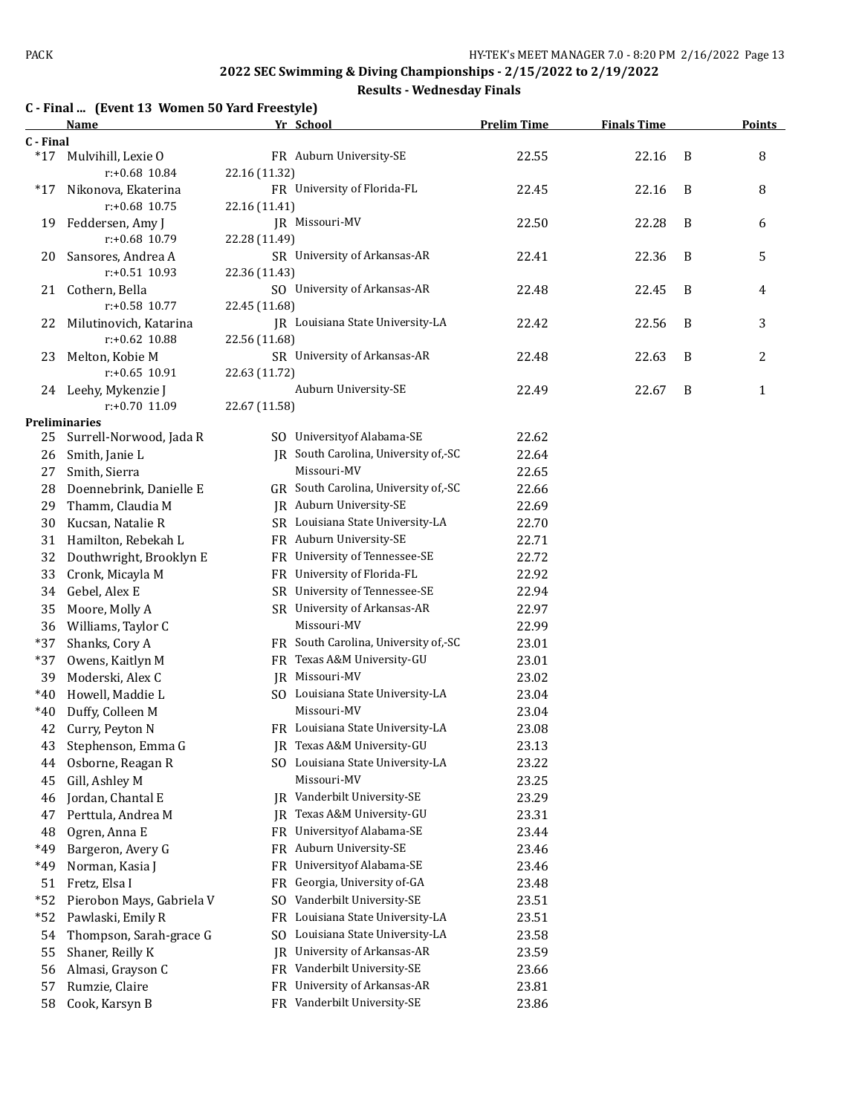#### **Results - Wednesday Finals**

#### **C - Final ... (Event 13 Women 50 Yard Freestyle)**

|           | Name                                       | Yr School                                         | <b>Prelim Time</b> | <b>Finals Time</b> |   | <b>Points</b> |
|-----------|--------------------------------------------|---------------------------------------------------|--------------------|--------------------|---|---------------|
| C - Final |                                            |                                                   |                    |                    |   |               |
| $*17$     | Mulvihill, Lexie O<br>r:+0.68 10.84        | FR Auburn University-SE<br>22.16 (11.32)          | 22.55              | 22.16              | B | 8             |
| *17       | Nikonova, Ekaterina<br>$r: +0.68$ 10.75    | FR University of Florida-FL<br>22.16 (11.41)      | 22.45              | 22.16              | B | 8             |
| 19        | Feddersen, Amy J<br>r:+0.68 10.79          | JR Missouri-MV<br>22.28 (11.49)                   | 22.50              | 22.28              | B | 6             |
| 20        | Sansores, Andrea A<br>$r: +0.51$ 10.93     | SR University of Arkansas-AR<br>22.36 (11.43)     | 22.41              | 22.36              | B | 5             |
| 21        | Cothern, Bella<br>$r: +0.58$ 10.77         | SO University of Arkansas-AR<br>22.45 (11.68)     | 22.48              | 22.45              | B | 4             |
| 22        | Milutinovich, Katarina<br>$r: +0.62$ 10.88 | JR Louisiana State University-LA<br>22.56 (11.68) | 22.42              | 22.56              | B | 3             |
| 23        | Melton, Kobie M<br>$r: +0.65$ 10.91        | SR University of Arkansas-AR<br>22.63 (11.72)     | 22.48              | 22.63              | B | 2             |
|           | 24 Leehy, Mykenzie J<br>r:+0.70 11.09      | Auburn University-SE<br>22.67 (11.58)             | 22.49              | 22.67              | B | 1             |
|           | <b>Preliminaries</b>                       |                                                   |                    |                    |   |               |
| 25        | Surrell-Norwood, Jada R                    | SO University of Alabama-SE                       | 22.62              |                    |   |               |
| 26        | Smith, Janie L                             | JR South Carolina, University of,-SC              | 22.64              |                    |   |               |
| 27        | Smith, Sierra                              | Missouri-MV                                       | 22.65              |                    |   |               |
| 28        | Doennebrink, Danielle E                    | GR South Carolina, University of,-SC              | 22.66              |                    |   |               |
| 29        | Thamm, Claudia M                           | JR Auburn University-SE                           | 22.69              |                    |   |               |
| 30        | Kucsan, Natalie R                          | SR Louisiana State University-LA                  | 22.70              |                    |   |               |
| 31        | Hamilton, Rebekah L                        | FR Auburn University-SE                           | 22.71              |                    |   |               |
| 32        | Douthwright, Brooklyn E                    | FR University of Tennessee-SE                     | 22.72              |                    |   |               |
| 33        | Cronk, Micayla M                           | FR University of Florida-FL                       | 22.92              |                    |   |               |
| 34        | Gebel, Alex E                              | SR University of Tennessee-SE                     | 22.94              |                    |   |               |
| 35        | Moore, Molly A                             | SR University of Arkansas-AR                      | 22.97              |                    |   |               |
| 36        | Williams, Taylor C                         | Missouri-MV                                       | 22.99              |                    |   |               |
| *37       | Shanks, Cory A                             | FR South Carolina, University of,-SC              | 23.01              |                    |   |               |
| *37       | Owens, Kaitlyn M                           | FR Texas A&M University-GU                        | 23.01              |                    |   |               |
| 39        | Moderski, Alex C                           | JR Missouri-MV                                    | 23.02              |                    |   |               |
| $*40$     | Howell, Maddie L                           | SO Louisiana State University-LA                  | 23.04              |                    |   |               |
| $*40$     | Duffy, Colleen M                           | Missouri-MV                                       | 23.04              |                    |   |               |
| 42        | Curry, Peyton N                            | FR Louisiana State University-LA                  | 23.08              |                    |   |               |
|           | 43 Stephenson, Emma G                      | JR Texas A&M University-GU                        | 23.13              |                    |   |               |
| 44        | Osborne, Reagan R                          | SO Louisiana State University-LA                  | 23.22              |                    |   |               |
| 45        | Gill, Ashley M                             | Missouri-MV                                       | 23.25              |                    |   |               |
| 46        | Jordan, Chantal E                          | Vanderbilt University-SE<br>JR                    | 23.29              |                    |   |               |
| 47        | Perttula, Andrea M                         | Texas A&M University-GU<br>JR                     | 23.31              |                    |   |               |
| 48        | Ogren, Anna E                              | Universityof Alabama-SE<br><b>FR</b>              | 23.44              |                    |   |               |
| *49       | Bargeron, Avery G                          | Auburn University-SE<br>FR                        | 23.46              |                    |   |               |
| *49       | Norman, Kasia J                            | Universityof Alabama-SE<br>FR                     | 23.46              |                    |   |               |
| 51        | Fretz, Elsa I                              | Georgia, University of-GA<br>FR                   | 23.48              |                    |   |               |
| $*52$     | Pierobon Mays, Gabriela V                  | Vanderbilt University-SE<br>SO.                   | 23.51              |                    |   |               |
| $*52$     | Pawlaski, Emily R                          | Louisiana State University-LA<br>FR               | 23.51              |                    |   |               |
| 54        | Thompson, Sarah-grace G                    | Louisiana State University-LA<br>SO.              | 23.58              |                    |   |               |
| 55        | Shaner, Reilly K                           | University of Arkansas-AR<br>IR                   | 23.59              |                    |   |               |
| 56        | Almasi, Grayson C                          | FR Vanderbilt University-SE                       | 23.66              |                    |   |               |
| 57        | Rumzie, Claire                             | University of Arkansas-AR<br>FR                   | 23.81              |                    |   |               |
| 58        | Cook, Karsyn B                             | FR Vanderbilt University-SE                       | 23.86              |                    |   |               |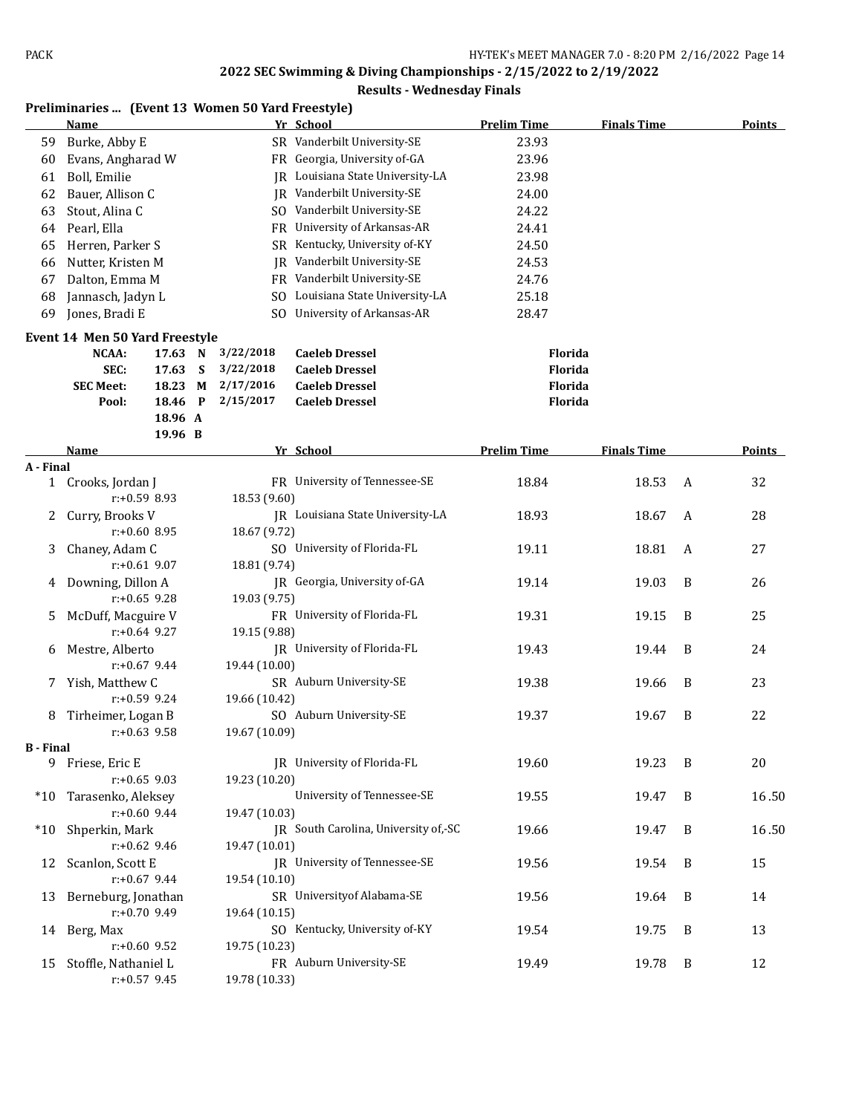|                  |                                       |                 |   | Preliminaries  (Event 13 Women 50 Yard Freestyle) | wcancouay Emais                      |                    |                    |   |               |
|------------------|---------------------------------------|-----------------|---|---------------------------------------------------|--------------------------------------|--------------------|--------------------|---|---------------|
|                  | Name                                  |                 |   |                                                   | Yr School                            | <b>Prelim Time</b> | <b>Finals Time</b> |   | <b>Points</b> |
| 59               | Burke, Abby E                         |                 |   |                                                   | SR Vanderbilt University-SE          | 23.93              |                    |   |               |
| 60               | Evans, Angharad W                     |                 |   |                                                   | FR Georgia, University of-GA         | 23.96              |                    |   |               |
| 61               | Boll, Emilie                          |                 |   |                                                   | IR Louisiana State University-LA     | 23.98              |                    |   |               |
| 62               | Bauer, Allison C                      |                 |   |                                                   | <b>IR</b> Vanderbilt University-SE   | 24.00              |                    |   |               |
| 63               | Stout, Alina C                        |                 |   |                                                   | SO Vanderbilt University-SE          | 24.22              |                    |   |               |
| 64               | Pearl, Ella                           |                 |   |                                                   | FR University of Arkansas-AR         | 24.41              |                    |   |               |
| 65               | Herren, Parker S                      |                 |   |                                                   | SR Kentucky, University of-KY        | 24.50              |                    |   |               |
| 66               | Nutter, Kristen M                     |                 |   | IR                                                | Vanderbilt University-SE             | 24.53              |                    |   |               |
| 67               | Dalton, Emma M                        |                 |   |                                                   | FR Vanderbilt University-SE          | 24.76              |                    |   |               |
| 68               | Jannasch, Jadyn L                     |                 |   | SO.                                               | Louisiana State University-LA        | 25.18              |                    |   |               |
| 69               | Jones, Bradi E                        |                 |   | SO.                                               | University of Arkansas-AR            | 28.47              |                    |   |               |
|                  | <b>Event 14 Men 50 Yard Freestyle</b> |                 |   |                                                   |                                      |                    |                    |   |               |
|                  | NCAA:                                 | 17.63 N         |   | 3/22/2018                                         | <b>Caeleb Dressel</b>                | Florida            |                    |   |               |
|                  | SEC:                                  | 17.63           | S | 3/22/2018                                         | <b>Caeleb Dressel</b>                | <b>Florida</b>     |                    |   |               |
|                  | <b>SEC Meet:</b>                      | 18.23 M         |   | 2/17/2016                                         | <b>Caeleb Dressel</b>                | Florida            |                    |   |               |
|                  | Pool:                                 | 18.46 P         |   | 2/15/2017                                         | <b>Caeleb Dressel</b>                | Florida            |                    |   |               |
|                  |                                       | 18.96 A         |   |                                                   |                                      |                    |                    |   |               |
|                  | Name                                  | 19.96 B         |   |                                                   | Yr School                            | <b>Prelim Time</b> | <b>Finals Time</b> |   | <b>Points</b> |
| A - Final        |                                       |                 |   |                                                   |                                      |                    |                    |   |               |
| $\mathbf{1}$     | Crooks, Jordan J                      |                 |   |                                                   | FR University of Tennessee-SE        | 18.84              | 18.53              | A | 32            |
|                  |                                       | $r: +0.59$ 8.93 |   | 18.53 (9.60)                                      |                                      |                    |                    |   |               |
| 2                | Curry, Brooks V                       |                 |   |                                                   | JR Louisiana State University-LA     | 18.93              | 18.67              | A | 28            |
|                  |                                       | $r: +0.60$ 8.95 |   | 18.67 (9.72)                                      |                                      |                    |                    |   |               |
| 3                | Chaney, Adam C                        |                 |   |                                                   | SO University of Florida-FL          | 19.11              | 18.81              | A | 27            |
|                  |                                       | $r: +0.61$ 9.07 |   | 18.81 (9.74)                                      |                                      |                    |                    |   |               |
| 4                | Downing, Dillon A                     |                 |   |                                                   | JR Georgia, University of-GA         | 19.14              | 19.03              | B | 26            |
|                  |                                       | $r: +0.65$ 9.28 |   | 19.03 (9.75)                                      |                                      |                    |                    |   |               |
| 5                | McDuff, Macguire V                    |                 |   |                                                   | FR University of Florida-FL          | 19.31              | 19.15              | B | 25            |
|                  |                                       | $r: +0.64$ 9.27 |   | 19.15 (9.88)                                      |                                      |                    |                    |   |               |
| 6                | Mestre, Alberto                       |                 |   |                                                   | JR University of Florida-FL          | 19.43              | 19.44              | B | 24            |
|                  |                                       | $r: +0.67$ 9.44 |   | 19.44 (10.00)                                     |                                      |                    |                    |   |               |
| 7                | Yish, Matthew C                       |                 |   |                                                   | SR Auburn University-SE              | 19.38              | 19.66              | B | 23            |
|                  |                                       | $r: +0.59$ 9.24 |   | 19.66 (10.42)                                     |                                      |                    |                    |   |               |
| 8                | Tirheimer, Logan B                    |                 |   |                                                   | SO Auburn University-SE              | 19.37              | 19.67              | B | 22            |
| <b>B</b> - Final |                                       | $r: +0.63$ 9.58 |   | 19.67 (10.09)                                     |                                      |                    |                    |   |               |
| 9                | Friese, Eric E                        |                 |   |                                                   | JR University of Florida-FL          | 19.60              | 19.23              | B | 20            |
|                  |                                       | $r: +0.65$ 9.03 |   | 19.23 (10.20)                                     |                                      |                    |                    |   |               |
| $*10$            | Tarasenko, Aleksey                    |                 |   |                                                   | University of Tennessee-SE           | 19.55              | 19.47              | B | 16.50         |
|                  |                                       | $r: +0.60$ 9.44 |   | 19.47 (10.03)                                     |                                      |                    |                    |   |               |
| $*10$            | Shperkin, Mark                        |                 |   |                                                   | JR South Carolina, University of,-SC | 19.66              | 19.47              | B | 16.50         |
|                  |                                       | $r: +0.62$ 9.46 |   | 19.47 (10.01)                                     |                                      |                    |                    |   |               |
| 12               | Scanlon, Scott E                      |                 |   |                                                   | JR University of Tennessee-SE        | 19.56              | 19.54              | B | 15            |
|                  |                                       | $r: +0.67$ 9.44 |   | 19.54 (10.10)                                     |                                      |                    |                    |   |               |
| 13               | Berneburg, Jonathan                   |                 |   |                                                   | SR University of Alabama-SE          | 19.56              | 19.64              | B | 14            |
|                  |                                       | $r: +0.70$ 9.49 |   | 19.64 (10.15)                                     |                                      |                    |                    |   |               |
| 14               | Berg, Max                             |                 |   |                                                   | SO Kentucky, University of-KY        | 19.54              | 19.75              | B | 13            |
|                  |                                       | r:+0.60 9.52    |   | 19.75 (10.23)                                     |                                      |                    |                    |   |               |
| 15               | Stoffle, Nathaniel L                  |                 |   |                                                   | FR Auburn University-SE              | 19.49              | 19.78              | B | 12            |
|                  |                                       | $r: +0.57$ 9.45 |   | 19.78 (10.33)                                     |                                      |                    |                    |   |               |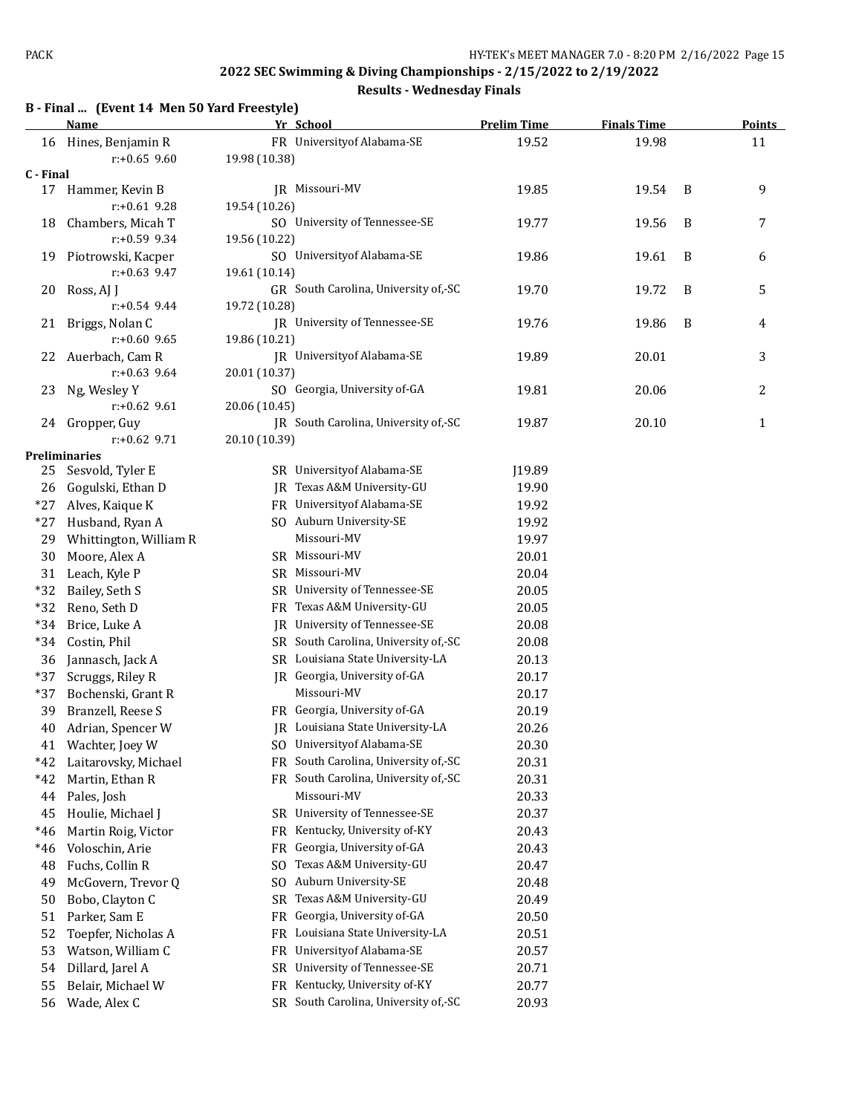#### **Results - Wednesday Finals**

#### **B - Final ... (Event 14 Men 50 Yard Freestyle)**

| FR University of Alabama-SE<br>16 Hines, Benjamin R<br>19.52<br>19.98<br>11<br>$r: +0.65$ 9.60<br>19.98 (10.38)<br>C - Final<br>JR Missouri-MV<br>19.85<br>19.54<br>9<br>17 Hammer, Kevin B<br>B<br>19.54 (10.26)<br>$r: +0.61$ 9.28<br>SO University of Tennessee-SE<br>19.56<br>Chambers, Micah T<br>19.77<br>B<br>7<br>18<br>$r: +0.59$ 9.34<br>19.56 (10.22)<br>SO University of Alabama-SE<br>19.86<br>19.61<br>Piotrowski, Kacper<br>B<br>6<br>19<br>$r: +0.63$ 9.47<br>19.61 (10.14)<br>GR South Carolina, University of,-SC<br>5<br>19.70<br>19.72<br>B<br>20<br>Ross, AJ J<br>$r: +0.54$ 9.44<br>19.72 (10.28)<br>JR University of Tennessee-SE<br>19.76<br>19.86<br>Briggs, Nolan C<br>B<br>21<br>4<br>$r: +0.60$ 9.65<br>19.86 (10.21)<br><b>IR</b> University of Alabama-SE<br>22 Auerbach, Cam R<br>20.01<br>19.89<br>3<br>$r: +0.63$ 9.64<br>20.01 (10.37)<br>SO Georgia, University of-GA<br>19.81<br>Ng, Wesley Y<br>20.06<br>2<br>23<br>$r+0.62$ 9.61<br>20.06 (10.45)<br>JR South Carolina, University of,-SC<br>24 Gropper, Guy<br>19.87<br>20.10<br>1<br>$r+0.62$ 9.71<br>20.10 (10.39)<br><b>Preliminaries</b><br>SR University of Alabama-SE<br>Sesvold, Tyler E<br>J19.89<br>25<br>Gogulski, Ethan D<br>JR Texas A&M University-GU<br>19.90<br>26<br>FR University of Alabama-SE<br>$*27$<br>Alves, Kaique K<br>19.92<br>SO Auburn University-SE<br>$*27$<br>Husband, Ryan A<br>19.92<br>Missouri-MV<br>Whittington, William R<br>19.97<br>29<br>SR Missouri-MV<br>30<br>Moore, Alex A<br>20.01<br>SR Missouri-MV<br>31<br>Leach, Kyle P<br>20.04<br>SR University of Tennessee-SE<br>$*32$<br>Bailey, Seth S<br>20.05<br>$*32$<br>FR Texas A&M University-GU<br>Reno, Seth D<br>20.05<br>University of Tennessee-SE<br>$*34$<br>Brice, Luke A<br>20.08<br>IR<br>SR South Carolina, University of,-SC<br>$*34$<br>Costin, Phil<br>20.08<br>SR Louisiana State University-LA<br>Jannasch, Jack A<br>36<br>20.13<br>$*37$<br>JR Georgia, University of-GA<br>Scruggs, Riley R<br>20.17<br>Missouri-MV<br>$*37$<br>Bochenski, Grant R<br>20.17<br>Branzell, Reese S<br>FR Georgia, University of-GA<br>20.19<br>39<br>JR Louisiana State University-LA<br>20.26<br>Adrian, Spencer W<br>40<br>SO University of Alabama-SE<br>20.30<br>41<br>Wachter, Joey W<br>FR South Carolina, University of,-SC<br>20.31<br>*42<br>Laitarovsky, Michael<br>FR South Carolina, University of,-SC<br>20.31<br>*42<br>Martin, Ethan R<br>Missouri-MV<br>Pales, Josh<br>20.33<br>44<br>SR University of Tennessee-SE<br>45<br>Houlie, Michael J<br>20.37<br>Kentucky, University of-KY<br>Martin Roig, Victor<br>20.43<br>*46<br>FR<br>Georgia, University of-GA<br>$*46$<br>Voloschin, Arie<br>FR<br>20.43<br>Fuchs, Collin R<br>Texas A&M University-GU<br>48<br>20.47<br>SO.<br>Auburn University-SE<br>49<br>McGovern, Trevor Q<br>S <sub>O</sub><br>20.48<br>Texas A&M University-GU<br>Bobo, Clayton C<br>20.49<br>50<br>SR<br>Georgia, University of-GA<br>Parker, Sam E<br>20.50<br>51<br>FR<br>Louisiana State University-LA<br>52<br>Toepfer, Nicholas A<br>20.51<br>FR<br>Universityof Alabama-SE<br>53<br>Watson, William C<br>20.57<br>FR<br>University of Tennessee-SE<br>54<br>Dillard, Jarel A<br>20.71<br>SR<br>Kentucky, University of-KY<br>55<br>20.77<br>Belair, Michael W<br>FR<br>SR South Carolina, University of,-SC<br>Wade, Alex C<br>20.93<br>56 | <b>Name</b> | Yr School | <b>Prelim Time</b> | <b>Finals Time</b> | <b>Points</b> |
|----------------------------------------------------------------------------------------------------------------------------------------------------------------------------------------------------------------------------------------------------------------------------------------------------------------------------------------------------------------------------------------------------------------------------------------------------------------------------------------------------------------------------------------------------------------------------------------------------------------------------------------------------------------------------------------------------------------------------------------------------------------------------------------------------------------------------------------------------------------------------------------------------------------------------------------------------------------------------------------------------------------------------------------------------------------------------------------------------------------------------------------------------------------------------------------------------------------------------------------------------------------------------------------------------------------------------------------------------------------------------------------------------------------------------------------------------------------------------------------------------------------------------------------------------------------------------------------------------------------------------------------------------------------------------------------------------------------------------------------------------------------------------------------------------------------------------------------------------------------------------------------------------------------------------------------------------------------------------------------------------------------------------------------------------------------------------------------------------------------------------------------------------------------------------------------------------------------------------------------------------------------------------------------------------------------------------------------------------------------------------------------------------------------------------------------------------------------------------------------------------------------------------------------------------------------------------------------------------------------------------------------------------------------------------------------------------------------------------------------------------------------------------------------------------------------------------------------------------------------------------------------------------------------------------------------------------------------------------------------------------------------------------------------------------------------------------------------------------------------------------------------------------------------------------------------------------------------------------------------------------------------------------------------------------------------------------------------------------------------------------------|-------------|-----------|--------------------|--------------------|---------------|
|                                                                                                                                                                                                                                                                                                                                                                                                                                                                                                                                                                                                                                                                                                                                                                                                                                                                                                                                                                                                                                                                                                                                                                                                                                                                                                                                                                                                                                                                                                                                                                                                                                                                                                                                                                                                                                                                                                                                                                                                                                                                                                                                                                                                                                                                                                                                                                                                                                                                                                                                                                                                                                                                                                                                                                                                                                                                                                                                                                                                                                                                                                                                                                                                                                                                                                                                                                                  |             |           |                    |                    |               |
|                                                                                                                                                                                                                                                                                                                                                                                                                                                                                                                                                                                                                                                                                                                                                                                                                                                                                                                                                                                                                                                                                                                                                                                                                                                                                                                                                                                                                                                                                                                                                                                                                                                                                                                                                                                                                                                                                                                                                                                                                                                                                                                                                                                                                                                                                                                                                                                                                                                                                                                                                                                                                                                                                                                                                                                                                                                                                                                                                                                                                                                                                                                                                                                                                                                                                                                                                                                  |             |           |                    |                    |               |
|                                                                                                                                                                                                                                                                                                                                                                                                                                                                                                                                                                                                                                                                                                                                                                                                                                                                                                                                                                                                                                                                                                                                                                                                                                                                                                                                                                                                                                                                                                                                                                                                                                                                                                                                                                                                                                                                                                                                                                                                                                                                                                                                                                                                                                                                                                                                                                                                                                                                                                                                                                                                                                                                                                                                                                                                                                                                                                                                                                                                                                                                                                                                                                                                                                                                                                                                                                                  |             |           |                    |                    |               |
|                                                                                                                                                                                                                                                                                                                                                                                                                                                                                                                                                                                                                                                                                                                                                                                                                                                                                                                                                                                                                                                                                                                                                                                                                                                                                                                                                                                                                                                                                                                                                                                                                                                                                                                                                                                                                                                                                                                                                                                                                                                                                                                                                                                                                                                                                                                                                                                                                                                                                                                                                                                                                                                                                                                                                                                                                                                                                                                                                                                                                                                                                                                                                                                                                                                                                                                                                                                  |             |           |                    |                    |               |
|                                                                                                                                                                                                                                                                                                                                                                                                                                                                                                                                                                                                                                                                                                                                                                                                                                                                                                                                                                                                                                                                                                                                                                                                                                                                                                                                                                                                                                                                                                                                                                                                                                                                                                                                                                                                                                                                                                                                                                                                                                                                                                                                                                                                                                                                                                                                                                                                                                                                                                                                                                                                                                                                                                                                                                                                                                                                                                                                                                                                                                                                                                                                                                                                                                                                                                                                                                                  |             |           |                    |                    |               |
|                                                                                                                                                                                                                                                                                                                                                                                                                                                                                                                                                                                                                                                                                                                                                                                                                                                                                                                                                                                                                                                                                                                                                                                                                                                                                                                                                                                                                                                                                                                                                                                                                                                                                                                                                                                                                                                                                                                                                                                                                                                                                                                                                                                                                                                                                                                                                                                                                                                                                                                                                                                                                                                                                                                                                                                                                                                                                                                                                                                                                                                                                                                                                                                                                                                                                                                                                                                  |             |           |                    |                    |               |
|                                                                                                                                                                                                                                                                                                                                                                                                                                                                                                                                                                                                                                                                                                                                                                                                                                                                                                                                                                                                                                                                                                                                                                                                                                                                                                                                                                                                                                                                                                                                                                                                                                                                                                                                                                                                                                                                                                                                                                                                                                                                                                                                                                                                                                                                                                                                                                                                                                                                                                                                                                                                                                                                                                                                                                                                                                                                                                                                                                                                                                                                                                                                                                                                                                                                                                                                                                                  |             |           |                    |                    |               |
|                                                                                                                                                                                                                                                                                                                                                                                                                                                                                                                                                                                                                                                                                                                                                                                                                                                                                                                                                                                                                                                                                                                                                                                                                                                                                                                                                                                                                                                                                                                                                                                                                                                                                                                                                                                                                                                                                                                                                                                                                                                                                                                                                                                                                                                                                                                                                                                                                                                                                                                                                                                                                                                                                                                                                                                                                                                                                                                                                                                                                                                                                                                                                                                                                                                                                                                                                                                  |             |           |                    |                    |               |
|                                                                                                                                                                                                                                                                                                                                                                                                                                                                                                                                                                                                                                                                                                                                                                                                                                                                                                                                                                                                                                                                                                                                                                                                                                                                                                                                                                                                                                                                                                                                                                                                                                                                                                                                                                                                                                                                                                                                                                                                                                                                                                                                                                                                                                                                                                                                                                                                                                                                                                                                                                                                                                                                                                                                                                                                                                                                                                                                                                                                                                                                                                                                                                                                                                                                                                                                                                                  |             |           |                    |                    |               |
|                                                                                                                                                                                                                                                                                                                                                                                                                                                                                                                                                                                                                                                                                                                                                                                                                                                                                                                                                                                                                                                                                                                                                                                                                                                                                                                                                                                                                                                                                                                                                                                                                                                                                                                                                                                                                                                                                                                                                                                                                                                                                                                                                                                                                                                                                                                                                                                                                                                                                                                                                                                                                                                                                                                                                                                                                                                                                                                                                                                                                                                                                                                                                                                                                                                                                                                                                                                  |             |           |                    |                    |               |
|                                                                                                                                                                                                                                                                                                                                                                                                                                                                                                                                                                                                                                                                                                                                                                                                                                                                                                                                                                                                                                                                                                                                                                                                                                                                                                                                                                                                                                                                                                                                                                                                                                                                                                                                                                                                                                                                                                                                                                                                                                                                                                                                                                                                                                                                                                                                                                                                                                                                                                                                                                                                                                                                                                                                                                                                                                                                                                                                                                                                                                                                                                                                                                                                                                                                                                                                                                                  |             |           |                    |                    |               |
|                                                                                                                                                                                                                                                                                                                                                                                                                                                                                                                                                                                                                                                                                                                                                                                                                                                                                                                                                                                                                                                                                                                                                                                                                                                                                                                                                                                                                                                                                                                                                                                                                                                                                                                                                                                                                                                                                                                                                                                                                                                                                                                                                                                                                                                                                                                                                                                                                                                                                                                                                                                                                                                                                                                                                                                                                                                                                                                                                                                                                                                                                                                                                                                                                                                                                                                                                                                  |             |           |                    |                    |               |
|                                                                                                                                                                                                                                                                                                                                                                                                                                                                                                                                                                                                                                                                                                                                                                                                                                                                                                                                                                                                                                                                                                                                                                                                                                                                                                                                                                                                                                                                                                                                                                                                                                                                                                                                                                                                                                                                                                                                                                                                                                                                                                                                                                                                                                                                                                                                                                                                                                                                                                                                                                                                                                                                                                                                                                                                                                                                                                                                                                                                                                                                                                                                                                                                                                                                                                                                                                                  |             |           |                    |                    |               |
|                                                                                                                                                                                                                                                                                                                                                                                                                                                                                                                                                                                                                                                                                                                                                                                                                                                                                                                                                                                                                                                                                                                                                                                                                                                                                                                                                                                                                                                                                                                                                                                                                                                                                                                                                                                                                                                                                                                                                                                                                                                                                                                                                                                                                                                                                                                                                                                                                                                                                                                                                                                                                                                                                                                                                                                                                                                                                                                                                                                                                                                                                                                                                                                                                                                                                                                                                                                  |             |           |                    |                    |               |
|                                                                                                                                                                                                                                                                                                                                                                                                                                                                                                                                                                                                                                                                                                                                                                                                                                                                                                                                                                                                                                                                                                                                                                                                                                                                                                                                                                                                                                                                                                                                                                                                                                                                                                                                                                                                                                                                                                                                                                                                                                                                                                                                                                                                                                                                                                                                                                                                                                                                                                                                                                                                                                                                                                                                                                                                                                                                                                                                                                                                                                                                                                                                                                                                                                                                                                                                                                                  |             |           |                    |                    |               |
|                                                                                                                                                                                                                                                                                                                                                                                                                                                                                                                                                                                                                                                                                                                                                                                                                                                                                                                                                                                                                                                                                                                                                                                                                                                                                                                                                                                                                                                                                                                                                                                                                                                                                                                                                                                                                                                                                                                                                                                                                                                                                                                                                                                                                                                                                                                                                                                                                                                                                                                                                                                                                                                                                                                                                                                                                                                                                                                                                                                                                                                                                                                                                                                                                                                                                                                                                                                  |             |           |                    |                    |               |
|                                                                                                                                                                                                                                                                                                                                                                                                                                                                                                                                                                                                                                                                                                                                                                                                                                                                                                                                                                                                                                                                                                                                                                                                                                                                                                                                                                                                                                                                                                                                                                                                                                                                                                                                                                                                                                                                                                                                                                                                                                                                                                                                                                                                                                                                                                                                                                                                                                                                                                                                                                                                                                                                                                                                                                                                                                                                                                                                                                                                                                                                                                                                                                                                                                                                                                                                                                                  |             |           |                    |                    |               |
|                                                                                                                                                                                                                                                                                                                                                                                                                                                                                                                                                                                                                                                                                                                                                                                                                                                                                                                                                                                                                                                                                                                                                                                                                                                                                                                                                                                                                                                                                                                                                                                                                                                                                                                                                                                                                                                                                                                                                                                                                                                                                                                                                                                                                                                                                                                                                                                                                                                                                                                                                                                                                                                                                                                                                                                                                                                                                                                                                                                                                                                                                                                                                                                                                                                                                                                                                                                  |             |           |                    |                    |               |
|                                                                                                                                                                                                                                                                                                                                                                                                                                                                                                                                                                                                                                                                                                                                                                                                                                                                                                                                                                                                                                                                                                                                                                                                                                                                                                                                                                                                                                                                                                                                                                                                                                                                                                                                                                                                                                                                                                                                                                                                                                                                                                                                                                                                                                                                                                                                                                                                                                                                                                                                                                                                                                                                                                                                                                                                                                                                                                                                                                                                                                                                                                                                                                                                                                                                                                                                                                                  |             |           |                    |                    |               |
|                                                                                                                                                                                                                                                                                                                                                                                                                                                                                                                                                                                                                                                                                                                                                                                                                                                                                                                                                                                                                                                                                                                                                                                                                                                                                                                                                                                                                                                                                                                                                                                                                                                                                                                                                                                                                                                                                                                                                                                                                                                                                                                                                                                                                                                                                                                                                                                                                                                                                                                                                                                                                                                                                                                                                                                                                                                                                                                                                                                                                                                                                                                                                                                                                                                                                                                                                                                  |             |           |                    |                    |               |
|                                                                                                                                                                                                                                                                                                                                                                                                                                                                                                                                                                                                                                                                                                                                                                                                                                                                                                                                                                                                                                                                                                                                                                                                                                                                                                                                                                                                                                                                                                                                                                                                                                                                                                                                                                                                                                                                                                                                                                                                                                                                                                                                                                                                                                                                                                                                                                                                                                                                                                                                                                                                                                                                                                                                                                                                                                                                                                                                                                                                                                                                                                                                                                                                                                                                                                                                                                                  |             |           |                    |                    |               |
|                                                                                                                                                                                                                                                                                                                                                                                                                                                                                                                                                                                                                                                                                                                                                                                                                                                                                                                                                                                                                                                                                                                                                                                                                                                                                                                                                                                                                                                                                                                                                                                                                                                                                                                                                                                                                                                                                                                                                                                                                                                                                                                                                                                                                                                                                                                                                                                                                                                                                                                                                                                                                                                                                                                                                                                                                                                                                                                                                                                                                                                                                                                                                                                                                                                                                                                                                                                  |             |           |                    |                    |               |
|                                                                                                                                                                                                                                                                                                                                                                                                                                                                                                                                                                                                                                                                                                                                                                                                                                                                                                                                                                                                                                                                                                                                                                                                                                                                                                                                                                                                                                                                                                                                                                                                                                                                                                                                                                                                                                                                                                                                                                                                                                                                                                                                                                                                                                                                                                                                                                                                                                                                                                                                                                                                                                                                                                                                                                                                                                                                                                                                                                                                                                                                                                                                                                                                                                                                                                                                                                                  |             |           |                    |                    |               |
|                                                                                                                                                                                                                                                                                                                                                                                                                                                                                                                                                                                                                                                                                                                                                                                                                                                                                                                                                                                                                                                                                                                                                                                                                                                                                                                                                                                                                                                                                                                                                                                                                                                                                                                                                                                                                                                                                                                                                                                                                                                                                                                                                                                                                                                                                                                                                                                                                                                                                                                                                                                                                                                                                                                                                                                                                                                                                                                                                                                                                                                                                                                                                                                                                                                                                                                                                                                  |             |           |                    |                    |               |
|                                                                                                                                                                                                                                                                                                                                                                                                                                                                                                                                                                                                                                                                                                                                                                                                                                                                                                                                                                                                                                                                                                                                                                                                                                                                                                                                                                                                                                                                                                                                                                                                                                                                                                                                                                                                                                                                                                                                                                                                                                                                                                                                                                                                                                                                                                                                                                                                                                                                                                                                                                                                                                                                                                                                                                                                                                                                                                                                                                                                                                                                                                                                                                                                                                                                                                                                                                                  |             |           |                    |                    |               |
|                                                                                                                                                                                                                                                                                                                                                                                                                                                                                                                                                                                                                                                                                                                                                                                                                                                                                                                                                                                                                                                                                                                                                                                                                                                                                                                                                                                                                                                                                                                                                                                                                                                                                                                                                                                                                                                                                                                                                                                                                                                                                                                                                                                                                                                                                                                                                                                                                                                                                                                                                                                                                                                                                                                                                                                                                                                                                                                                                                                                                                                                                                                                                                                                                                                                                                                                                                                  |             |           |                    |                    |               |
|                                                                                                                                                                                                                                                                                                                                                                                                                                                                                                                                                                                                                                                                                                                                                                                                                                                                                                                                                                                                                                                                                                                                                                                                                                                                                                                                                                                                                                                                                                                                                                                                                                                                                                                                                                                                                                                                                                                                                                                                                                                                                                                                                                                                                                                                                                                                                                                                                                                                                                                                                                                                                                                                                                                                                                                                                                                                                                                                                                                                                                                                                                                                                                                                                                                                                                                                                                                  |             |           |                    |                    |               |
|                                                                                                                                                                                                                                                                                                                                                                                                                                                                                                                                                                                                                                                                                                                                                                                                                                                                                                                                                                                                                                                                                                                                                                                                                                                                                                                                                                                                                                                                                                                                                                                                                                                                                                                                                                                                                                                                                                                                                                                                                                                                                                                                                                                                                                                                                                                                                                                                                                                                                                                                                                                                                                                                                                                                                                                                                                                                                                                                                                                                                                                                                                                                                                                                                                                                                                                                                                                  |             |           |                    |                    |               |
|                                                                                                                                                                                                                                                                                                                                                                                                                                                                                                                                                                                                                                                                                                                                                                                                                                                                                                                                                                                                                                                                                                                                                                                                                                                                                                                                                                                                                                                                                                                                                                                                                                                                                                                                                                                                                                                                                                                                                                                                                                                                                                                                                                                                                                                                                                                                                                                                                                                                                                                                                                                                                                                                                                                                                                                                                                                                                                                                                                                                                                                                                                                                                                                                                                                                                                                                                                                  |             |           |                    |                    |               |
|                                                                                                                                                                                                                                                                                                                                                                                                                                                                                                                                                                                                                                                                                                                                                                                                                                                                                                                                                                                                                                                                                                                                                                                                                                                                                                                                                                                                                                                                                                                                                                                                                                                                                                                                                                                                                                                                                                                                                                                                                                                                                                                                                                                                                                                                                                                                                                                                                                                                                                                                                                                                                                                                                                                                                                                                                                                                                                                                                                                                                                                                                                                                                                                                                                                                                                                                                                                  |             |           |                    |                    |               |
|                                                                                                                                                                                                                                                                                                                                                                                                                                                                                                                                                                                                                                                                                                                                                                                                                                                                                                                                                                                                                                                                                                                                                                                                                                                                                                                                                                                                                                                                                                                                                                                                                                                                                                                                                                                                                                                                                                                                                                                                                                                                                                                                                                                                                                                                                                                                                                                                                                                                                                                                                                                                                                                                                                                                                                                                                                                                                                                                                                                                                                                                                                                                                                                                                                                                                                                                                                                  |             |           |                    |                    |               |
|                                                                                                                                                                                                                                                                                                                                                                                                                                                                                                                                                                                                                                                                                                                                                                                                                                                                                                                                                                                                                                                                                                                                                                                                                                                                                                                                                                                                                                                                                                                                                                                                                                                                                                                                                                                                                                                                                                                                                                                                                                                                                                                                                                                                                                                                                                                                                                                                                                                                                                                                                                                                                                                                                                                                                                                                                                                                                                                                                                                                                                                                                                                                                                                                                                                                                                                                                                                  |             |           |                    |                    |               |
|                                                                                                                                                                                                                                                                                                                                                                                                                                                                                                                                                                                                                                                                                                                                                                                                                                                                                                                                                                                                                                                                                                                                                                                                                                                                                                                                                                                                                                                                                                                                                                                                                                                                                                                                                                                                                                                                                                                                                                                                                                                                                                                                                                                                                                                                                                                                                                                                                                                                                                                                                                                                                                                                                                                                                                                                                                                                                                                                                                                                                                                                                                                                                                                                                                                                                                                                                                                  |             |           |                    |                    |               |
|                                                                                                                                                                                                                                                                                                                                                                                                                                                                                                                                                                                                                                                                                                                                                                                                                                                                                                                                                                                                                                                                                                                                                                                                                                                                                                                                                                                                                                                                                                                                                                                                                                                                                                                                                                                                                                                                                                                                                                                                                                                                                                                                                                                                                                                                                                                                                                                                                                                                                                                                                                                                                                                                                                                                                                                                                                                                                                                                                                                                                                                                                                                                                                                                                                                                                                                                                                                  |             |           |                    |                    |               |
|                                                                                                                                                                                                                                                                                                                                                                                                                                                                                                                                                                                                                                                                                                                                                                                                                                                                                                                                                                                                                                                                                                                                                                                                                                                                                                                                                                                                                                                                                                                                                                                                                                                                                                                                                                                                                                                                                                                                                                                                                                                                                                                                                                                                                                                                                                                                                                                                                                                                                                                                                                                                                                                                                                                                                                                                                                                                                                                                                                                                                                                                                                                                                                                                                                                                                                                                                                                  |             |           |                    |                    |               |
|                                                                                                                                                                                                                                                                                                                                                                                                                                                                                                                                                                                                                                                                                                                                                                                                                                                                                                                                                                                                                                                                                                                                                                                                                                                                                                                                                                                                                                                                                                                                                                                                                                                                                                                                                                                                                                                                                                                                                                                                                                                                                                                                                                                                                                                                                                                                                                                                                                                                                                                                                                                                                                                                                                                                                                                                                                                                                                                                                                                                                                                                                                                                                                                                                                                                                                                                                                                  |             |           |                    |                    |               |
|                                                                                                                                                                                                                                                                                                                                                                                                                                                                                                                                                                                                                                                                                                                                                                                                                                                                                                                                                                                                                                                                                                                                                                                                                                                                                                                                                                                                                                                                                                                                                                                                                                                                                                                                                                                                                                                                                                                                                                                                                                                                                                                                                                                                                                                                                                                                                                                                                                                                                                                                                                                                                                                                                                                                                                                                                                                                                                                                                                                                                                                                                                                                                                                                                                                                                                                                                                                  |             |           |                    |                    |               |
|                                                                                                                                                                                                                                                                                                                                                                                                                                                                                                                                                                                                                                                                                                                                                                                                                                                                                                                                                                                                                                                                                                                                                                                                                                                                                                                                                                                                                                                                                                                                                                                                                                                                                                                                                                                                                                                                                                                                                                                                                                                                                                                                                                                                                                                                                                                                                                                                                                                                                                                                                                                                                                                                                                                                                                                                                                                                                                                                                                                                                                                                                                                                                                                                                                                                                                                                                                                  |             |           |                    |                    |               |
|                                                                                                                                                                                                                                                                                                                                                                                                                                                                                                                                                                                                                                                                                                                                                                                                                                                                                                                                                                                                                                                                                                                                                                                                                                                                                                                                                                                                                                                                                                                                                                                                                                                                                                                                                                                                                                                                                                                                                                                                                                                                                                                                                                                                                                                                                                                                                                                                                                                                                                                                                                                                                                                                                                                                                                                                                                                                                                                                                                                                                                                                                                                                                                                                                                                                                                                                                                                  |             |           |                    |                    |               |
|                                                                                                                                                                                                                                                                                                                                                                                                                                                                                                                                                                                                                                                                                                                                                                                                                                                                                                                                                                                                                                                                                                                                                                                                                                                                                                                                                                                                                                                                                                                                                                                                                                                                                                                                                                                                                                                                                                                                                                                                                                                                                                                                                                                                                                                                                                                                                                                                                                                                                                                                                                                                                                                                                                                                                                                                                                                                                                                                                                                                                                                                                                                                                                                                                                                                                                                                                                                  |             |           |                    |                    |               |
|                                                                                                                                                                                                                                                                                                                                                                                                                                                                                                                                                                                                                                                                                                                                                                                                                                                                                                                                                                                                                                                                                                                                                                                                                                                                                                                                                                                                                                                                                                                                                                                                                                                                                                                                                                                                                                                                                                                                                                                                                                                                                                                                                                                                                                                                                                                                                                                                                                                                                                                                                                                                                                                                                                                                                                                                                                                                                                                                                                                                                                                                                                                                                                                                                                                                                                                                                                                  |             |           |                    |                    |               |
|                                                                                                                                                                                                                                                                                                                                                                                                                                                                                                                                                                                                                                                                                                                                                                                                                                                                                                                                                                                                                                                                                                                                                                                                                                                                                                                                                                                                                                                                                                                                                                                                                                                                                                                                                                                                                                                                                                                                                                                                                                                                                                                                                                                                                                                                                                                                                                                                                                                                                                                                                                                                                                                                                                                                                                                                                                                                                                                                                                                                                                                                                                                                                                                                                                                                                                                                                                                  |             |           |                    |                    |               |
|                                                                                                                                                                                                                                                                                                                                                                                                                                                                                                                                                                                                                                                                                                                                                                                                                                                                                                                                                                                                                                                                                                                                                                                                                                                                                                                                                                                                                                                                                                                                                                                                                                                                                                                                                                                                                                                                                                                                                                                                                                                                                                                                                                                                                                                                                                                                                                                                                                                                                                                                                                                                                                                                                                                                                                                                                                                                                                                                                                                                                                                                                                                                                                                                                                                                                                                                                                                  |             |           |                    |                    |               |
|                                                                                                                                                                                                                                                                                                                                                                                                                                                                                                                                                                                                                                                                                                                                                                                                                                                                                                                                                                                                                                                                                                                                                                                                                                                                                                                                                                                                                                                                                                                                                                                                                                                                                                                                                                                                                                                                                                                                                                                                                                                                                                                                                                                                                                                                                                                                                                                                                                                                                                                                                                                                                                                                                                                                                                                                                                                                                                                                                                                                                                                                                                                                                                                                                                                                                                                                                                                  |             |           |                    |                    |               |
|                                                                                                                                                                                                                                                                                                                                                                                                                                                                                                                                                                                                                                                                                                                                                                                                                                                                                                                                                                                                                                                                                                                                                                                                                                                                                                                                                                                                                                                                                                                                                                                                                                                                                                                                                                                                                                                                                                                                                                                                                                                                                                                                                                                                                                                                                                                                                                                                                                                                                                                                                                                                                                                                                                                                                                                                                                                                                                                                                                                                                                                                                                                                                                                                                                                                                                                                                                                  |             |           |                    |                    |               |
|                                                                                                                                                                                                                                                                                                                                                                                                                                                                                                                                                                                                                                                                                                                                                                                                                                                                                                                                                                                                                                                                                                                                                                                                                                                                                                                                                                                                                                                                                                                                                                                                                                                                                                                                                                                                                                                                                                                                                                                                                                                                                                                                                                                                                                                                                                                                                                                                                                                                                                                                                                                                                                                                                                                                                                                                                                                                                                                                                                                                                                                                                                                                                                                                                                                                                                                                                                                  |             |           |                    |                    |               |
|                                                                                                                                                                                                                                                                                                                                                                                                                                                                                                                                                                                                                                                                                                                                                                                                                                                                                                                                                                                                                                                                                                                                                                                                                                                                                                                                                                                                                                                                                                                                                                                                                                                                                                                                                                                                                                                                                                                                                                                                                                                                                                                                                                                                                                                                                                                                                                                                                                                                                                                                                                                                                                                                                                                                                                                                                                                                                                                                                                                                                                                                                                                                                                                                                                                                                                                                                                                  |             |           |                    |                    |               |
|                                                                                                                                                                                                                                                                                                                                                                                                                                                                                                                                                                                                                                                                                                                                                                                                                                                                                                                                                                                                                                                                                                                                                                                                                                                                                                                                                                                                                                                                                                                                                                                                                                                                                                                                                                                                                                                                                                                                                                                                                                                                                                                                                                                                                                                                                                                                                                                                                                                                                                                                                                                                                                                                                                                                                                                                                                                                                                                                                                                                                                                                                                                                                                                                                                                                                                                                                                                  |             |           |                    |                    |               |
|                                                                                                                                                                                                                                                                                                                                                                                                                                                                                                                                                                                                                                                                                                                                                                                                                                                                                                                                                                                                                                                                                                                                                                                                                                                                                                                                                                                                                                                                                                                                                                                                                                                                                                                                                                                                                                                                                                                                                                                                                                                                                                                                                                                                                                                                                                                                                                                                                                                                                                                                                                                                                                                                                                                                                                                                                                                                                                                                                                                                                                                                                                                                                                                                                                                                                                                                                                                  |             |           |                    |                    |               |
|                                                                                                                                                                                                                                                                                                                                                                                                                                                                                                                                                                                                                                                                                                                                                                                                                                                                                                                                                                                                                                                                                                                                                                                                                                                                                                                                                                                                                                                                                                                                                                                                                                                                                                                                                                                                                                                                                                                                                                                                                                                                                                                                                                                                                                                                                                                                                                                                                                                                                                                                                                                                                                                                                                                                                                                                                                                                                                                                                                                                                                                                                                                                                                                                                                                                                                                                                                                  |             |           |                    |                    |               |
|                                                                                                                                                                                                                                                                                                                                                                                                                                                                                                                                                                                                                                                                                                                                                                                                                                                                                                                                                                                                                                                                                                                                                                                                                                                                                                                                                                                                                                                                                                                                                                                                                                                                                                                                                                                                                                                                                                                                                                                                                                                                                                                                                                                                                                                                                                                                                                                                                                                                                                                                                                                                                                                                                                                                                                                                                                                                                                                                                                                                                                                                                                                                                                                                                                                                                                                                                                                  |             |           |                    |                    |               |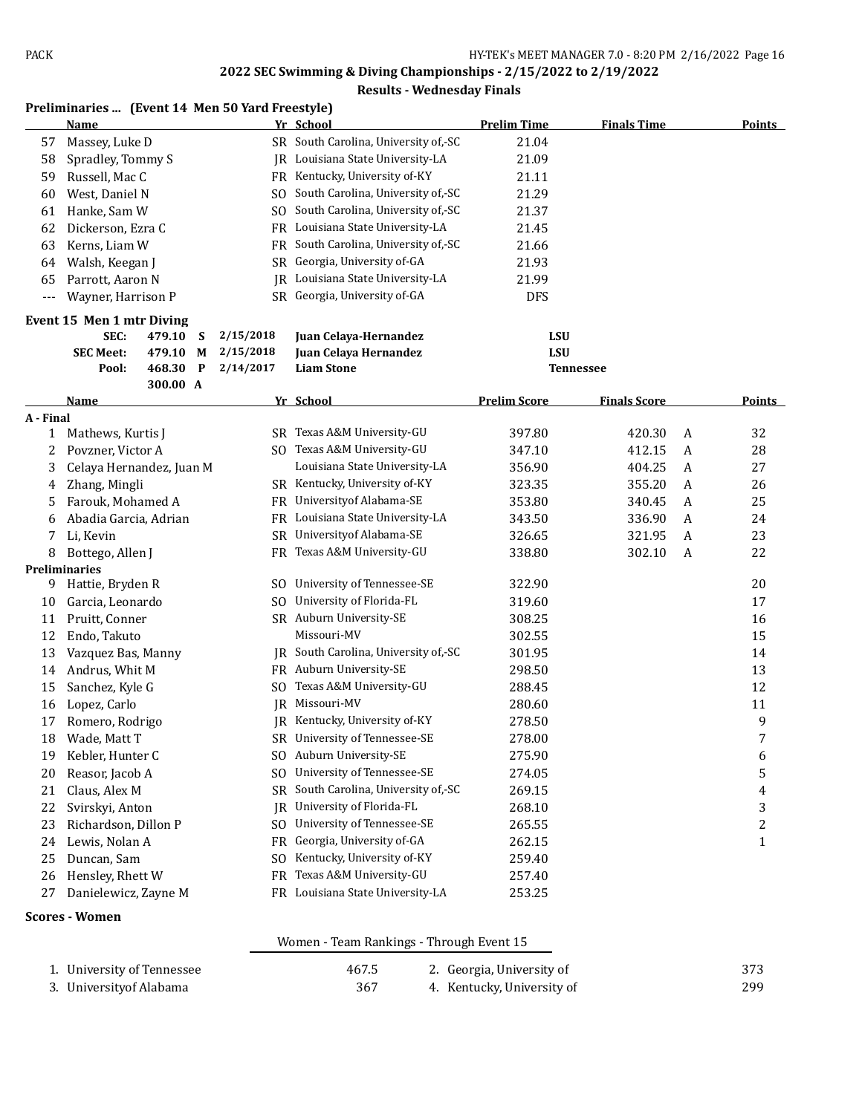#### **Results - Wednesday Finals**

|           | Preliminaries  (Event 14 Men 50 Yard Freestyle) |          |   |           |                                      |                     |                     |   |               |
|-----------|-------------------------------------------------|----------|---|-----------|--------------------------------------|---------------------|---------------------|---|---------------|
|           | Name                                            |          |   |           | Yr School                            | <b>Prelim Time</b>  | <b>Finals Time</b>  |   | Points        |
| 57        | Massey, Luke D                                  |          |   |           | SR South Carolina, University of,-SC | 21.04               |                     |   |               |
| 58        | Spradley, Tommy S                               |          |   |           | JR Louisiana State University-LA     | 21.09               |                     |   |               |
| 59        | Russell, Mac C                                  |          |   |           | FR Kentucky, University of-KY        | 21.11               |                     |   |               |
| 60        | West, Daniel N                                  |          |   |           | SO South Carolina, University of,-SC | 21.29               |                     |   |               |
| 61        | Hanke, Sam W                                    |          |   | SO.       | South Carolina, University of, SC    | 21.37               |                     |   |               |
| 62        | Dickerson, Ezra C                               |          |   |           | FR Louisiana State University-LA     | 21.45               |                     |   |               |
| 63        | Kerns, Liam W                                   |          |   | FR        | South Carolina, University of,-SC    | 21.66               |                     |   |               |
| 64        | Walsh, Keegan J                                 |          |   | SR        | Georgia, University of-GA            | 21.93               |                     |   |               |
| 65        | Parrott, Aaron N                                |          |   | IR        | Louisiana State University-LA        | 21.99               |                     |   |               |
| $---$     | Wayner, Harrison P                              |          |   |           | SR Georgia, University of-GA         | <b>DFS</b>          |                     |   |               |
|           | Event 15 Men 1 mtr Diving                       |          |   |           |                                      |                     |                     |   |               |
|           | SEC:                                            | 479.10   | S | 2/15/2018 | Juan Celaya-Hernandez                | <b>LSU</b>          |                     |   |               |
|           | <b>SEC Meet:</b>                                | 479.10   | M | 2/15/2018 | Juan Celaya Hernandez                | <b>LSU</b>          |                     |   |               |
|           | Pool:                                           | 468.30   | P | 2/14/2017 | <b>Liam Stone</b>                    |                     | Tennessee           |   |               |
|           |                                                 | 300.00 A |   |           |                                      |                     |                     |   |               |
|           | Name                                            |          |   |           | Yr School                            | <b>Prelim Score</b> | <b>Finals Score</b> |   | <b>Points</b> |
| A - Final |                                                 |          |   |           |                                      |                     |                     |   |               |
| 1         | Mathews, Kurtis J                               |          |   |           | SR Texas A&M University-GU           | 397.80              | 420.30              | A | 32            |
| 2         | Povzner, Victor A                               |          |   |           | SO Texas A&M University-GU           | 347.10              | 412.15              | A | 28            |
| 3         | Celaya Hernandez, Juan M                        |          |   |           | Louisiana State University-LA        | 356.90              | 404.25              | A | 27            |
| 4         | Zhang, Mingli                                   |          |   |           | SR Kentucky, University of-KY        | 323.35              | 355.20              | A | 26            |
| 5         | Farouk, Mohamed A                               |          |   | FR        | University of Alabama-SE             | 353.80              | 340.45              | A | 25            |
| 6         | Abadia Garcia, Adrian                           |          |   | FR.       | Louisiana State University-LA        | 343.50              | 336.90              | A | 24            |
| 7         | Li, Kevin                                       |          |   | SR        | University of Alabama-SE             | 326.65              | 321.95              | A | 23            |
| 8         | Bottego, Allen J                                |          |   |           | FR Texas A&M University-GU           | 338.80              | 302.10              | A | 22            |
|           | <b>Preliminaries</b>                            |          |   |           |                                      |                     |                     |   |               |
| 9         | Hattie, Bryden R                                |          |   | SO.       | University of Tennessee-SE           | 322.90              |                     |   | 20            |
| 10        | Garcia, Leonardo                                |          |   | SO.       | University of Florida-FL             | 319.60              |                     |   | 17            |
| 11        | Pruitt, Conner                                  |          |   |           | SR Auburn University-SE              | 308.25              |                     |   | 16            |
| 12        | Endo, Takuto                                    |          |   |           | Missouri-MV                          | 302.55              |                     |   | 15            |
| 13        | Vazquez Bas, Manny                              |          |   | IR        | South Carolina, University of,-SC    | 301.95              |                     |   | 14            |
| 14        | Andrus, Whit M                                  |          |   |           | FR Auburn University-SE              | 298.50              |                     |   | 13            |
| 15        | Sanchez, Kyle G                                 |          |   |           | SO Texas A&M University-GU           | 288.45              |                     |   | 12            |
| 16        | Lopez, Carlo                                    |          |   | IR        | Missouri-MV                          | 280.60              |                     |   | 11            |
| 17        | Romero, Rodrigo                                 |          |   |           | JR Kentucky, University of-KY        | 278.50              |                     |   | 9             |
| 18        | Wade, Matt T                                    |          |   |           | SR University of Tennessee-SE        | 278.00              |                     |   | 7             |
| 19        | Kebler, Hunter C                                |          |   |           | SO Auburn University-SE              | 275.90              |                     |   | 6             |
| 20        | Reasor, Jacob A                                 |          |   | SO.       | University of Tennessee-SE           | 274.05              |                     |   | 5             |
| 21        | Claus, Alex M                                   |          |   | SR        | South Carolina, University of,-SC    | 269.15              |                     |   | 4             |
| 22        | Svirskyi, Anton                                 |          |   | IR        | University of Florida-FL             | 268.10              |                     |   | 3             |
| 23        | Richardson, Dillon P                            |          |   | SO.       | University of Tennessee-SE           | 265.55              |                     |   | 2             |
| 24        | Lewis, Nolan A                                  |          |   | FR        | Georgia, University of-GA            | 262.15              |                     |   | $\mathbf{1}$  |
| 25        | Duncan, Sam                                     |          |   | SO.       | Kentucky, University of-KY           | 259.40              |                     |   |               |
| 26        | Hensley, Rhett W                                |          |   | FR        | Texas A&M University-GU              | 257.40              |                     |   |               |
| 27        | Danielewicz, Zayne M                            |          |   | FR        | Louisiana State University-LA        | 253.25              |                     |   |               |
|           |                                                 |          |   |           |                                      |                     |                     |   |               |

#### **Scores - Women**

#### Women - Team Rankings - Through Event 15

| 1. University of Tennessee | 467.5 | 2. Georgia, University of  | 373 |
|----------------------------|-------|----------------------------|-----|
| 3. Universityof Alabama    | 367   | 4. Kentucky, University of | 299 |